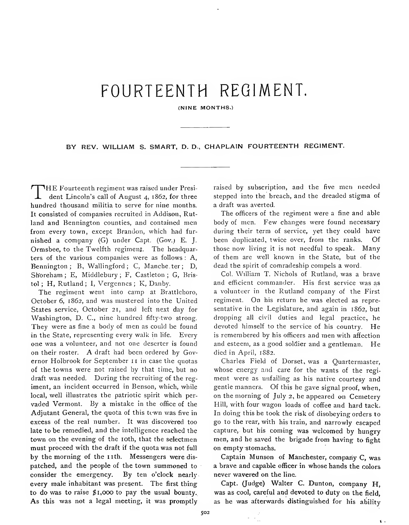(NINE MONTHS.)

BY REV. WILLIAM S. SMART, D. D., CHAPLAIN FOURTEENTH REGIMENT.

THE Fourteenth regiment was raised under Presi-<br>dent Lincoln's call of August 4, 1862, for three hundred thousand militia to serve for nine months. It consisted of companies recruited in Addison, Rutland and Bennington counties, and contained men from every town, except Brandon, which had fur nished a company (G) under Capt. (Gov.) E. J. Ormsbee, to the Twelfth regiment. The headquarters of the various companies were as follows : A, Bennington; B, Wallingford ; C, Manche.ter; D, Shoreham ; E, Middlebury ; F, Castleton ; G, Bristol; H, Rutland; I, Vergennes; K, Danby.

The regiment went into camp at Brattleboro, October 6, 1862, and was mustered into the United States service, October 21, and left next day for Washington, D. C, nine hundred fifty-two strong. They were as fine <sup>a</sup> body of men as could be found in the State, representing every walk in life. Every one was a volunteer, and not one deserter is found on their roster. A draft had been ordered by Governor Holbrook for September 11 in case the quotas of the towns were not raised by that time, but no draft was needed. During the recruiting of the reg iment, an incident occurred in Benson, which, while local, well illustrates the patriotic spirit which per vaded Vermont. By a mistake in the office of the Adjutant General, the quota of this tewn was five in excess of the real number. It was discovered too late to be remedied, and the intelligence reached the town on the evening of the 10th, that the selectmen must proceed with the draft if the quota was not full by the morning of the 11th. Messengers were dispatched, and the people of the town summoned to consider the emergency. By ten o'clock nearly. every male inhabitant was present. The first thing to do was to raise  $$1,000$  to pay the usual bounty. As this was not a legal meeting, it was promptly

raised by subscription, and the five men needed stepped into the breach, and the dreaded stigma of a draft was averted.

The officers of the regiment were a fine and able body of men. Few changes were found necessary during their term of service, yet they could have been duplicated, twice over, from the ranks. Of those now living it is not needful to speak. Many of them are well known in the State, but of the dead the spirit of comradeship compels a word.

Col. William T. Nichols of Rutland, was a brave and efficient commander. His first service was as a volunteer in the Rutland company of the First regiment. On his return he was elected as repre sentative in the Legislature, and again in 1862, but dropping all civil duties and legal practice, he devoted himself to the service of his country. He is remembered by his officers and men with affection and esteem, as <sup>a</sup> good soldier and <sup>a</sup> gentleman. He died in April, 1S82.

Charles Field of Dorset, was a Quartermaster, whose energy and care for the wants of the regiment were as unfailing as his native courtesy and gentle manners. Of this he gave signal proof, when, on the morning of July 2, he appeared on Cemetery Hill, with four wagon loads of coffee and hard tack. In doing this he took the risk of disobeying orders to go to the rear, with his train, and narrowly escaped capture, but his coming was welcomed by hungry men, and he saved the brigade from having to fight on empty stomachs.

Captain Munson of Manchester, company C, was a brave and capable officer in whose hands the colors never wavered on the line.

Capt. (Judge) Walter C. Dunton, company H, was as cool, careful and devoted to duty on the field, as he was afterwards distinguished for his ability

 $\mathbf{x}$ .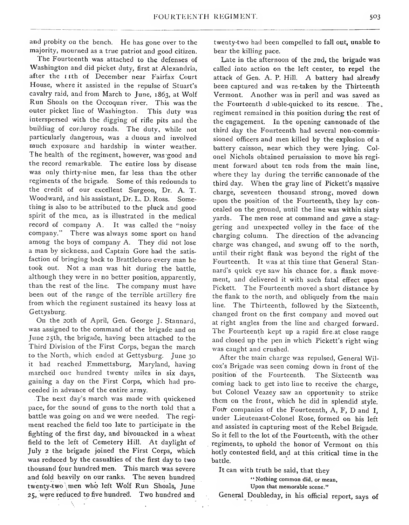and probity on the bench. He has gone over to the majority, mourned as a true patriot and good citizen.

The Fourteenth was attached to the defenses of Washington and did picket duty, first at Alexandria, after the 11th of December near Fairfax Court House, where it assisted in the repulse of Stuart's cavalry raid, and from March to June, 1863, at Wolf Run Shoals on the Occoquan river. This was the outer picket line of Washington. This duty was interspersed with the digging of rifle pits and the building of corduroy roads. The duty, while not particularly dangerous, was a duous and involved much exposure and hardship in winter weather. The health of the regiment, however, was good and the record remarkable. The entire loss by disease was only thirty-nine men, far less than the other regiments of the brigade. Some of this redounds to the credit of our excellent Surgeon, Dr. A. T. Woodward, and his assistant, Dr. L. D. Ross. Something is also to be attributed to the pluck and good spirit of the men, as is illustrated in the medical record of company A. It was called the "noisy company." There was always some sport on hand among the boys of company A. They did not lose a man by sickness, and Captain Gore had the satis faction of bringing back to Brattleboro every man he took out. Not a man was hit during the battle, although they were in no better position, apparently, than the rest of the line. The company must have been out of the range of the terrible artillery fire from which the regiment sustained its heavy loss at Gettysburg.

On the 20th of April, Gen. George J. Stannard, was assigned to the command of the brigade and on June 25th, the brigade, having been attached to the Third Division of the First Corps, began the march to the North, which ended at Gettysburg. June 30 it had reached Emmettsburg, Maryland, having marched one hundred twenty miles in six days, gaining a day on the First Corps, which had pro ceeded in advance of the entire army.

The next day's march was made with quickened pace, for the sound of guns to the north told that a battle was going on and we were needed. The regiment reached the field too late to participate in the fighting of the first day, and bivouacked in a wheat field to the left of Cemetery Hill. At daylight of July 2 the brigade joined the First Corps, which was reduced by the casualties of the first day to two thousand four hundred men. This march was severe and told heavily on our ranks. The seven hundred twenty-two \ men who left Wolf Run Shoals, June 25,, were reduced to five hundred. Two hundred and

twenty-two had been compelled to fall out, unable to bear the killing pace.

Late in the afternoon of the 2nd, the brigade was called into action on the left center, to repel the attack of Gen. A. P. Hill. A battery had already been captured and was re-taken by the Thirteenth Vermont. Another was in peril and was saved as the Fourteenth double-quicked to its rescue.. The. regiment remained in this position during the rest of the engagement. In the opening cannonade of the third day the Fourteenth had several non-commissioned officers and men killed by the explosion of a battery caisson, near which they were lying. Col onel Nichols obtained permission to move his regiment forward about ten rods from the main line, where they lay during the terrific cannonade of the third day. When the gray line of Pickett's massive charge, seventeen thousand strong, moved down upon the position of the Fourteenth, they lay concealed on the ground, until the line was within sixty yards. The men rose at command and gave a staggering and unexpected volley in the face of the charging column. The direction of the advancing charge was changed, and swung off to the north, until their right flank was beyond the right of the Fourteenth. It was at this time that General Stannard's quick eye saw his chance for, a flank movement, and delivered it with such fatal effect upon Pickett. The Fourteenth moved a short distance by the flank to the north, and obliquely from the main line. The Thirteenth, followed by the Sixteenth, changed front on the first company and moved out at right angles from the line and charged forward. The Fourteenth kept up <sup>a</sup> rapid fire. at close range and closed up the pen in which Pickett's right wing was caught and crushed.

After the main charge was repulsed, General Wilcox's Brigade was seen coming down in front of the position of the Fourteenth. The Sixteenth was coming back to get into line to receive the charge, but Colonel Veazey saw an opportunity to strike them on the front, which he did in splendid style. Four companies of the Fourteenth, A, F, D and I, under Lieutenant-Colonel Rose, formed on his left and assisted in capturing most of the Rebel Brigade. So it fell to the lot of the Fourteenth, with the other regiments, to uphold the honor of Vermont on this hotly contested field, and at this critical time in the battle.

It can with truth be said, that they

"Nothing common did, or mean, Upon that memorable scene."

General Doubleday, in his official report, says of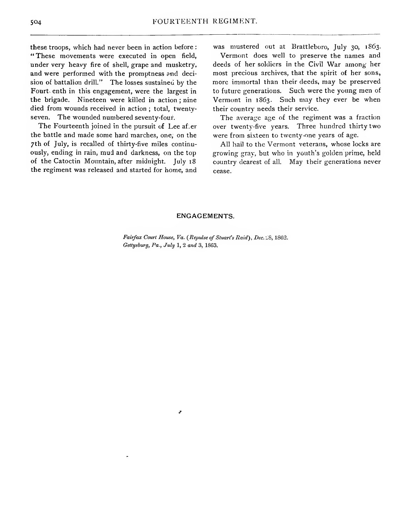these troops, which had never been in action before : "These movements were executed in open field, under very heavy fire of shell, grape and musketry, and were performed with the promptness and deci sion of battalion drill." The losses sustained by the Fourt. enth in this engagement, were the largest in the brigade. Nineteen were killed in action; nine died from wounds received in action ; total, twentyseven. The wounded numbered seventy-four.

The Fourteenth joined in the pursuit of Lee af.er the battle and made some hard marches, one, on the 7th of July, is recalled of thirty-five miles continuously, ending in rain, mud and darkness, on the top of the Catoctin Mountain, after midnight. July 18 the regiment was released and started for home, and was mustered out at Brattleboro, July 30, 1S63.

Vermont does well to preserve the names and deeds of her soldiers in the Civil War among her most precious archives, that the spirit of her sons, more immortal than their deeds, may be preserved to future generations. Such were the young men of Vermont in 1863. Such may they ever be when their country needs their service.

The average age of the regiment was a fraction over twenty-five years. Three hundred thirty two were from sixteen to twenty-one years of age.

All hail to the Vermont veterans, whose locks are growing gray, but who in youth's golden prime, held country dearest of all. May their generations never cease.

#### ENGAGEMENTS.

Fairfax Court House, Va. (Repulse of Stuart's Raid), Dec. 28, 1862. Gettysburg, Pa., July 1, 2 and 3, 18G3.

z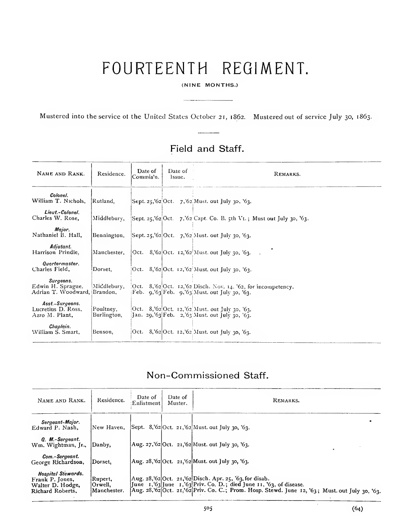(NINE MONTHS.)

Mustered into the service ot the United States October 21, 1862. Mustered out of service July 30, 1863.

## Field and Staff.

| NAME AND RANK.                                                 | Residence.               | Date of<br>Commis'n. | Date of<br>lssue. | REMARKS.                                                                                                           |
|----------------------------------------------------------------|--------------------------|----------------------|-------------------|--------------------------------------------------------------------------------------------------------------------|
| Colonel.<br>William T. Nichols.                                | Rutland.                 |                      |                   | Sept. 25,'62 Oct. 7,'62. Must. out July 30, '63.                                                                   |
| Lieut.-Colonel.<br>Charles W. Rose,                            | Middlebury,              |                      |                   | Sept. 25,'62 Oct. 7,'62 Capt. Co. B. 5th Vt.; Must out July 30, '63.                                               |
| Major.<br>Nathaniel B. Hall,                                   | Bennington,              |                      |                   | Sept. 25,'62 Oct. 7,'62 Must. out July 30, '63.                                                                    |
| Adjutant.<br>Harrison Prindle.                                 | Manchester,              |                      |                   | Oct. 8,'62 Oct. 12,'62 Must. out July 30, '63.                                                                     |
| Quartermaster.<br>Charles Field,                               | Dorset.                  |                      |                   | Oct. 8,'62 Oct. 12,'62 Must. out July 30. '63.                                                                     |
| Surgeons.<br>Edwin H. Sprague.<br>Adrian T. Woodward, Brandon, | Middlebury,              |                      |                   | Oct. $8, 62$ Oct. 12, 62 Disch. Nov. 14. 62, for incompetency.<br>Feb. $9, 63$ Feb. $9, 63$ Must. out July 30, 63. |
| Asst.-Surgeons.<br>Lucretius D. Ross,<br>Azro M. Plant,        | Poultney,<br>Burlington, |                      |                   | Oct. 8, $62$ Oct. 12, $62$ Must. out July 30, $63$ .<br>Jan. 29, $63$ Feb. 2, $63$ Must. out July 30, $63$ .       |
| Chaplain.<br>William S. Smart,                                 | Benson.                  |                      |                   | Oct. 8,'62 Oct. 12,'62 Must. out July 30, '63.                                                                     |

## Non-Commissioned Staff.

| NAME AND RANK.                                                                       | Residence.                          | Date of<br>Enlistment | Date of<br>Muster. | REMARKS.                                                                                                                                                                                                                            |
|--------------------------------------------------------------------------------------|-------------------------------------|-----------------------|--------------------|-------------------------------------------------------------------------------------------------------------------------------------------------------------------------------------------------------------------------------------|
| Sergeant-Major.<br>Edward P. Nash,                                                   | New Haven,                          |                       |                    | Sept. 8,'62 Oct. 21,'62 Must. out July 30, '63.                                                                                                                                                                                     |
| Q. M.-Sergeant.<br>Wm, Wightman, Jr.,                                                | Danby,                              |                       |                    | Aug. 27,'62 Oct. 21,'62 Must. out July 30, '63.                                                                                                                                                                                     |
| Com.-Sergeant.<br>George Richardson,                                                 | Dorset,                             |                       |                    | $\text{Aug. } 28, \text{'62} \text{Oct. } 21, \text{'62}$ Must. out July 30, '63.                                                                                                                                                   |
| <b>Hospital Stewards.</b><br>Frank P. Jones,<br>Walter D. Hodge,<br>Richard Roberts, | Rupert,<br> Orwell.<br> Manchester. |                       |                    | Aug. 28, $62$ Oct. 21, $62$ Disch. Apr. 25, $63$ , for disab.<br>June 1,'63 June 1,'63 Priv. Co. D.; died June 11, '63, of disease.<br>Aug. 28, 62 Oct. 21, 62 Priv. Co. C.; Prom. Hosp. Stewd. June 12, 63; Must. out July 30, 63. |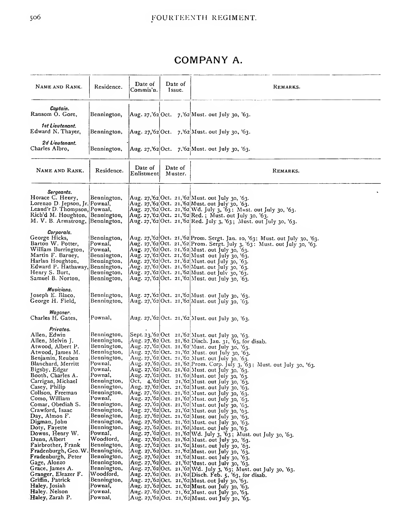## COMPANY A.

| NAME AND RANK.                                                                                                                                                                                                                                                                                                                                                                                                                                                                                                                                                                      | Residence.                                                                                                                                                                                                                                                                                                                                                                                                   | Date of<br>Commis'n.   | Date of<br>Issue.  | REMARKS.                                                                                                                                                                                                                                                                                                                                                                                                                                                                                                                                                                                                                                                                                                                                                                                                                                                                                                                                                                                                                                                                                                                                                                                                                                                                                                                                                                                                                                                                                                                                                                                      |
|-------------------------------------------------------------------------------------------------------------------------------------------------------------------------------------------------------------------------------------------------------------------------------------------------------------------------------------------------------------------------------------------------------------------------------------------------------------------------------------------------------------------------------------------------------------------------------------|--------------------------------------------------------------------------------------------------------------------------------------------------------------------------------------------------------------------------------------------------------------------------------------------------------------------------------------------------------------------------------------------------------------|------------------------|--------------------|-----------------------------------------------------------------------------------------------------------------------------------------------------------------------------------------------------------------------------------------------------------------------------------------------------------------------------------------------------------------------------------------------------------------------------------------------------------------------------------------------------------------------------------------------------------------------------------------------------------------------------------------------------------------------------------------------------------------------------------------------------------------------------------------------------------------------------------------------------------------------------------------------------------------------------------------------------------------------------------------------------------------------------------------------------------------------------------------------------------------------------------------------------------------------------------------------------------------------------------------------------------------------------------------------------------------------------------------------------------------------------------------------------------------------------------------------------------------------------------------------------------------------------------------------------------------------------------------------|
| Captain.<br>Ransom O. Gore,                                                                                                                                                                                                                                                                                                                                                                                                                                                                                                                                                         | Bennington,                                                                                                                                                                                                                                                                                                                                                                                                  |                        |                    | Aug. 27,'62'Oct. 7,'62 Must. out July 30, '63.                                                                                                                                                                                                                                                                                                                                                                                                                                                                                                                                                                                                                                                                                                                                                                                                                                                                                                                                                                                                                                                                                                                                                                                                                                                                                                                                                                                                                                                                                                                                                |
| 1st Lieutenant.<br>Edward N. Thayer,                                                                                                                                                                                                                                                                                                                                                                                                                                                                                                                                                | Bennington,                                                                                                                                                                                                                                                                                                                                                                                                  |                        |                    | Aug. 27,'62 Oct. 7,'62 Must. out July 30, '63.                                                                                                                                                                                                                                                                                                                                                                                                                                                                                                                                                                                                                                                                                                                                                                                                                                                                                                                                                                                                                                                                                                                                                                                                                                                                                                                                                                                                                                                                                                                                                |
| 2d Lieutenant.<br>Charles Albro,                                                                                                                                                                                                                                                                                                                                                                                                                                                                                                                                                    | Bennington,                                                                                                                                                                                                                                                                                                                                                                                                  |                        |                    | Aug. 27, 62 Oct. 7. 62 Must. out July 30, 63.                                                                                                                                                                                                                                                                                                                                                                                                                                                                                                                                                                                                                                                                                                                                                                                                                                                                                                                                                                                                                                                                                                                                                                                                                                                                                                                                                                                                                                                                                                                                                 |
| NAME AND RANK.                                                                                                                                                                                                                                                                                                                                                                                                                                                                                                                                                                      | Residence.                                                                                                                                                                                                                                                                                                                                                                                                   | Date of<br>Enlistmentl | Date of<br>Muster. | REMARKS.                                                                                                                                                                                                                                                                                                                                                                                                                                                                                                                                                                                                                                                                                                                                                                                                                                                                                                                                                                                                                                                                                                                                                                                                                                                                                                                                                                                                                                                                                                                                                                                      |
| Sergeants.<br>Horace C. Henry,<br>Lorenzo D. Jepson, Jr. Pownal,<br>Leand'r D. Thompson, Pownal,<br>Rich'd M. Houghton, Bennington,<br>M. V. B. Armstrong,                                                                                                                                                                                                                                                                                                                                                                                                                          | Beunington,<br> Bennington,                                                                                                                                                                                                                                                                                                                                                                                  |                        |                    | Aug. 27,'62 Oct. 21,'62 Must. out July 30, '63.<br>Aug. 27,'62 Oct. 21,'62 Must. out July 30, '63.<br>Aug. 27, 62 Oct. 21, 62 Wd. July 3, 63: Must. out July 30, 63.<br>Aug. 27,'62 Oct. 21,'62 Red.; Must. out July 30. '63.<br>Aug. 27, 62 Oct. 21, 62 Red. July 3, 63; Must. out July 30, 63.                                                                                                                                                                                                                                                                                                                                                                                                                                                                                                                                                                                                                                                                                                                                                                                                                                                                                                                                                                                                                                                                                                                                                                                                                                                                                              |
| Corporals.<br>George Hicks,<br>Barton W. Potter,<br>William Burrington,<br>Martin F. Barney,<br>Harlan Houghton,<br>Edward P. Hathaway,<br>Henry S. Burt,<br>Samuel B. Norton.                                                                                                                                                                                                                                                                                                                                                                                                      | Bennington,<br>Pownal,<br>Pownal,<br>Bennington,<br>Bennington,<br>Bennington,<br>Bennington,<br>Bennington,                                                                                                                                                                                                                                                                                                 |                        |                    | Aug. 27,'62 Oct. 21, 62 Prom. Sergt. Jan. 10, '63: Must. out July 30, '63.<br>Aug. 27,'62 Oct. 21,'62 Prom. Sergt. July 3, '63: Must. out July 30, '63.<br>Aug. 27,'62 Oct. 21,'62 Must. out July 30, 63.<br>Aug. 27,'62 Oct. 21,'62 Must out July 30, '63.<br>Aug. 27,'62 Oct. 21,'62 Must. out July 30, 63.<br>Aug. 27,'62 Oct. 21,'62 Must. out July 30, '63.<br>Aug. 27, 62 Oct. 21, 62 Must. out July 30, 63.<br>Aug. 27,'62 Oct. 21,'62 Must. out July 30, '63.                                                                                                                                                                                                                                                                                                                                                                                                                                                                                                                                                                                                                                                                                                                                                                                                                                                                                                                                                                                                                                                                                                                         |
| Musicians.<br>Joseph E. Blaco,<br>George H. Field,                                                                                                                                                                                                                                                                                                                                                                                                                                                                                                                                  | Bennington,<br>Bennington,                                                                                                                                                                                                                                                                                                                                                                                   |                        |                    | Aug. 27,'62 Oct. 21,'62 Must. out July 30, '63.<br>Aug. 27,'62 Oct. 21,'62 Must. out July 30, '63.                                                                                                                                                                                                                                                                                                                                                                                                                                                                                                                                                                                                                                                                                                                                                                                                                                                                                                                                                                                                                                                                                                                                                                                                                                                                                                                                                                                                                                                                                            |
| Wagoner.<br>Charles H. Gates,                                                                                                                                                                                                                                                                                                                                                                                                                                                                                                                                                       | Pownal,                                                                                                                                                                                                                                                                                                                                                                                                      |                        |                    | Aug. 27,'62 Oct. 21,'62 Must. out July 30, '63.                                                                                                                                                                                                                                                                                                                                                                                                                                                                                                                                                                                                                                                                                                                                                                                                                                                                                                                                                                                                                                                                                                                                                                                                                                                                                                                                                                                                                                                                                                                                               |
| Privates.<br>Allen, Edwin<br>Allen, Melvin J.<br>Atwood, Albert P.<br>Atwood, James M.<br>Benjamin, Reuben<br>Blanchard, Merritt<br>Bigsby, Edgar<br>Booth, Charles A.<br>Carrigan, Michael<br>Casey, Philip<br>Collson, Freeman<br>Como, William<br>Comar, Obediah S<br>Crawford, Isaac<br>Day, Almon F.<br>Digman, John<br>Doty, Fayette<br>Downs, Henry W.<br>Dunn, Albert<br>Fairbrother, Frank<br>Fradenburgh, Geo. W<br>Fradenburgh, Peter<br>Gage, Alonzo<br>Grace, James A.<br>Granger, Eleazer F.<br>Griffin, Patrick<br>Haley, Josiah<br>Haley. Nelson<br>Haley, Zarah P. | Bennington,<br>Bennington,<br>Bennington,<br>Bennington,<br>Beunington,<br>Pownal,<br>Pownal,<br>Pownal,<br>Bennington,<br>Bennington,<br>Beunington,<br>Pownal,<br>Bennington,<br>Bennington,<br>Bennington,<br>Bennington,<br>Bennington,<br>Pownal,<br>Woodiord,<br>Bennington,<br> Bennington,<br>Bennington,<br>Beunington,<br>Bennington,<br>Woodford,<br>Bennington,<br>Pownal,<br>Pownal,<br>Pownal, |                        |                    | Sept. 23,'62 Oct 21,'62 Must. out July 30, '63.<br>Aug. 27, 62 Oct. 21, 62 Disch. Jan. 31, 63, for disab.<br>Aug. 27,'62 Oct. 21,'62 Must. out July 30, '63.<br>Aug. 27,'62 Oct. 21,'62 Must. out July 30, '63.<br>Aug. 27, 62 Oct. 21, 62 Must. out July 30, 63.<br>Aug. 27,'62 Oct. 21, 62 Prom. Corp. July 3, 63: Must. out July 30, '63.<br>Aug. 27,'62 Oct. 21,'62 Must. out July 30, '63.<br>Aug. 27,'62 Oct. 21,'62 Must. out July 30, '63.<br>Oct, 4,'62 Oct 21,'62 Must. out July 30, '63.<br>Aug. 27, 62 Oct. 21, 62 Must. out July 30, 63.<br>Aug. 27,'62 Oct. 21,'62 Must. out July 30, '63.<br>Aug. 27,'62 Oct. 21,'62 Must. out July 30, '63.<br>Aug. 27, 62 Oct. 21, 62 Must. out July 30, 63.<br>Aug. 27, '62 Oct. 21, '62 Must. out July 30, '63.<br>Aug. 27,'62 Oct. 21,'62 Must. out July 30, '63.<br>Aug. 27, 62 Oct. 21, 62 Must. out July 30, 63.<br>Aug. 27, 62 Oct. 21, 62 Must. out July 30, 63.<br>Aug. 27, 62 Oct. 21, 62 Wd. July 3, 63; Must. out July 30, 63.<br>Aug. 27, 62 Oct. 21, 62 Must. out July 30, '63.<br>Aug. 27,'62 Oct. 21, 62 Must. out July 30, '63.<br>Aug. 27, 62 Oct. 21, 62 Must. out July 30, 63.<br>Aug. 27,'62 Oct 21,'62 Must. out July 30, '63.<br>Aug. 27,'62 Oct. 21,'62 Must. out July 30, '63.<br>Aug. 27, 62 Oct. 21, 62 Wd. July 3, 63. Must. out July 30, 63.<br>Aug. 27,'62 Oct. 21,'62 Disch. Feb. 5, '63, for disab.<br>Aug. 27,'62 Oct. 21,'62 Must. out July 30, '63.<br>Aug. 27, 62 Oct. 21, 62 Must. out July 30, 63.<br>Aug. 27. 62 Oct. 21, 62 Must. out July 30, 63.<br>Aug. 27, 62 Oct. 21, 62 Must. out July 30, 63. |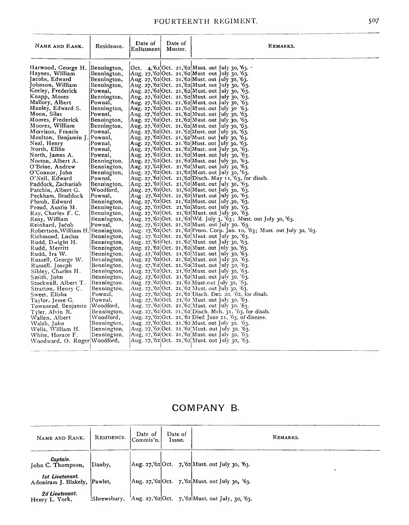| NAME AND RANK.                             | Residence.                 | Date of<br>Enlistment | Date of<br>Muster. | REMARKS.                                                                                          |
|--------------------------------------------|----------------------------|-----------------------|--------------------|---------------------------------------------------------------------------------------------------|
| Harwood, George H.                         | Bennington,                |                       |                    | Oct. 4, $62$ Oct. 21, $62$ Must. out July 30, $63.$                                               |
| Haynes, William                            | Bennington,                |                       |                    | Aug. 27,'62 Oct. 21,'62 Must. out July 30, '63.                                                   |
| Jacobs, Edward                             | Bennington,                |                       |                    | Aug. 27, 62 Oct. 21, 62 Must. out July 30, 63.                                                    |
| Johnson, William                           | Bennington,                |                       |                    | Aug. 27,'62 Oct. 21,'62 Must. out July 30, '63.                                                   |
| Keeley, Frederick                          | Pownal,                    |                       |                    | Aug. 27,'62 Oct. 21,'62 Must. out July 30, '63.                                                   |
| Knapp, Moses                               | Bennington,                |                       |                    | Aug. 27,'62 Oct. 21,'62 Must. out July 30, '63.                                                   |
| Mallory, Albert<br>Manley, Edward S.       | Pownal,                    |                       |                    | Aug. 27,'62 Oct. 21,'62 Must. out July 30, '63.                                                   |
| Moon, Silas                                | Bennington,<br>Pownal,     |                       |                    | Aug. 27,'62 Oct. 21,'62 Must. out July 30 '63.<br>Aug. 27,'62 Oct. 21,'62 Must. out July 30, '63. |
| Moores, Frederick                          | Benaington,                |                       |                    | Aug. 27,'62 Oct. 21,'62 Must. out July 30, '63.                                                   |
| Moores, William                            | Bennington,                |                       |                    | Aug. 27,'62 Oct. 21,'62 Must. out July 30, '63.                                                   |
| Morrison, Francis                          | Pownal,                    |                       |                    | Aug. 27,'62 Oct. 21,'62 Must. out July 30, '63.                                                   |
| Moulton, Benjamin J                        | Pownal,                    |                       |                    | Aug. 27,'62 Oct. 21,'62 Must. out July 30, '63.                                                   |
| Neal, Henry                                | Pownal,                    |                       |                    | Aug. 27,'62 Oct. 21.'62 Must. out July 30, '63.                                                   |
| North, Elihu                               | Pownal.                    |                       |                    | Aug. 27, 62 Oct. 21, 62 Must. out July 30, 63.                                                    |
| North, James A.                            | Pownal.                    |                       |                    | Aug. 27, 62 Oct. 21, 62 Must. out July 30, 63.                                                    |
| Norton, Albert A.                          | Bennington,                |                       |                    | Aug. 27,'62 Oct. 21,'62 Must. out July 30, '63.                                                   |
| O'Brine, Andrew                            | Bennington,                |                       |                    | Aug. 27, 62 Oct. 21, 62 Must. out July 30, 63.                                                    |
| O'Connor, John                             | Bennington,                |                       |                    | Aug. 27, $62 Oct. 21$ , $62  Must. out July 30$ , $763.$                                          |
| O'Neil. Edward                             | Pownal,                    |                       |                    | Aug. 27,'62 Oct. 21,'62 Disch. May 11, '63, for disab.                                            |
| Paddock, Zachariah                         | Bennington,                |                       |                    | Aug. 27, 62 Oct. 21, 62 Must. out July 30, 63.                                                    |
| Patchin, Albert G.                         | Woodford.                  |                       |                    | Aug. 27, 62 Oct. 21, 62 Must. out July 30, 63.                                                    |
| Peckham, Braddock                          | Pownal,                    |                       |                    | Aug. 27, 62 Oct. 21, 62 Must. out July 30, 63.                                                    |
| Plumb, Edward                              | Bennington,                |                       |                    | Aug. 27,'62 Oct. 21,'62 Must. out July 30, '63.                                                   |
| Proud, Austin M.                           | Bennington,                |                       |                    | Aug. 27, $62$ Oct. 21, $62$ Must. out July 30, $63$ .                                             |
| Ray, Charles F. C.                         | Bennington,                |                       |                    | Aug. 27,'62 Oct. 21,'62 Must. out July 30, '63.                                                   |
| Reay, William                              | Bennington,                |                       |                    | Aug. 27, 62 Oct. 21, 62 Wd. July 3, 63; Must. out July 30, 63.                                    |
| Reinhard, Jacob                            | Pownal,                    |                       |                    | Aug. 27, 62 Oct. 21, 62 Must. out July 30. 63.                                                    |
| Robertson, William H. Bennington,          |                            |                       |                    | Aug. 27,'62 Oct. 21,'62 Prom. Corp. Jan. 10, '63; Must. out July 30, '63.                         |
| Richmond. Lucius                           | Bennington,                |                       |                    | Aug. 27.'62 Oct. 21,'62 Must. out July 30, '63.                                                   |
| Rudd, Dwight H.                            | Bennington,                |                       |                    | Aug. 27,'62 Oct. 21,'62 Must. out July 30, '63.                                                   |
| Rudd, Merritt                              | Bennington,                |                       |                    | Aug. 27, 62 Oct. 21, 62 Must. out July 30, 63.                                                    |
| Rudd. Ira W.                               | Bennington,                |                       |                    | Aug. 27,'62 Oct. 21,'62 Must. out July 30, '63.                                                   |
| Russell, George W.                         | Bennington,                |                       |                    | Aug. 27.'62 Oct. 21,'62 Must. out July 30, '63.                                                   |
| Russell, Joseph                            | Bennington,                |                       |                    | Aug. 27,'62 Oct. 21,'62 Must. out July 30, '63.                                                   |
| Sibley, Charles H.                         | Bennington,                |                       |                    | Aug. 27,'62 Oct. 21,'62 Must. out July 30, '63.                                                   |
| Smith, John                                | Bennington,                |                       |                    | Aug. 27,'62 Oct. 21,'62 Must. out July 30, '63.                                                   |
| Stockwell. Albert T.<br>Stratton, Henry C. | Beunington.<br>Beuningtou, |                       |                    | Aug. 27, 62 Oct. 21, 62 Must. out July 30, 63.<br>Aug. 27, 62 Oct. 21, 62 Must. out July 30, 63.  |
| Sweet, Elisha                              | Pownal,                    |                       |                    | Aug. 27,'62 Oct. 21,'62 Disch. Dec. 20, '62, for disab.                                           |
| Taylor, Jesse G.                           | Pownal,                    |                       |                    | Aug. 27, 62 Oct. 21, 62 Must. out July 30, 63.                                                    |
| Townsend, Benjamin                         | Woodford,                  |                       |                    | Aug. 27, 62 Oct. 21, 62 Must. out July 30. 63.                                                    |
| Tyler, Alvin R.                            | Bennington,                |                       |                    | Aug. 27, 62 Oct. 21, 62 Disch. Mch. 31. 63, for disab.                                            |
| Wallen, Albert                             | Woodford,                  |                       |                    | Aug. 27,'62 Oct. 21,'62 Died June 21, '63, of disease.                                            |
| Walsh, John                                | Beunington,                |                       |                    | Aug. 27,'62¦Oct. 21,'62 Must. out July 30. '63.                                                   |
| Wells, William H.                          | Bennington,                |                       |                    | Aug. 27,'62 Oct. 21,'62 Must. out July 30. '63.                                                   |
| White, Horace F.                           | Bennington,                |                       |                    | Aug, 27,'62 Oct. 21,'62 Must. out July 30, '63.                                                   |
| Woodward, O. Roger Woodford,               |                            |                       |                    | Aug. 27, 62 Oct. 21, 62 Must. out July 30, 63.                                                    |
|                                            |                            |                       |                    |                                                                                                   |

## COMPANY B.

| NAME AND RANK.                                  | RESIDENCE.  | Date of<br>Commis'n. | Date of<br>Issue. | REMARKS.                                           |
|-------------------------------------------------|-------------|----------------------|-------------------|----------------------------------------------------|
| Captain.<br>John C. Thompson,                   | Danby,      |                      |                   | $ Aug. 27, 62 Oct. 7, 62  Must. out July 30, 63.$  |
| 1st Lieutenant.<br>Adoniram J. Blakely, Pawlet, |             |                      |                   | Aug. 27,'62 Oct. 7,'62 Must. out July 30, '63.     |
| 2d Lieutenant.<br>Henry L. York,                | Shrewsbury, |                      |                   | 'Aug. 27, '62 Oct. 7, '62 Must. out July, 30, '63. |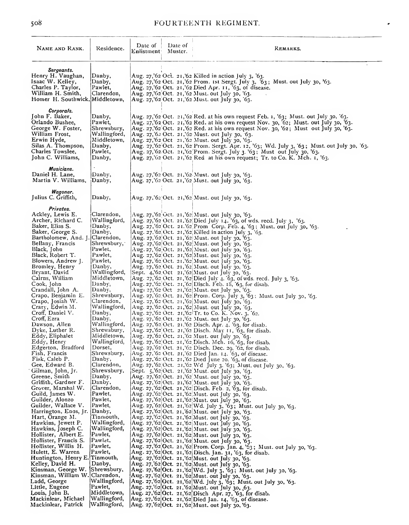| NAME AND RANK.                                                                                                                                                                                                                                                                                                                                                                                                                                                                                                                                                                                         | Residence.                                                                                                                                                                                                                                                                                                                                                                                         | Date of<br>Enlistment | Date of<br>Muster. | REMARKS.                                                                                                                                                                                                                                                                                                                                                                                                                                                                                                                                                                                                                                                                                                                                                                                                                                                                                                                                                                                                                                                                                                                                                                                                                                                                                                                                                                                                                                                                                                                                                                                                                                                                                                                                                        |
|--------------------------------------------------------------------------------------------------------------------------------------------------------------------------------------------------------------------------------------------------------------------------------------------------------------------------------------------------------------------------------------------------------------------------------------------------------------------------------------------------------------------------------------------------------------------------------------------------------|----------------------------------------------------------------------------------------------------------------------------------------------------------------------------------------------------------------------------------------------------------------------------------------------------------------------------------------------------------------------------------------------------|-----------------------|--------------------|-----------------------------------------------------------------------------------------------------------------------------------------------------------------------------------------------------------------------------------------------------------------------------------------------------------------------------------------------------------------------------------------------------------------------------------------------------------------------------------------------------------------------------------------------------------------------------------------------------------------------------------------------------------------------------------------------------------------------------------------------------------------------------------------------------------------------------------------------------------------------------------------------------------------------------------------------------------------------------------------------------------------------------------------------------------------------------------------------------------------------------------------------------------------------------------------------------------------------------------------------------------------------------------------------------------------------------------------------------------------------------------------------------------------------------------------------------------------------------------------------------------------------------------------------------------------------------------------------------------------------------------------------------------------------------------------------------------------------------------------------------------------|
| Sergeants.<br>Henry H. Vaughan,<br>Isaac W. Kelley,<br>Charles P. Taylor,<br>William H. Smith.<br>Homer H. Southwick, Middletown,                                                                                                                                                                                                                                                                                                                                                                                                                                                                      | Danby,<br>Danby,<br>Pawlet,<br>Clarendon,                                                                                                                                                                                                                                                                                                                                                          |                       |                    | Aug. 27,'62 Oct. 21,'62 Killed in action July 3, '63.<br>Aug. 27,'62 Oct. 21,'62 Prom. 1st Sergt. July 3, '63; Must. out July 30, '63.<br>Aug. 27,'62 Oct. 21,'62 Died Apr. 11, '63, of disease.<br>Aug. 27,'62 Oct. 21,'62 Must. out July 30, '63.<br>Aug. 27,'62 Oct. 21,'62 Must. out July 30, '63.                                                                                                                                                                                                                                                                                                                                                                                                                                                                                                                                                                                                                                                                                                                                                                                                                                                                                                                                                                                                                                                                                                                                                                                                                                                                                                                                                                                                                                                          |
| Corporals.<br>John F. Baker,<br>Orlando Bushee,<br>George W. Foster,<br>William Frost,<br>Erwin Hyde,<br>Silas A. Thompson,<br>Charles Towslee,<br>John C. Williams,                                                                                                                                                                                                                                                                                                                                                                                                                                   | Danby,<br>Pawlet,<br>Shrewsbury,<br>Wallingford,<br>Middletown,<br>Danby,<br>Pawlet,<br>Danby,                                                                                                                                                                                                                                                                                                     |                       |                    | Aug. 27,'62 Oct. 21,'62 Red. at his own request Feb. 1, '63; Must. out July 30, '63.<br>Aug. 27,'62 Oct. 21,'62 Red. at his own request Nov. 30, '62; Must. out July 30, '63.<br>$ Aug. z7, 02  Oct. z1, 02  Red. at his own request Nov. 30, 02; Must out July 30, 03.$<br>Aug. 27,'62 Oct. 21,'62 Must. out July 30, '63.<br>Aug. 27,'62 Oct 21,'62 Must. out July 30, '63.<br>Aug. 27,'62 Oct. 21,'62 Prom. Sergt. Apr. 12, '63; Wd. July 3, '63; Must. out July 30, '63.<br>Aug. 27, 62 Oct. 21, 62 Prom. Sergt. July 3. '63; Must out July 30, '63.<br>Aug. 27,'62 Oct. 21,'62 Red at his own request; Tr. to Co. K. Mch. 1, '63.                                                                                                                                                                                                                                                                                                                                                                                                                                                                                                                                                                                                                                                                                                                                                                                                                                                                                                                                                                                                                                                                                                                          |
| Musicians.<br>Daniel H. Lane,<br>Martin V. Williams,                                                                                                                                                                                                                                                                                                                                                                                                                                                                                                                                                   | Danby,<br>Danby,                                                                                                                                                                                                                                                                                                                                                                                   |                       |                    | Aug. 27,'62 Oct. 21,'62 Must. out July 30, '63.<br>Aug. 27, 62 Oct. 21, 62 Must. out July 30, 63.                                                                                                                                                                                                                                                                                                                                                                                                                                                                                                                                                                                                                                                                                                                                                                                                                                                                                                                                                                                                                                                                                                                                                                                                                                                                                                                                                                                                                                                                                                                                                                                                                                                               |
| Wagoner.<br>Julius C. Griffith,                                                                                                                                                                                                                                                                                                                                                                                                                                                                                                                                                                        | Danby,                                                                                                                                                                                                                                                                                                                                                                                             |                       |                    | Aug. 27,'62 Oct. 21,'62 Must. out July 30, '63.                                                                                                                                                                                                                                                                                                                                                                                                                                                                                                                                                                                                                                                                                                                                                                                                                                                                                                                                                                                                                                                                                                                                                                                                                                                                                                                                                                                                                                                                                                                                                                                                                                                                                                                 |
| Privates.<br>Ackley, Lewis E.<br>Archer, Richard C.<br>Baker, Elias S.<br>Baker, George S.<br>Bartholomew, And. J<br>Bellany, Francis<br>Black, John<br>Black, Robert T.<br>Blowers, Andrew J.<br>Bromley, Henry<br>Bryant, David<br>Cairns, William<br>Cook, John<br>Crandall, John A.<br>Crapo, Benjamin E.<br>Crapo, Josiah W.<br>Crary, Edwin M.<br>Croff, Daniel V.<br>Croff, Ezra<br>Dawson, Allen<br>Dyke, Luther R.<br>Eddy, Eliphalet<br>Eddy, Henry<br>Edgerton, Bradford<br>Fish, Francis<br>Fisk, Caleb P.<br>Gee, Edward B.<br>Gilman, John, Jr.<br>Greene, Smith<br>Griffith, Gardner F. | Clarendon,<br>Walling ford,<br> Danby,<br>Danby,<br> Clarendon,<br>Shrewsbury, '<br>Pawlet,<br>Pawlet,<br>Pawlet,<br>Danby,<br>Wallingford,<br>Middletown,<br>Danby,<br>Danby,<br>Shrewsbury,<br>Clarendon,<br>Wallingford,<br>Danoy,<br>Danby,<br>Wallingford,<br>Shrewsbury,<br>Middletown,<br>Wallingford,<br>Dorset,<br>Shrewsbury,<br>Danby,<br>Clarendon,<br>Shrewsbury,<br>Danby,<br>Danby, |                       |                    | Aug. 27,'62 Oct. 21,'62 Must. out July 30, '63.<br>Aug. 27,'62 Oct. 21,'62 Died July 14. '63, of wds. recd. July 3, '63.<br>Aug. 27, 62 Oct. 21. 62 Prom Corp. Feb. 4, 63; Must. out July 30, 63.<br>Aug. 27.'62 Oct. 21,'62 Killed in action July 3, '63.<br>Aug. 27,'62{Oct. 21,'62 Must. out July 30, '63.<br>Aug. 27,'62 Oct. 21,'62 Must. out July 30, '63.<br>Aug. 27, '62 Oct. 21, '62 Must. out July 30, '63.<br>Aug. 27,'62 Oct. 21,'62 Must. out July 30, '63.<br>Aug. 27, 62 Oct. 21, 62 Must. out July 30, 63.<br>Aug. 27,'62 Oct. 21,'62 Must. out July 30, '63.<br>Sept. 4,'62, Oct 21,'62 Must. out July 30, '63.<br>Aug. 27,'62 Oct. 21,'62 Died July 4. 63, of wds. recd. July 3, '63.<br> Aug. 27,'62  Oct. 21, 62  Disch. Feb. 18, `63, for disab.<br>Aug: 27,'62 Oct 21,'62 Must. out July 30, '63.<br>Aug. 27, 62, Oct. 21, 62 Prom. Corp. July 3, '63; Must. out July 30, '63.<br>  Aug. 27, 62 Oct. 21, 62  Must. out July 30, 63.<br> Aug. 27, 62 Oct. 21, 62 Must. out July 30, 63.<br>Aug. 27, 62 Oct. 21, 62 Tr. to Co. K. Nov. 3, 62.<br> Aug. 27, 62 Oct. 21, 62 Must. out July 30, '63.<br> Aug. 27,'62 Oct. 21,'62 Disch. Apr. 4, '63, for disab.<br>Aug. 27,'62 Oct. 21,'62 Disch. May 11, '63, for disab.<br>Aug. 27, 62 Oct. 21, 62 Must. out July 30, 63.<br>Aug. 27, 62 Oct. 21, 62 Disch. Mch. 16, 63, for disab.<br>Aug. 27,'62'Oct. 21,'62 Disch. Dec. 29, '62, for disab.<br>Aug. 27, 62 Oct. 21, 62 Died Jan. 14, 63, of disease.<br>Aug. 27, 62 Oct. 21, 62 Died June 20. '63, of disease.<br>Aug. 27,'62 Oct. 21,'62 Wd July 3. 63; Must. out July 30, '63.<br>Sept. 5,'62 Oct. 21,'62 Must. out July 30, '63.<br>Aug. 27,'62 Oct. 21,'62 Must. out July 30, '63.<br>Aug. 27,'62 Oct. 21,'62 Must. out July 30, '63. |
| Grover, Marshal W.<br>Guild, James W.<br>Guilder, Alonzo<br>Guilder, Wallace V.<br>Harrington, Enos, Jr.<br>Hart, Orange M.<br>Hawkins, Jewett P.<br>Hawkins, Joseph C.<br>Hollister, Albert E.<br>Hollister, Francis S.<br>Hollister, Willis H.<br>Hulett, E. Warren<br>Huntington, Heury E. Tinmouth,<br>Kelley, David H.<br>Kinsman, George W.<br>Kinsman, William W. Clarendon,                                                                                                                                                                                                                    | Clarendon,<br>Pawlet.<br>Pawlet,<br>Pawlet,<br>Danby,<br>Tinnıouth,<br>Wallingford,<br>Wallingford,<br>Pawlet,<br>Pawlet,<br>Pawlet,<br>Pawlet,<br>Danby,<br> Shrewsbury,                                                                                                                                                                                                                          |                       |                    | Aug. 27, 62 Oct. 21, 62 Disch. Feb. 2, 63, for disab.<br>Aug. 27,'62 Oct. 21,'62 Must. out July 30, '63.<br>Aug. 27,'62 Oct. 21,'62 Must. out July 30, '63.<br>Aug. 27, 62 Oct. 21, 62 Wd. July 3, 63; Must. out July 30, 63.<br>Aug. 27,'62 Oct. 21,'62 Must. out July 30, '63.<br>Aug. 27,'62 Oct. 21,'62 Must. out July 30, '63.<br>Aug. 27,'62 Oct. 21,'62 Must. out July 30, '63.<br>Aug. 27, 62 Oct. 21, 62 Must. out July 30, 63.<br>Aug. 27,'62 Oct. 21,'62 Must. out July 30, '63.<br>Aug. 27,'62 Oct. 21,'62 Must. out July 30, '63.<br>Aug. 27,'62 Oct. 21,'62 Prom. Corp. Jan. 4, '53; Must. out July 30, '63.<br>Aug. 27.'62 Oct. 21,'62 Disch. Jan. 31, '63, for disab.<br>Aug. 27,'62 Oct. 21,'62 Must. out July 30, '63.<br>Aug. 27,'62 Oct. 21,'62 Must. out July 30, '63.<br>Aug. 27,'62 Oct. 21,'62 Wd. July 3, '63; Must. out July 30, '63.                                                                                                                                                                                                                                                                                                                                                                                                                                                                                                                                                                                                                                                                                                                                                                                                                                                                                                 |
| Ladd, George<br>Little, Eugene<br>Louis, John B.<br>Mackinlear, Michael<br>Mackinlear, Patrick                                                                                                                                                                                                                                                                                                                                                                                                                                                                                                         | Wallingford,<br>Pawlet,<br>Middletown,<br>Wallingford,<br>Wallingford,                                                                                                                                                                                                                                                                                                                             |                       |                    | Aug. 27, 62 Oct. 21, 62 Must. out July 30, 63.<br>Aug. 27,'62 Oct. 21,'62 Wd. July 3, '63; Must. out July 30, '63.<br>Aug. 27, 62 Oct. 21, 62 Must. out July 30, 63.<br>Aug. 27, 62 Oct. 21, 62 Disch Apr. 27, 63, for disab.<br>Aug. 27, 62 Oct. 21, 62 Died Jan. 14, 63, of disease.<br>Aug. 27,'62 Oct. 21,'62 Must. out July 30, '63.                                                                                                                                                                                                                                                                                                                                                                                                                                                                                                                                                                                                                                                                                                                                                                                                                                                                                                                                                                                                                                                                                                                                                                                                                                                                                                                                                                                                                       |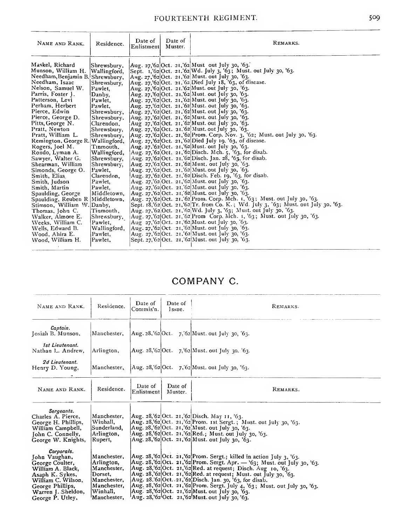| Residence.                                                                                                                                                                                                                                                                                                                                                                                                                                      | Date of | Date of<br>Muster. | REMARKS.                                                                                                                                                                                                                                                                                                                                                                                                                                                                                                                                                                                                                                                                                                                                                                                                                                                                                                                                                                                                                                                                                                            |
|-------------------------------------------------------------------------------------------------------------------------------------------------------------------------------------------------------------------------------------------------------------------------------------------------------------------------------------------------------------------------------------------------------------------------------------------------|---------|--------------------|---------------------------------------------------------------------------------------------------------------------------------------------------------------------------------------------------------------------------------------------------------------------------------------------------------------------------------------------------------------------------------------------------------------------------------------------------------------------------------------------------------------------------------------------------------------------------------------------------------------------------------------------------------------------------------------------------------------------------------------------------------------------------------------------------------------------------------------------------------------------------------------------------------------------------------------------------------------------------------------------------------------------------------------------------------------------------------------------------------------------|
| Shrewsbury,<br>Wallingford,<br>Needham,Benjamin B. Shrewsbury,<br>Shrewsbury,<br>Pawlet.<br>Danby,<br>Pawlet,<br>Pawlet,<br>Shrewsbury,<br>Shrewsbury,<br>Clarendon,<br>Shrewsbury.<br>Shrewsbury,<br>Wallingford,<br>Tinmouth,<br>Wallingford,<br>Shrewsburv,<br>Shrewsbury,<br>Pawlet.<br>Clarendon,<br>Pawlet.<br>Pawlet.<br>Middletown,<br>Middletown,<br>Stimson, William W. Danby,<br>Tinmouth,<br>Shrewsbury,<br>Pawlet,<br>Wallingford, |         |                    | Sept. 1,'62 Oct. 21,'62 Wd. July 3, '63; Must. out July 30, '63.<br>Aug. 27, 62 Oct. 21, 62 Died July 18, 63, of discase.<br>Aug. 27,'62 Oct. 21,'62 Prom. Corp. Nov. 3, '62; Must. out July 30, '63.<br>Aug. 27, 62 Oct. 21, 62 Died July 19. 63, of disease.<br>Aug. 27, 62 Oct. 21, 62 Disch. Mch. 5, '63, for disab.<br>Aug. 27, 62 Oct. 21, 62 Disch. Jan. 28, 63, for disab.<br>Aug. 27, $62$ Oct. 21, $62$ Disch. Feb. 19, $63$ for disab.<br>Aug. 27,'62 Oct. 21, 62 Prom. Corp. Mch. 1, '63; Must. out July 30, '63.<br>Sept. 18,'62 Oct. 21,'62 Tr. from Co. K.; Wd. July 3, '63; Must. out July 30, '63.<br>Aug. 27, 62 Oct. 21, 62 Wd. July 3, 63; Must. out July 30, 63.<br>Aug. 27,'62 Oct. 21, 62 Prom Corp. Mch. 1, '63; Must. out July 30, '63.                                                                                                                                                                                                                                                                                                                                                    |
| Pawlet,                                                                                                                                                                                                                                                                                                                                                                                                                                         |         |                    |                                                                                                                                                                                                                                                                                                                                                                                                                                                                                                                                                                                                                                                                                                                                                                                                                                                                                                                                                                                                                                                                                                                     |
|                                                                                                                                                                                                                                                                                                                                                                                                                                                 | Pawlet, |                    | Enlistment<br>Aug. 27,'62 Oct. 21,'62 Must out July 30, '63.<br>Aug. 27, 62 Oct. 21, 62 Must. out July 30, 63.<br>Aug. 27,'62 Oct. 21.'62 Must. out July 30, '63.<br>Aug. 27, 62 Oct. 21, 62 Must. out July 30, 63.<br>Aug. 27,'62 Oct. 21, 62 Must. out July 30, '63.<br>Aug. 27,'62 Oct. 21,'62 Must. out July 30, '63.<br>Aug. 27, 62 Oct. 21, 62 Must. out July 30, 63.<br>$ Aug. 27,'62 Oct. 21,'62  Must. out July 30,'63.$<br>Aug 27, 62 Oct. 21, 62 Must. out July 30, 63.<br>Aug. 27, 62 Oct. 21. 62 Must. out July 30, 63.<br>$\text{Aug. } 27, \text{'62} \text{/Oct. } 21, \text{'62} \text{/Must out}$ fuly 30, '63.<br>Aug. 27, $62$ Oct. 21, $62$ Must. out July 30, $63$ .<br>Aug. 27,'62 Oct. 21, 62 Must. out July 30, 63.<br>Aug. 27,'62 Oct. 21,'62 Must. out July 30, '63.<br>Aug. 27,'62 Oct. 21.'62 Must. out July 30, '63.<br>Aug. 27, $62 Oct. 21.62  Must. out July 30, 63.$<br>Aug. 27,'62 Oct. 21,'62 Must. out July 30, '63.<br>Aug. 27,'62 Oct. 21,'62 Must. out July 30, '63.<br>Aug. 27,'62 Oct. 21,'62 Must. out July 30, '63.<br>Sept. 27,'62 Oct. 21, 62 Must. out July 30, '63. |

## COMPANY C.

| NAME AND RANK.                                                                                                                                                             | Residence.                                                                                                   | Date of<br>Commis'n.  | Date of<br>Issue.  | REMARKS.                                                                                                                                                                                                                                                                                                                                                                                                                                                                                                                                          |
|----------------------------------------------------------------------------------------------------------------------------------------------------------------------------|--------------------------------------------------------------------------------------------------------------|-----------------------|--------------------|---------------------------------------------------------------------------------------------------------------------------------------------------------------------------------------------------------------------------------------------------------------------------------------------------------------------------------------------------------------------------------------------------------------------------------------------------------------------------------------------------------------------------------------------------|
| Captain.<br>Josiah B. Munson,                                                                                                                                              | Manchester,                                                                                                  |                       |                    | Aug. 28, $62 Oct. 7, 62  Must. out July 30, 63.$                                                                                                                                                                                                                                                                                                                                                                                                                                                                                                  |
| 1st Lieutenant.<br>Nathan L. Andrew,                                                                                                                                       | Arlington,                                                                                                   |                       |                    | Aug. 28,'62 Oct. 7,'62 Must. out July 30, '63.                                                                                                                                                                                                                                                                                                                                                                                                                                                                                                    |
| 2d Lieutenant.<br>Henry D. Young,                                                                                                                                          | Manchester,                                                                                                  | Aug. 28, 62 Oct.      |                    | 7, 62 Must. out July 30, '63.                                                                                                                                                                                                                                                                                                                                                                                                                                                                                                                     |
| NAME AND RANK.                                                                                                                                                             | Residence.                                                                                                   | Date of<br>Enlistment | Date of<br>Muster. | REMARKS.                                                                                                                                                                                                                                                                                                                                                                                                                                                                                                                                          |
| Sergeants.<br>Charles A. Pierce,<br>George H. Phillips,<br>William Campbell,<br>John C. Connelly,<br>George W. Knights,                                                    | Manchester,<br>Winhall,<br>Sunderland,<br>Arlington,<br> Rupert,                                             |                       |                    | Aug. 28,'62 Oct. 21, 62 Disch. May 11, '63.<br>Aug. 28,'62 Oct. 21,'62 Prom. 1st Sergt.; Must. out July 30, '63.<br>Aug. 28,'62 Oct. 21,'62 Must. out July 30, '63.<br>Aug. 28,'62 Oct. 21, 62 Red.; Must. out July 30, '63.<br>Aug. 28, 62 Oct. 21, 62 Must. out July 30, 63.                                                                                                                                                                                                                                                                    |
| Corporals.<br>John Vaughan,<br>George Coulter,<br>William A. Black,<br>Asaph K. Sykes,<br>William C. Wilson,<br>George Phillips,<br>Warren J. Sheldon,<br>George P. Utley, | Manchester,<br>Arlington,<br>Manchester,<br>Dorset,<br>Manchester,<br>Manchester,<br>Winhall,<br>Manchester, |                       |                    | Aug. 28,'62 Oct. 21,'62 Prom. Sergt.; killed in action July 3, '63.<br>Aug. 28,'62 Oct. 21,'62 Prom. Sergt. Apr. - '63; Must. out July 30, '63.<br>Aug. 28,'62 Oct. 21,'62 Red. at request; Disch. Aug 10, '63.<br>Aug. 28, 62 Oct. 21, 62 Red. at request; Must. out July 30, 63.<br>Aug. 28. 62 Oct. . 21, 62 Disch. Jan. 30, '63, for disab.<br>Aug. 28,'62 Oct. 21,'62 Prom. Sergt. July 4, '63; Must. out July 30, '63.<br>Aug. 28,'62 Oct. 21,'62 Must. out July 30, '63.<br>Aug. 28, $62^{1}$ Oct. 21, $62^{1}$ Must. out July 30, $763$ . |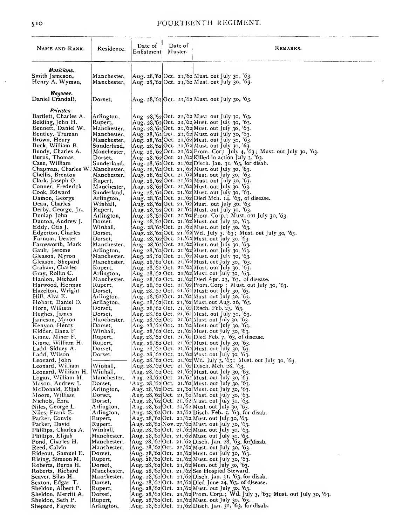| NAME AND RANK.                            | Residence.                 | Date of<br>Enlistment | Date of<br>Muster. | REMARKS.                                                                                                                           |
|-------------------------------------------|----------------------------|-----------------------|--------------------|------------------------------------------------------------------------------------------------------------------------------------|
| Musicians.                                |                            |                       |                    |                                                                                                                                    |
| Smith Jameson,                            | Manchester,                |                       |                    | Aug. 28,'62 Oct. 21,'62 Must. out July 30, '63.                                                                                    |
| Henry A. Wyman,                           | Manchester,                |                       |                    | Aug. 28,'62 Oct. 21,'62 Must. out July 30, '63.                                                                                    |
| Wagoner.<br>Daniel Crandall,              | Dorset,                    |                       |                    | Aug. 28,'62 Oct. 21,'62 Must. out July 30, '63.                                                                                    |
| Privates.                                 |                            |                       |                    |                                                                                                                                    |
| Bartlett, Charles A.                      | Arlington,                 |                       |                    | Aug 28,'62 Oct. 21,'62 Must out July 30, '63.                                                                                      |
| Belding, John H.<br>Bennett, Daniel W.    | Rupert,<br>Manchester.     |                       |                    | Aug. 28,'62 Oct. 21,'62 Must. out July 30, '63.<br>Aug. 28,'62 Oct. 21,'62 Must. out July 30, '63.                                 |
| Bentley, Truman                           | Manchester,                |                       |                    | Aug. 28,'62 Oct. 21,'62 Must. out July 30, '63.                                                                                    |
| Brown, Henry                              | Manchester.                |                       |                    | Aug. 28,'62 Oct. 21,'62 Must. out July 30, '63.                                                                                    |
| Buck, William B.<br>Bundy, Charles A.     | Sunderland,<br>Manchester, |                       |                    | Aug. 28,'62 Oct. 21,'62 Must. out July 30, '63.<br>Aug. 28, 62 Oct. 21, 62 Prom. Corp July 4, '63; Must. out July 30, '63.         |
| Burns, Thomas                             | Dorset,                    |                       |                    | Aug. 28, 62 Oct. 21, 62 Killed in action July 3, 63.                                                                               |
| Case, William                             | Sunderland,                |                       |                    | Aug. 28, 62 Oct. 21, 62 Disch. Jan. 31, 63, for disab.                                                                             |
| Chapman, Charles W. Manchester,           |                            |                       |                    | Aug. 28, $62 Oct. 21, 62  Must. out July 30, 63.$                                                                                  |
| Chellis, Brenton<br>Clark, Joseph O.      | Manchester,<br>Rupert,     |                       |                    | Aug. 28, 62 Oct. 21, 62 Must. out July 30, 63.<br>Aug. 28,'62 Oct. 21,'62 Must. out July 30, '63.                                  |
| Conner, Frederick                         | Manchester,                |                       |                    | Aug. 28,'62 Oct. 21,'62 Must. out July 30, '63.                                                                                    |
| Cook, Edward                              | Sunderland,                |                       |                    | Aug. 28, 62 Oct. 21, 62 Must. out July 30, 63.                                                                                     |
| Damon, George                             | Arlington,                 |                       |                    | Aug. 28, 62 Oct. 21, 62 Died Mch. 14, '63, of disease.                                                                             |
| Dean, Charles<br>Derby, George, Jr.,      | Winhall,<br>Rupert,        |                       |                    | Aug. 28,'62 Oct. 21,'62 Must. out July 30, '63.<br>Aug. 28,'62 Oct. 21,'62 Must. out July 30, '63.                                 |
| Dunlap John                               | Arlington,                 |                       |                    | Aug. 28,'62 Oct. 21,'62 Prom. Corp.; Must. out July 30, '63.                                                                       |
| Dunton, Andrew J.                         | Dorset.                    |                       |                    | Aug. 28,'62 Oct. 21, 62 Must. out July 30, '63.                                                                                    |
| Eddy, Otis J.<br>Edgerton, Charles        | Winhall,<br>Dorset,        |                       |                    | Aug. 28, 62 Oct. 21, 62 Must. out July 30, 63.<br>Aug. 28, 62 Oct. 21, 62 Wd. July 3, 63; Must. out July 30, 63.                   |
| Farnum, Dexter                            | Dorset,                    |                       |                    | Aug. 28,'62 Oct. 21,'62 Must. out July 30. '63.                                                                                    |
| Farnsworth, Mark                          | Manchester,                |                       |                    | Aug. 28,'62 Oct. 21,'62 Must. out July 30, '63.                                                                                    |
| Gault, Jerome                             | Arlington,                 |                       |                    | Aug. 28,'62 Oct. 21.'62 Must. out July 30, '63.                                                                                    |
| Gleason, Myron<br>Gleason, Shepard        | Manchester.<br>Manchester, |                       |                    | Aug. 28, $62$ Oct. 21, $62$ Must. out July 30, $63$ .<br>Aug. 28,'62 Oct. 21,'62 Must. out July 30, '63.                           |
| Graham, Charles                           | Rupert,                    |                       |                    | Aug. 28, 62 Oct. 21, 62 Must. out July 30. 63.                                                                                     |
| Gray, Rollin C.                           | Arlington,                 |                       |                    | Aug. 28, 62 Oct. 21, 62 Must. out July 30, 63.                                                                                     |
| Hanlon, Michael<br>Harwood, Herman        | Manchester,                |                       |                    | Aug. $28$ , $62$ Oct. $21$ , $62$ Died Apr. 23, $63$ , of disease.<br>Aug. 28,'62 Oct. 21,'62 Prom. Corp ; Must. out July 30, '63. |
| Hazelton, Wright                          | Rupert,<br>Dorset,         |                       |                    | Aug. 28, '62 Oct. 21, '62 Must. out July 30, '63.                                                                                  |
| Hill, Alva E.                             | Arlington,                 |                       |                    | Aug. 28,'62 Oct. 21,'62 Must. out July 30, '63.                                                                                    |
| Hobart, Daniel O.                         | Arlington,                 |                       |                    | Aug. 28,'62 Oct. 21,'62 Must. out Aug. 26, '63.                                                                                    |
| Horn, William<br>Hughes, James            | Dorset,<br>Dorset,         |                       |                    | Aug. 28,'62 Oct. 21, 62 Disch. Feb. 23, '63.<br>Aug. 28,'62 Oct. 21,'62 Must. out July 30, '63.                                    |
| Jameson, Myron                            | Manchester,                |                       |                    | Aug. 28,'62 Oct. 21,'62 Must. out July 30, '63.                                                                                    |
| Kenyon, Henry                             | Dorset,                    |                       |                    | Aug. 28,'62 Oct. 21,'62 Must. out July 30, '63.                                                                                    |
| Kidder, Dana F<br>Kinne, Miner F.         | Winhall,<br>Rupert,        |                       |                    | Aug. 28,'62 Oct. 21,'62 Must. out July 30, '63.<br>Aug. 28, 62 Oct. 21, 62 Died Feb. 7, 63, of disease.                            |
| Kinne, William H.                         | Rupert,                    |                       |                    | Aug. 28,'62 Oct. 21,'62 Must. out July 30, '63.                                                                                    |
| Ladd, Sidney A.                           | Dorset,                    |                       |                    | Aug. 28.'62 Oct. 21,'62 Must. out July 30, '63.                                                                                    |
| Ladd, Wilson<br>Leouard, John             | Dorset,                    |                       |                    | Aug. 28, 62 Oct. 21, 62 Must. out July 30, 63.                                                                                     |
| Leonard, William                          | Winhall,                   |                       |                    | Aug. 28,'62 Oct. 21,'62 Wd. July 3, '63; Must. out July 30, '63.<br>Aug. 28, 62 Oct. 21, 62 Disch. Mch. 28, 63.                    |
| Leonard, William H.                       | Winhall,                   |                       |                    | Aug. 28, '62 Oct. 21, '62 Must. out July 30, '63.                                                                                  |
| Logan, William M.                         | Manchester,                |                       |                    | Aug. 28,'62 Oct. 21,'62 Must. out July 30, '63.                                                                                    |
| Mason, Andrew J.<br>McDonald, Elijah      | Dorset,<br>Arlington,      |                       |                    | Aug. 28, 62 Oct. 21, 62 Must. out July 30, 63.<br>Aug. 28,'62 Oct. 21,'62 Must. out July 30, '63.                                  |
| Moore, William                            | Dorset,                    |                       |                    | Aug. 28, 62 Oct. 21, 62 Must. out July 30, '63.                                                                                    |
| Nichols, Ezra                             | Dorset,                    |                       |                    | Aug. 28,'62 Oct. 21,'62 Must. out July 30, '63.                                                                                    |
| Niles, George L.<br>Niles, Frank E.       | Arlington,<br>Arlington,   |                       |                    | Aug. 28,'62 Oct. 21,'62 Must. out July 30, '63.<br>Aug. 28,'62 Oct. 21,'62 Disch. Feb. 5, '63, for disab.                          |
| Parker, Convis                            | Rupert,                    |                       |                    | Aug. 28,'62 Oct. 21,'62 Must. out July 30, '63.                                                                                    |
| Parker, David                             | Rupert,                    |                       |                    | Aug. 28, 62 Nov. 27, 62 Must. out July 30, 63.                                                                                     |
| Phillips, Charles A.                      | Winhall,                   |                       |                    | Aug. 28, '62 Oct. 21, '62 Must. out July 30, '63.                                                                                  |
| Phillips, Elijah<br>Pond, Charles H.      | Manchester,<br>Manchester, |                       |                    | Aug. 28, 62 Oct. 21, 62 Must. out July 30, 63.<br>Aug. 28, 62 Oct. 21, 62 Disch. Jan. 28, 63, for disab.                           |
| Reed, Calvin                              | Manchester,                |                       |                    | Aug. 28,'62 Oct. 21,'62 Must. out July 30, '63.                                                                                    |
| Rideout, Samuel E.                        | Dorset,                    |                       |                    | Aug. 28, 62 Oct. 21, 62 Must. out July 30, 63.                                                                                     |
| Rising, Simeon M.                         | Rupert,                    |                       |                    | Aug. 28,'62 Oct. 21,'62 Must. out July 30, '63.                                                                                    |
| Roberts, Burns H.<br>Roberts, Richard     | Dorset,<br>Manchester,     |                       |                    | Aug. 28,'62 Oct. 21,'62 Must. out July 30, '63.<br>Aug. 28,'62 Oct. 21,'62 See Hospital Steward.                                   |
| Seaver, Silas H.                          | Manchester,                |                       |                    | Aug. 28,'62 Oct. 21,'62 Disch. Jan. 31, '63, for disab.                                                                            |
| Sexton, Edgar T.                          | Dorset,                    |                       |                    | Aug. 28.'62 Oct. 21,'62 Died June 24, '63, of disease.                                                                             |
| Sheldon, Albert P.<br>Sheldon, Merritt A. | Rupert,<br>Dorset,         |                       |                    | Aug. 28,'62 Oct. 21,'62 Must. out July 30, '63.<br>Aug. 28, 62 Oct. 21, 62 Prom. Corp.; Wd. July 3, 63; Must. out July 30, 63.     |
| Sheldon, Seth P.                          | Rupert,                    |                       |                    | Aug. 28,'62 Oct. 21,'62 Must. out July 30, '63.                                                                                    |
| Shepard, Fayette                          | Arlington,                 |                       |                    | lAug. 28,'62 Oct. 21,'62 Disch. Jan. 31, '63, for disab.                                                                           |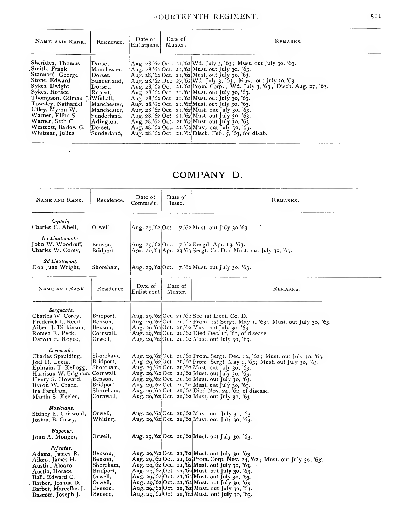| NAME AND RANK.                                                                                                                                                                                                                                                   | Residence.                                                                                                                                                    | Date of<br>Enlistment | Date of<br>Muster. | REMARKS.                                                                                                                                                                                                                                                                                                                                                                                                                                                                                                                                                                                                                                                                                                                                                                 |  |
|------------------------------------------------------------------------------------------------------------------------------------------------------------------------------------------------------------------------------------------------------------------|---------------------------------------------------------------------------------------------------------------------------------------------------------------|-----------------------|--------------------|--------------------------------------------------------------------------------------------------------------------------------------------------------------------------------------------------------------------------------------------------------------------------------------------------------------------------------------------------------------------------------------------------------------------------------------------------------------------------------------------------------------------------------------------------------------------------------------------------------------------------------------------------------------------------------------------------------------------------------------------------------------------------|--|
| Sheridan, Thomas<br>Smith, Frank<br>Stannard, George<br>Stone, Edward<br>Sykes, Dwight<br>Sykes, Horace<br>Thompson, Gilman LiWinhall,<br>Towsley, Nathaniel<br>Utley, Myron W.<br>Warger, Elihu S.<br>Warner, Seth C.<br>Westcott, Barlow G.<br>Whitman, Julius | Dorset.<br>Manchester.<br>Dorset,<br> Sunderland.<br>Dorset,<br>!Rupert.<br>Manchester,<br>Manchester,<br>Sunderland.<br>Arlington,<br>Dorset.<br>Sunderland. |                       |                    | Aug. 28,'62 Oct. 21,'62 Wd. July 3, '63; Must. out July 30, '63.<br>Aug. 28.'62 Oct. 21.'62 Must. out July 30, '63.<br>$ Aug. 28, 62 Oct. 21, 62  Must. out July 30, 63.$<br>$Aug. 28.62$ Dec 27, 62 Wd. July 3, 63; Must. out July 30, 63.<br>$\text{Aug. } 28.62$ Oct. 21, 62 Prom. Corp.; Wd. [uly 3, 63; Disch. Aug. 27, 63.<br>Aug. 28, 62 Oct. 21, 62 Must. out July 30, 63.<br>Aug 28,'62 Oct. 21, 62 Must. out July 30, '63.<br>Aug. 28, 62 Oct. 21, 62 Must. out July 30, 63.<br>Aug. 28, 62 Oct. 21, 62 Must. out July 30, 63.<br>$Au\bar{g}$ . 28, 62 Oct. 21, 62 Must. out July 30, 63.<br>Aug. 28, 62 Oct. 21, 62 Must. out July 30, 63.<br>Aug. 28, $62 0ct. 21$ , $62 Must. 001 $ July 30, $63$ .<br>Aug. 28, 62 Oct 21, 62 Disch. Feb. 5, 63, for disab. |  |
|                                                                                                                                                                                                                                                                  |                                                                                                                                                               |                       |                    |                                                                                                                                                                                                                                                                                                                                                                                                                                                                                                                                                                                                                                                                                                                                                                          |  |

## COMPANY D.

Τ

 $\sim 10^{-11}$ 

| NAME AND RANK.                                                                                                                                                                          | Residence.                                                                                 | Date of<br>Commis'n.  | Date of<br>Issue.  | REMARKS.                                                                                                                                                                                                                                                                                                                                                                                                                                                               |
|-----------------------------------------------------------------------------------------------------------------------------------------------------------------------------------------|--------------------------------------------------------------------------------------------|-----------------------|--------------------|------------------------------------------------------------------------------------------------------------------------------------------------------------------------------------------------------------------------------------------------------------------------------------------------------------------------------------------------------------------------------------------------------------------------------------------------------------------------|
| Captain.<br>Charles E. Abell,                                                                                                                                                           | Orwell,                                                                                    |                       |                    | Aug. 29,'62 Oct. 7,'62 Must. out July 30 '63.                                                                                                                                                                                                                                                                                                                                                                                                                          |
| 1st Lieutenants.<br>John W. Woodruff,<br>Charles W. Corey,                                                                                                                              | Benson,<br>Bridport,                                                                       |                       |                    | Aug. 29, 62 Oct. 7, 62 Resgd. Apr. 13, '63.<br>Apr. 20,'63 Apr. 23,'63 Sergt. Co. D.; Must. out July 30, '63.                                                                                                                                                                                                                                                                                                                                                          |
| 2d Lieutenant.<br>Don Juan Wright,                                                                                                                                                      | Shoreham,                                                                                  |                       |                    | Aug. 29,'62 Oct. 7, 62 Must. out July 30, '63.                                                                                                                                                                                                                                                                                                                                                                                                                         |
| NAME AND RANK.                                                                                                                                                                          | Residence.                                                                                 | Date of<br>Enlistment | Date of<br>Muster. | REMARKS.                                                                                                                                                                                                                                                                                                                                                                                                                                                               |
| Sergeants.<br>Charles W. Corey,<br>Frederick L. Reed,<br>Albert J. Dickinson,<br>Romeo R. Peck,<br>Darwin E. Royce,                                                                     | Bridport,<br>Benson,<br>Benson,<br>Cornwall,<br>Orwell,                                    |                       |                    | Aug. 29,'62 Oct. 21,'62 See 1st Lieut. Co. D.<br>Aug. 29, 62 Oct. 21, 62 Prom. 1st Sergt. May 1, 63; Must. out July 30, 63.<br>Aug. 29, 62 Oct. 21, 62 Must. out July 30, 63.<br>Aug. 29, 62 Oct. 21, 62 Died Dec. 12, 62, of disease.<br>Aug. 29,'62 Oct. 21,'62 Must. out July 30, '63.                                                                                                                                                                              |
| Corporals.<br>Charles Spaulding,<br>Joel H. Lucia,<br>Ephraim T. Kellogg,<br>Harrison W. Brigham, Cornwall,<br>Henry S. Howard,<br>Byron W. Crane,<br>Ira Farnham,<br>Martin S. Keeler, | Shoreham,<br>Bridport,<br> Shoreham,<br>Benson,<br>Bridport,<br>Shoreham,<br>Cornwall,     |                       |                    | Aug. 29, 62 Oct. 21, 62 Prom. Sergt. Dec. 12, 62; Must. out July 30, 63.<br>Aug. 29, 62 Oct. 21, 62 Prom Sergt May 1. 63; Must. out July 30, 63.<br>Aug. 29,'62 Oct. 21, 62 Must. out July 30, '63.<br>Aug. 29, 62 Oct 21, 62 Must. out July 30, 63.<br>Aug. 29,'62 Oct. 21,'62 Must. out July 30, '63.<br>Aug. 29,'62 Oct. 21,'62 Must. out July 30, '63.<br>Aug. 29, 62 Oct. 21, 62 Died Nov. 24, 62. of disease.<br>Aug. 29, 62 Oct. 21, 62 Must. out July 30, '63. |
| Musicians.<br>Sidney E. Griswold,<br>Joshua B. Casey,                                                                                                                                   | Orwell,<br>Whiting,                                                                        |                       |                    | Aug. 29,'62 Oct. 21,'62 Must. out July 30, '63.<br>Aug. 29, 62 Oct. 21, 62 Must. out July 30, 63.                                                                                                                                                                                                                                                                                                                                                                      |
| Wagoner.<br>John A. Monger,                                                                                                                                                             | Orwell,                                                                                    |                       |                    | Aug. 29,'62 Oct. 21,'62 Must. out July 30, '63.                                                                                                                                                                                                                                                                                                                                                                                                                        |
| Privates.<br>Adams, James R.<br>Aiken, James H.<br>Austin, Alonzo<br>Austin, Horace<br>Ball, Edward C.<br>Barber, Joshua D.<br>Barber, Marcellus J.<br>Bascom, Joseph J.                | Benson,<br>Benson,<br>Shoreham,<br>Bridport,<br>Orwell,<br> Orwell,<br>Benson,<br>lBenson, |                       |                    | Aug. 29,'62 Oct. 21,'62 Must. out July 30, '63.<br>Aug. 29, 62 Oct. 21, 62 Prom. Corp. Nov. 24, 62; Must. out July 30, 63.<br>Aug. 29,'62 Oct. 21,'62 Must. out July 30, '63.<br>Aug. 29,'62 Oct. 21,'62 Must. out July 30, '63.<br>Aug. 29, 62 Oct. 21, 62 Must. out July 30, 63.<br>Aug. 29, 62 Oct. 21, 62 Must. out July 30, 63.<br>Aug. 29,'62 Oct. 21,'62 Must. out July 30, '63.<br>Aug. 29, 62 Oct. 21, 62 Must. out July 30, 63.                              |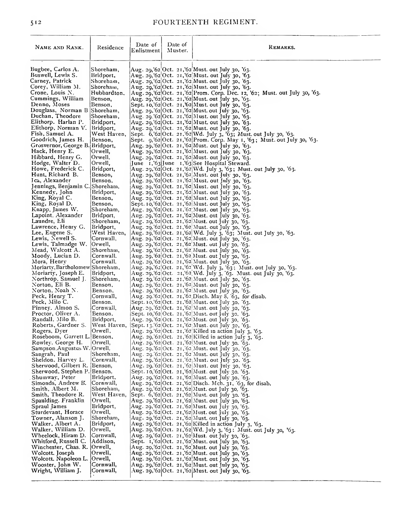| NAME AND RANK.                                   | Residence              | Date of<br>Enlistment | Date of<br>Muster. | KEMARKS.                                                                                                |
|--------------------------------------------------|------------------------|-----------------------|--------------------|---------------------------------------------------------------------------------------------------------|
|                                                  |                        |                       |                    |                                                                                                         |
| Bugbee, Carlos A.                                | Shoreham,              |                       |                    | Aug. 29,'62'Oct. 21,'62'Must. out July 30, '63.                                                         |
| Buswell, Lewis S.                                | Bridport,              |                       |                    | Aug. 29,'62'Oct. 21,'62 Must. out July 30, '63.                                                         |
| Carney, Patrick                                  | Shoreham,              |                       |                    | Aug. 29,'62 Oct. 21,'62 Must. out July 30, '63.                                                         |
| Corey, William M.                                | Shoreham,              |                       |                    | Aug. 29,'62 Oct. 21,'62 Must. out July 30, '63.                                                         |
| Crone. Louis N.                                  | Hubbardton,            |                       |                    | Aug. 29,'62 Oct. 21,'62 Prom. Corp. Dec. 12, '62; Must. out July 30, '63.                               |
| Cummings, William                                | Benson,                |                       |                    | Aug. 29,'62 Oct. 21,'62 Must. out July 30, '63.                                                         |
| Denno, Moses                                     | Benson,                |                       |                    | Sept. 10,'62 Oct. 21,'62 Must. out July 30, '63.                                                        |
| Douglass, Norman B<br>Duchan, Theodore           | Shoreham,              |                       |                    | Aug. 29, 62 Oct. 21, 62 Must. out July 30, 63.<br>Aug. 29.'62 Oct. 21,'62 Must. out July 30, '63.       |
| Elithorp. Harlan P.                              | Shoreham,<br>Bridport, |                       |                    | Aug. 29, $62$ Oct. 21, $62$ Must. out July 30, $63$ .                                                   |
| Elithorp, Norman V.                              | Bridport,              |                       |                    | Aug. 29,'62 Oct. 21,'62 Must. out July 30, '63.                                                         |
| Fish, Samuel A.                                  | West Haven,            |                       |                    | Sept. 6,'62 Oct. 21, 62 Wd. July 3, '63; Must. out July 30, '63.                                        |
| Goodrich, James H.                               | Benson,                |                       |                    | Sept. 9,'62 Oct. 21,'62 Prom. Corp. May 1, '63; Must. out July 30, '63.                                 |
| Grosvernor, George B. Bridport,                  |                        |                       |                    | Aug. 29, $62$ Oct. 21, $62$ Must. out July 30, $63$ .                                                   |
| Hack, Henry E.                                   | Orwell,                |                       |                    | Aug. 29, 62 Oct. 21, 62 Must. out July 30, 63.                                                          |
| Hibbard, Henry G.                                | Orwell.                |                       |                    | Aug. 29,'62 Oct. 21,'62 Must. out July 30, '63.                                                         |
| Hodge, Walter D.                                 | Orwell,                |                       |                    | June 1,'63 June 1,'63 See Hospital Steward.                                                             |
| Howe, Frederick C.                               | Bridport,              |                       |                    | Aug. 29, 62 Oct. 21, 62 Wd. July 3, 63; Must. out July 30, 63.                                          |
| Hunt, Richard B.                                 | Benson,                |                       |                    | Aug. 29,'62 Oct. 21,'62 Must. out July 30, '63.                                                         |
| Ica, Alexander                                   | Benson,                |                       |                    | Aug. 29,'62 Oct. 21,'62 Must. out July 30, '63.                                                         |
| Jennings, Benjamin C.                            | Shoreham,              |                       |                    | Aug. 29,'62 Oct. 21,'62 Must. out July 30, '63.                                                         |
| Kennedy, John                                    | Bridport,              |                       |                    | Aug. 29, 62 Oct. 21, 62 Must. out July 30, 63.                                                          |
| King, Royal C.                                   | Benson,                |                       |                    | Aug. 29,'62 Oct. 21,'62 Must. out July 30, '63.                                                         |
| King, Royal D.                                   | Benson,                |                       |                    | Sept. 10,'62 Oct. 21,'62 Must. out July 30, '63.                                                        |
| Knapp, James W.                                  | Shoreham,              |                       |                    | Aug. 29,'62 Oct. 21.'62 Must. out July 30, '63.                                                         |
| Lapoint. Alexander<br>Laundre, Eli               | Bridport,              |                       |                    | Aug. 29, 62 Oct. 21, 62 Must. out July 30, 63.                                                          |
| Lawrence, Henry G.                               | Shoreham,<br>Bridport, |                       |                    | Aug. 29,'62 Oct. 21,'62 Must. out July 30, '63.<br>Aug. 29,'62 Oct. 21,'62 Must. out July 30, '63.      |
| Lee, Eugene S.                                   | West Haven,            |                       |                    | Aug. 29,'62 Oct. 21,'62 Wd. July 3, '63; Must. out July 30, '63.                                        |
| Lewis, Newell S.                                 | Cornwall,              |                       |                    | Aug. 29, '62 Oct. 21, '62  Must. out July 30, '63.                                                      |
| Lewis, Talmadge W.                               | Orwell,                |                       |                    | Aug. 29, 62 Oct. 21, 62 Must. out July 30, 63.                                                          |
| Mead, Walcott A.                                 | Shoreham,              |                       |                    | Aug. 29,'62 Oct. 21,'62 Must. out July 30, '63.                                                         |
| Moody, Lucian D.                                 | Cornwall,              |                       |                    | Aug. 29, 62 Oct. 21, 62 Must. out July 30, '63.                                                         |
| Mora, Henry                                      | Cornwall.              |                       |                    | Aug. 29,'62 Oct. 21,'62 Must. out July 30, '63.                                                         |
| Moriarty, Bartholomew Shoreham,                  |                        |                       |                    | Aug. 29, 62 Oct. 21, 62 Wd. July 3, 63; Must. out July 30, 63.                                          |
| Moriarty, Joseph E.                              | Bridport,              |                       |                    | Aug. 29, 62 Oct. 21, 62 Wd. July 3, 63. Must. out July 30, 63.                                          |
| Northrop, Samuel J.<br>Norton, Eli B.            | Shoreham,              |                       |                    | Aug. 29,'62 Oct. 21,'62 Must. out July 30, '63.                                                         |
| Norton, Noah N.                                  | Benson,<br>Benson,     |                       |                    | Aug. 29, 62 Oct. 21, 62 Must. out July 30, 63.<br>Aug. 29,'62 Oct. 21,'62 Must. out July 30, '63.       |
| Peck, Henry T.                                   | Cornwall,              |                       |                    | Aug. 29.'62 Oct. 21, 62 Disch. May 8, 63, for disab.                                                    |
| Peck, Milo C.                                    | Benson.                |                       |                    | Sept. 10,'62 Oct. 21,'62 Must. out July 30. 63.                                                         |
| Pinney, Almon S.                                 | Cornwall,              |                       |                    | Aug. 29, 62 Oct. 21, 62 Must. out July 30, 63.                                                          |
| Proctor, Oliver A.                               | Benson.                |                       |                    | Sept. 10,'62 Oct. 21,'62 Must. out July 30. '63.                                                        |
| Randall, Milo B.                                 | Bridport,              |                       |                    | Aug. 29, 62 Oct. 21, 62 Must. out July 30, 63.                                                          |
| Roberts, Gardner S.                              | West Haven,            |                       |                    | Sept. 13, 62 Oct. 21, 62 Must. out July 30, 63.                                                         |
| Rogers, Dyer                                     | Orwell,                |                       |                    | Aug. 29.'62 Oct. 21, 62 Killed in action July 3, '63.                                                   |
| Roseboom, Garrett L. Benson,                     |                        |                       |                    | Aug. 29, 62 Oct. 21, 62 Killed in action July 3, 63.                                                    |
| Rowley. George H.<br>Sampson Augustus W. Orwell. | Orwell,                |                       |                    | Aug. 29.'62 Oct. 21, 62 Must. out July 30. 63.                                                          |
| Sangrah, Paul                                    | Shoreham,              |                       |                    | Aug. 29, 62 Oct. 21, 62 Must. out July 30, 63.<br>Aug. 29. 62 Oct. 21, 62 Must. out July 30, 63.        |
| Sheldon, Harvey L.                               | Cornwall.              |                       |                    | Aug. 29, $62$ Oct. 21, $62$ Must. out July 30, 63.                                                      |
| Sherwood, Gilbert R.  Benson,                    |                        |                       |                    | Aug. 29, 62 Oct. 21, 62 Must. out July 30, 63.                                                          |
| Sherwood, Stephen P. Benson,                     |                        |                       |                    | Sept. 10, 62 Oct. 21, 62 Must. out July 30. 63.                                                         |
| Shumway, Peter                                   | Bridport,              |                       |                    | Aug. 29,'62 Oct. 21,'62 Must. out July 30, '63.                                                         |
| Simonds, Andrew B.                               | Cornwall,              |                       |                    | Aug. 29, '62 Oct. 21, '62 Disch. Mch. 31, '63, for disab.                                               |
| Smith, Albert M.                                 | Shoreham,              |                       |                    | Aug. 29,'62 Oct. 21,'62 Must. out July 30, '63.                                                         |
| Smith, Theodore R.                               | West Haven,            |                       |                    | Sept. 6, 62 Oct. 21, 62 Must. out July 30. 63.                                                          |
| Spaulding. Franklin                              | Orwell,                |                       |                    | Aug. 29,'62 Oct. 21,'62 Must. out July 30, '63.                                                         |
| Spraul James                                     | Bridport,              |                       |                    | Aug. 29, 62 Oct. 21. 62 Must. out July 30, 63.                                                          |
| Sturdevant, Horace                               | Orwell.<br>Shoreham,   |                       |                    | Aug. 29.'62 Oct. 21,'62 Must. out July 30, '63.                                                         |
| Towner, Alanson J.<br>Walker, Albert A.          | Bridport,              |                       |                    | Aug. 29,'62 Oct. 21,'62 Must. out July 30, '63.<br>Aug. 29, 62 Oct. 21, 62 Killed in action July 3, 63. |
| Walker, William D.                               | Orwell,                |                       |                    | Aug. 29,'62 Oct. 21,'62 Wd. July 3, '63: Must. out July 30, '63.                                        |
| Wheelock, Hiram D.                               | Cornwall,              |                       |                    | Aug. 29, 62 Oct. 21, 62 Must. out July 30, 63.                                                          |
| Whitford, Russell C.                             | Addison,               |                       |                    | Sept. 1,'62 Oct. 21,'62 Must. out July 30, '63.                                                         |
| Winchester, Chas. R. [Orwell,                    |                        |                       |                    | Aug. 29,'62 Oct. 21,'62 Must. out July 30, '63.                                                         |
| Wolcott. Joseph                                  | Orwell,                |                       |                    | Aug. 29, 62 Oct. 21, 62 Must. out July 30, 63.                                                          |
| Wolcott, Napoleon L.                             | Orwell,                |                       |                    | Aug. 29,'62 Oct. 21,'62 Must. out July 30, '63.                                                         |
| Wooster, John W.                                 | Cornwall,              |                       |                    | Aug. 29,'62 Oct. 21,'62 Must. out July 30, '63.                                                         |
| Wright, William J.                               | Cornwall,              |                       |                    | Aug. 29,'62 Oct. 21,'62 Must. out July 30, '63.                                                         |
|                                                  |                        |                       |                    |                                                                                                         |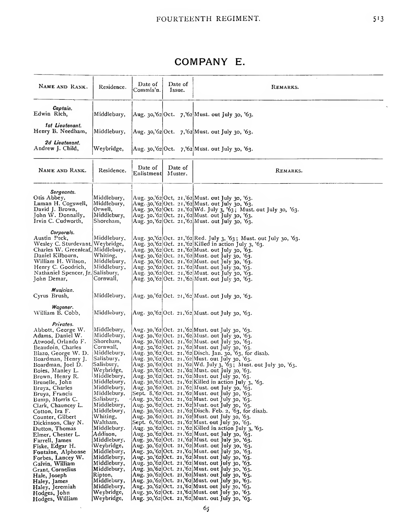## COMPANY E.

| NAME AND RANK.                                                                                                                                                                                                                                                                                                                                                                                                                                                                                                                                                                                                        | Residence.                                                                                                                                                                                                                                                                                                                                                                                                                             | Date of<br>Commis'n.  | Date of<br>Issue.  | REMARKS.                                                                                                                                                                                                                                                                                                                                                                                                                                                                                                                                                                                                                                                                                                                                                                                                                                                                                                                                                                                                                                                                                                                                                                                                                                                                                                                                                                                                                                                                                                                                                                                                                                 |
|-----------------------------------------------------------------------------------------------------------------------------------------------------------------------------------------------------------------------------------------------------------------------------------------------------------------------------------------------------------------------------------------------------------------------------------------------------------------------------------------------------------------------------------------------------------------------------------------------------------------------|----------------------------------------------------------------------------------------------------------------------------------------------------------------------------------------------------------------------------------------------------------------------------------------------------------------------------------------------------------------------------------------------------------------------------------------|-----------------------|--------------------|------------------------------------------------------------------------------------------------------------------------------------------------------------------------------------------------------------------------------------------------------------------------------------------------------------------------------------------------------------------------------------------------------------------------------------------------------------------------------------------------------------------------------------------------------------------------------------------------------------------------------------------------------------------------------------------------------------------------------------------------------------------------------------------------------------------------------------------------------------------------------------------------------------------------------------------------------------------------------------------------------------------------------------------------------------------------------------------------------------------------------------------------------------------------------------------------------------------------------------------------------------------------------------------------------------------------------------------------------------------------------------------------------------------------------------------------------------------------------------------------------------------------------------------------------------------------------------------------------------------------------------------|
| Captain.<br>Edwin Rich,                                                                                                                                                                                                                                                                                                                                                                                                                                                                                                                                                                                               | Middlebury,                                                                                                                                                                                                                                                                                                                                                                                                                            |                       |                    | Aug. 30,'62 Oct. 7,'62 Must. out July 30, '63.                                                                                                                                                                                                                                                                                                                                                                                                                                                                                                                                                                                                                                                                                                                                                                                                                                                                                                                                                                                                                                                                                                                                                                                                                                                                                                                                                                                                                                                                                                                                                                                           |
| 1st Lieutenant.<br>Henry B. Needham,                                                                                                                                                                                                                                                                                                                                                                                                                                                                                                                                                                                  | Middlebury,                                                                                                                                                                                                                                                                                                                                                                                                                            |                       |                    | Aug. 30,'62 Oct. 7,'62 Must. out July 30, '63.                                                                                                                                                                                                                                                                                                                                                                                                                                                                                                                                                                                                                                                                                                                                                                                                                                                                                                                                                                                                                                                                                                                                                                                                                                                                                                                                                                                                                                                                                                                                                                                           |
| 2d Lieutenant.<br>Andrew J. Child,                                                                                                                                                                                                                                                                                                                                                                                                                                                                                                                                                                                    | Weybridge,                                                                                                                                                                                                                                                                                                                                                                                                                             |                       |                    | Aug. 30,'62 Oct. 7,'62 Must. out July 30, '63.                                                                                                                                                                                                                                                                                                                                                                                                                                                                                                                                                                                                                                                                                                                                                                                                                                                                                                                                                                                                                                                                                                                                                                                                                                                                                                                                                                                                                                                                                                                                                                                           |
| NAME AND RANK.                                                                                                                                                                                                                                                                                                                                                                                                                                                                                                                                                                                                        | Residence.                                                                                                                                                                                                                                                                                                                                                                                                                             | Date of<br>Enlistment | Date of<br>Muster. | REMARKS.                                                                                                                                                                                                                                                                                                                                                                                                                                                                                                                                                                                                                                                                                                                                                                                                                                                                                                                                                                                                                                                                                                                                                                                                                                                                                                                                                                                                                                                                                                                                                                                                                                 |
| Sergeants.<br>Otis Abbey,<br>Luman H. Cogswell,<br>David J. Brown,<br>John W. Donnally,<br>Irvin C. Cudworth,                                                                                                                                                                                                                                                                                                                                                                                                                                                                                                         | Middlebury,<br>Middlebury,<br>Orwell,<br>Middlebury,<br>Shoreham,                                                                                                                                                                                                                                                                                                                                                                      |                       |                    | Aug. 30, 62 Oct, 21, 62 Must. out July 30, 63.<br>Aug. 30,'62 Oct. 21,'62 Must. out July 30, '63.<br>Aug. 30,'62 Oct. 21,'62 Wd. July 3, '63; Must. out July 30, '63.<br>Aug. 30.'62 Oct. 21, 62 Must. out July 30, '63.<br>Aug. 30, 62 Oct. 21, 62 Must. out July 30, 63.                                                                                                                                                                                                                                                                                                                                                                                                                                                                                                                                                                                                                                                                                                                                                                                                                                                                                                                                                                                                                                                                                                                                                                                                                                                                                                                                                               |
| Corporals.<br>Austin Peck,<br>Wesley C. Sturdevant, Weybridge,<br>Charles W. Greenleaf, Middlebury,<br>Daniel Kilbourn,<br>William H. Wilson,<br>Henry C. Goodrich,<br>Nathaniel Spencer, Jr. Salisbury,<br>John Demar,                                                                                                                                                                                                                                                                                                                                                                                               | Middlebury,<br>Whiting,<br>Middlebury,<br>Middlebury,<br>Cornwall,                                                                                                                                                                                                                                                                                                                                                                     |                       |                    | Aug. 30,'62 Oct. 21,'62 Red. July 3, '63; Must. out July 30, '63.<br>Aug. 30,'62 Oct. 21,'62 Killed in action July 3, '63.<br>Aug. 30,'62 Oct. 21,'62 Must. out July 30, '63.<br>Aug. 30,'62 Oct. 21,'62 Must. out July 30, '63.<br>Aug. 30, 62 Oct. 21, 62 Must. out July 30, 63.<br>Aug. 30, 62 Oct. 21, 62 Must. out July 30, 63.<br>Aug. 30,'62 Oct. 21,'62 Must. out July 30, '63.<br>Aug. 30,'62 Oct. 21,'62 Must. out July 30, '63.                                                                                                                                                                                                                                                                                                                                                                                                                                                                                                                                                                                                                                                                                                                                                                                                                                                                                                                                                                                                                                                                                                                                                                                               |
| Musician.<br>Cyrus Brush,                                                                                                                                                                                                                                                                                                                                                                                                                                                                                                                                                                                             | Middlebury,                                                                                                                                                                                                                                                                                                                                                                                                                            |                       |                    | Aug. 30,'62 Oct. 21,'62 Must. out July 30, '63.                                                                                                                                                                                                                                                                                                                                                                                                                                                                                                                                                                                                                                                                                                                                                                                                                                                                                                                                                                                                                                                                                                                                                                                                                                                                                                                                                                                                                                                                                                                                                                                          |
| Wagoner.<br>William B. Cobb,                                                                                                                                                                                                                                                                                                                                                                                                                                                                                                                                                                                          | Middlebury,                                                                                                                                                                                                                                                                                                                                                                                                                            |                       |                    | Aug. 30,'62 Oct. 21,'62 Must. out July 30, '63.                                                                                                                                                                                                                                                                                                                                                                                                                                                                                                                                                                                                                                                                                                                                                                                                                                                                                                                                                                                                                                                                                                                                                                                                                                                                                                                                                                                                                                                                                                                                                                                          |
| Privates.<br>Abbott, George W.<br>Adams, Daniel W.<br>Atwood, Orlando F.<br>Beaudoin, Charles<br>Blazo, George W. D.<br>Boardman, Henry J.<br>Boardman, Joel D.<br>Boies, Manley L.<br>Brown, Henry R.<br>Brunelle, John<br>Bruya, Charles<br>Bruya, Francis<br>Bump, Morris C.<br>Clark, Chauncey L.<br>Cotton, Ira F.<br>Counter, Gilbert<br>Dickinson, Clay N.<br>Dutton, Thomas<br>Elmer, Chester L.<br>Farrell, James<br>Fiske, Edgar H.<br>Fontaine, Alphonse<br>Forbes, Lancey W.<br>Galvin, William<br>Grant, Cornelius<br>Hale, Joseph<br>Haley, James<br>Haley, Jeremiah<br>Hodges, John<br>Hodges, William | Middlebury,<br>Middlebury,<br>Shoreham,<br>Cornwall,<br>Middlebury,<br>Salisbury,<br>Salisbury,<br>Weybridge,<br>Middlebury,<br>Middlebury,<br>Middlebury,<br>Middlebury,<br>Salisbury,<br>Middlebury,<br>Middlebury,<br>Whiting,<br>Waltham,<br>Middlebury.<br>Addison,<br>Middlebury,<br>Weybridge,<br>Middlebury,<br>Middlebury,<br>Middlebury,<br>Middlebury,<br>Ripton,<br>Middlebury,<br>Middlebury,<br>Weybridge,<br>Weybridge, |                       |                    | Aug. 30,'62 Oct. 21,'62 Must. out July 30, '63.<br> Aug. 30,'62 Oct. 21,'62 Must. out July 30, '63.<br>Aug. 30,'62 Oct. 21,'62 Must. out July 30, '63.<br>Aug. 30,'62 Oct. 21,'62 Must. out July 30, '63.<br>Aug. 30,'62 Oct. 21,'62 Disch. Jan. 30, '63, for disab.<br>Aug. 30, 62 Oct. 21, 62 Must. out July 30, 63.<br> Aug. 30,'62 Oct 21,'62 Wd. July 3, '63; Must. out July 30, '63.<br>Aug. 30, 62 Oct. 21, 62 Must. out July 30, 63.<br>Aug. 30, 62 Oct. 21, 62 Must. out July 30, 63.<br> Aug. 30,'62 Oct. 21,'62 Killed in action July 3, '63.<br>Aug. 30,'62 Oct. 21,'62 Must. out July 30, '63.<br>Sept. 8, 62 Oct. 21, 62 Must. out July 30, '63.<br>Aug. 30,'62 Oct. 21,'62 Must. out July 30, '63.<br>Aug. 30, 62 Oct. 21, 62 Must. out July 30, 63.<br>Aug. 30,'62 Oct. 21,'62 Disch. Feb. 2, '63, for disab.<br>Aug. 30, 62 Oct. 21, 62 Must. out July 30, 63.<br>Sept. $6, 62$ Oct. 21, $62$ Must. out July 30, $63$ .<br>Aug. 30, $62 Oct. 21, 62 $ Killed in action July 3, $63.$<br>Aug. 30,'62 Oct. 21,'62 Must. out July 30, '63.<br>Aug. 30, 62 Oct. 21, 62 Must. out July 30, 63.<br>Aug. 30,'62 Oct. 21,'62 Must. out July 30, '63.<br>Aug. 30, 62 Oct. 21, 62 Must. out July 30, 63.<br>Aug. 30,'62 Oct. 21,'62 Must. out July 30, '63.<br>Aug. 30, 62 Oct. 21, 62 Must. out July 30, 63.<br>Aug. 30,'62 Oct. 21,'62 Must. out July 30, '63.<br>Aug. 30, 62 Oct. 21, 62 Must. out July 30, 63.<br>Aug. 30,'62 Oct. 21,'62 Must. out July 30, '63.<br>Aug. 30, 62 Oct. 21, 62 Must. out July 30, 63.<br> Aug. 30,'62 Oct. 21,'62 Must. out July 30, '63.<br>$ Aug. 30, 62 Oct. 21, 62  Must. out July 30, 63.$ |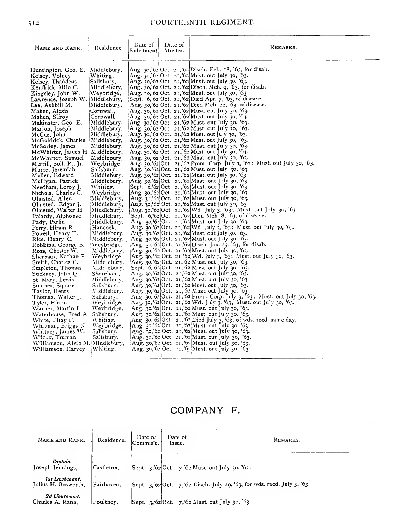| NAME AND RANK.                                                                                                                                                                                                                                                                                                                                                                                                                                                                                                                                                                                                                                                                                                                                                                                                                                                                                                             | Residence.                                                                                                                                                                                                                                                                                                                                                                                                                                                                                                                                                                                                                                | Date of<br>Enlistment | Date of<br>Muster. | REMARKS.                                                                                                                                                                                                                                                                                                                                                                                                                                                                                                                                                                                                                                                                                                                                                                                                                                                                                                                                                                                                                                                                                                                                                                                                                                                                                                                                                                                                                                                                                                                                                                                                                                                                                                                                                                                                                                                                                                                                                                                                                                                                                                                                                                                                                                                                                                                                                                                                                                                                                                                 |
|----------------------------------------------------------------------------------------------------------------------------------------------------------------------------------------------------------------------------------------------------------------------------------------------------------------------------------------------------------------------------------------------------------------------------------------------------------------------------------------------------------------------------------------------------------------------------------------------------------------------------------------------------------------------------------------------------------------------------------------------------------------------------------------------------------------------------------------------------------------------------------------------------------------------------|-------------------------------------------------------------------------------------------------------------------------------------------------------------------------------------------------------------------------------------------------------------------------------------------------------------------------------------------------------------------------------------------------------------------------------------------------------------------------------------------------------------------------------------------------------------------------------------------------------------------------------------------|-----------------------|--------------------|--------------------------------------------------------------------------------------------------------------------------------------------------------------------------------------------------------------------------------------------------------------------------------------------------------------------------------------------------------------------------------------------------------------------------------------------------------------------------------------------------------------------------------------------------------------------------------------------------------------------------------------------------------------------------------------------------------------------------------------------------------------------------------------------------------------------------------------------------------------------------------------------------------------------------------------------------------------------------------------------------------------------------------------------------------------------------------------------------------------------------------------------------------------------------------------------------------------------------------------------------------------------------------------------------------------------------------------------------------------------------------------------------------------------------------------------------------------------------------------------------------------------------------------------------------------------------------------------------------------------------------------------------------------------------------------------------------------------------------------------------------------------------------------------------------------------------------------------------------------------------------------------------------------------------------------------------------------------------------------------------------------------------------------------------------------------------------------------------------------------------------------------------------------------------------------------------------------------------------------------------------------------------------------------------------------------------------------------------------------------------------------------------------------------------------------------------------------------------------------------------------------------------|
| Huntington, Geo. E.<br>Kelsey, Volney<br>Kelsey, Thaddeus<br>Kendrick, Milo C.<br>Kingsley, John W.<br>Lawrence, Joseph W.<br>Lee, Ashbill M.<br>Mahen, Alexis<br>Mahen, Sifroy<br>Makinster, Geo. E.<br>Marion, Joseph<br>McCue, John<br>McGoldrick. Charles<br>McSorley, James<br>McWhirter, James H<br>McWhirter, Samuel<br>Merrill, Soll. P., Jr.<br>Morse, Jeremiah<br>Mullen, Edward<br>Mulligan, Patrick<br>Needham, Leroy J.<br>Nichols, Charles C.<br>Olmsted, Allen<br>Olmsted, Edgar J.<br>Olmsted, Walter H.<br>Palardy, Alphonse<br>Pady, Parlin<br>Perry, Hiram R.<br>Powell, Henry T.<br>Rice, Henry C.<br>Robbins, George B.<br>Ross, Chester W.<br>Sherman, Nathan P.<br>Smith, Charles C.<br>Stapleton, Thomas<br>Stickney, John Q.<br>St. Mary, Lewis<br>Sumner, Square<br>Taylor, Henry<br>Thomas, Walter J.<br>Tyler, Hiram<br>Warner, Martin L.<br>Waterhouse, Fred A. Salisbury,<br>White, Pliny F. | Middlebury,<br>Whiting,<br>Salishurv,<br>Middlebury,<br>Weybridge,<br>Middlebury,<br>Middlebury,<br> Cornwail.<br>Cornwall.<br>Middlebury,<br>Middlebury,<br>Middlebury,<br>Middlebury,<br>Middlebury,<br> Middlebury,<br>Middlebury,<br>Weybridge,<br>Salisburv.<br>Middlebury,<br>Middleburv,<br>Whiting.<br>Weybridge,<br>Middlebury,<br>Middlebury,<br>Middlebury,<br>Middlebury,<br>Middlebury,<br>Hancock.<br>Middlebury,<br>Middlebury, J<br>Weybridge,<br>Middlebury,<br>Weybridge,<br>Middlebury,<br>Middlebury,<br>.Shoreham,<br>Middlebury,<br>Salisbury.<br>Middleburv,<br>Salisbury.<br>Weybridge,<br>Wevbridge,<br>Whiting. |                       |                    | Aug. 30,'62 Oct. 21,'62 Disch. Feb. 18, '63, for disab.<br>Aug. 30,'62 Oct. 21,'62 Must. out July 30, '63.<br>Aug. 30, 62 Oct. 21, 62 Must. out July 30, 63.<br>Aug. 30, 62 Oct. 21. 62 Disch. Mch. 9, 63, for disab.<br>Aug. 30,'62 Oct. 21,'62 Must. out July 30, '63.<br>Sept. $6,62 Oct. 21,62  Died Apr. 7, 63, of disease.$<br>Aug. 30,'62 Oct. 21,'62 Died Mch. 22, '63, of disease.<br>Aug. 30,'62 Oct. 21,'62 Must. out July 30, '63.<br>Aug. 30,'62 Oct. 21,'62 Must. out July 30, '63.<br>Aug. 30,'62 Oct. 21,'62 Must. out July 30, '63.<br> Aug. 30,'62¦Oct. 21,'62 Must. out July 30, '63.<br>Aug. 30,'62 Oct. 21,'62 Must. out July 30, '63.<br>Aug. 30,'62 Oct. 21,'62 Must. out July 30, '63.<br>Aug. 30,'62 Oct. 21,'62 Must. out July 30, '63.<br>Aug. 30, 62 Oct. 21, 62 Must. out July 30, 63.<br>Aug. 30,'62 Oct. 21,'62 Must. out July 30, '63.<br>Aug. 30, 62 Oct. 21, 62 Prom. Corp. July 3, 63; Must. out July 30, 63.<br>  Aug. 30, 62  Oct. 21, 62  Must. out July 30, '63.<br> Aug. 30,'62 Oct. 21,'62 Must.out July 30, '63.<br> Aug. 30,'62 Oct. 21,'62 Must. out July 30, '63.<br>Sept. 6,'62 Oct. 21,'62 Must. out July 30, '63.<br>Aug. 30,'62 Oct. 21,'62 Must. out July 30, '63.<br>Aug. 30.'62 Oct. 11.'62 Must. out July 30, '63.<br>Aug. 30,'62 Oct. 21,'62 Must. out July 30, '63.<br> Aug. 30,'62 Oct. 21,'62 Wd. July 3, '63; Must. out July 30, '63.<br>Sept. $6,62$ Oct. 21, $62$ Died Mch. 8. $63$ , of disease.<br>Aug. 30, 62 Oct. 21, 62 Must. out July 30, 63.<br>Aug. 30,'62 Oct. 21,'62 Wd. July 3, '63; Must. out July 30, '63.<br>Aug. 30, $62$ Oct. 21, $62$ Must. out July 30, $63$ .<br>Aug. 30,'62 Oct. 21,'62 Must. out July 30, '63.<br>Aug. 30, 62 Oct. 21, 62 Disch. Jan. 25, 63, for disab.<br> Aug. 30,'62 Oct. 21,'62 Must. out July 30, '63.<br> Aug. 30,'62 Oct. 21,'62 Wd. July 3, '63; Must. out July 30, '63.<br>Aug. 30, 62 Oct. 21, 62 Must. out July 30, 63.<br>Sept. 6.'62 Oct. 21,'62 Must. out July 30. '63.<br>Aug. 30,'62 Oct. 21,'62 Must. out July 30, '63.<br>Aug. 30,'62 Oct. 21,'62 Must. out July 30, '63.<br>Aug. 30, 62 Oct. 21, 62 Must. out July 30, 63.<br>Aug. 30, 62 Oct. 21, 62 Must. out July 30, 63.<br>Aug. 30, 62 Oct. 21, 62 Prom. Corp. July 3, 63; Must. out July 30, 63.<br>Aug. 30,'62 Oct. 21,'62 Wd. July 3, '63; Must. out July 30, '63.<br>Aug. 30,'62 Oct. 21,'62 Must. out July 30, 63.<br>Aug. 30,'62 Oct. 21,'62 Must. out July 30, '63.<br>Aug. 30, 62 Oct. 21, 62 Died July 3, 63, of wds. recd. same day. |
| Whitman, Briggs N.<br>Whitney, James W.<br>Wilcox, Truman<br>Williamson, Alvin M. Middlebury,<br>Williamson, Harvey                                                                                                                                                                                                                                                                                                                                                                                                                                                                                                                                                                                                                                                                                                                                                                                                        | Weybridge,<br>Salisbury.<br>Salisburv.<br>Whiting.                                                                                                                                                                                                                                                                                                                                                                                                                                                                                                                                                                                        |                       |                    | Aug. 30,'62 Oct. 21,'62 Must. out July 30, '63.<br>Aug. 30, 62, Oct. 21, 62 Must. out July 30, 63.<br>Aug. 30, 62 Oct. 21, 62 Must. out July 30, 63.<br>Aug. 30, 62 Oct. 21, 62 Must. out July 30, '63.<br>Aug. 30,'62 Oct. 21,'62 Must. out July 30, '63.                                                                                                                                                                                                                                                                                                                                                                                                                                                                                                                                                                                                                                                                                                                                                                                                                                                                                                                                                                                                                                                                                                                                                                                                                                                                                                                                                                                                                                                                                                                                                                                                                                                                                                                                                                                                                                                                                                                                                                                                                                                                                                                                                                                                                                                               |

## COMPANY F.

| NAME AND RANK.                         | Residence. | Date of<br>Commis'n. | Date of<br>Issue. | REMARKS.                                                                      |
|----------------------------------------|------------|----------------------|-------------------|-------------------------------------------------------------------------------|
| Captain.<br>Joseph Jennings,           | Castleton, |                      |                   | $\text{Sept. }$ 3, $62\text{Oct. }$ 7, $62\text{ Must. }$ out July 30, $63$ . |
| 1st Lieutenant.<br>Julius H. Bosworth, | Fairhaven, |                      |                   | Sept. 3, 62 Oct. 7, 62 Disch. July 29, 63, for wds. recd. July 3, 63.         |
| 2d Lieutenant.<br>Charles A. Rann,     | Poultney.  |                      |                   | Sept. 3,'62 Oct. 7,'62 Must. out July 30, '63.                                |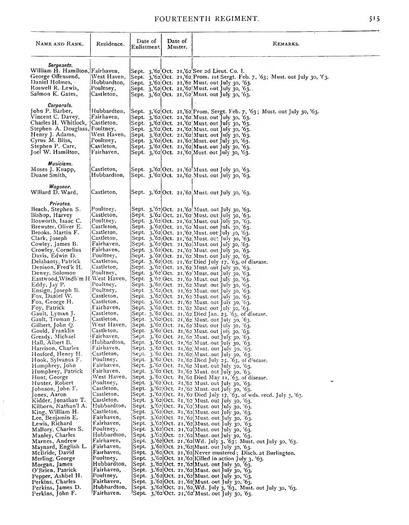| NAME AND RANK.                                                                                                                                                                                                                                                                                                                                                                                                                                                                                                                                                                                                                       | Residence.                                                                                                                                                                                                                                                                                                                                                                                                     | Date of<br>Enlistment | Date of<br>Muster. | REMARKS.                                                                                                                                                                                                                                                                                                                                                                                                                                                                                                                                                                                                                                                                                                                                                                                                                                                                                                                                                                                                                                                                                                                                                                                                                                                                                                                                                                                                                                                                                                                                                                                                   |
|--------------------------------------------------------------------------------------------------------------------------------------------------------------------------------------------------------------------------------------------------------------------------------------------------------------------------------------------------------------------------------------------------------------------------------------------------------------------------------------------------------------------------------------------------------------------------------------------------------------------------------------|----------------------------------------------------------------------------------------------------------------------------------------------------------------------------------------------------------------------------------------------------------------------------------------------------------------------------------------------------------------------------------------------------------------|-----------------------|--------------------|------------------------------------------------------------------------------------------------------------------------------------------------------------------------------------------------------------------------------------------------------------------------------------------------------------------------------------------------------------------------------------------------------------------------------------------------------------------------------------------------------------------------------------------------------------------------------------------------------------------------------------------------------------------------------------------------------------------------------------------------------------------------------------------------------------------------------------------------------------------------------------------------------------------------------------------------------------------------------------------------------------------------------------------------------------------------------------------------------------------------------------------------------------------------------------------------------------------------------------------------------------------------------------------------------------------------------------------------------------------------------------------------------------------------------------------------------------------------------------------------------------------------------------------------------------------------------------------------------------|
| Sergeants.<br>William H. Hamilton, Fairhaven,<br>George Offensend,<br>Daniel Holmes, -<br>Roswell R. Lewis,<br>Salmon K. Gates,                                                                                                                                                                                                                                                                                                                                                                                                                                                                                                      | West Haven,<br>Hubbardton,<br>Poultney,<br>Castleton,                                                                                                                                                                                                                                                                                                                                                          |                       |                    | Sept. 3, 62 Oct. 21, 62 See 2d Lieut. Co. 1.<br>Sept. 3,'62 Oct. 21,'62 Prom. 1st Sergt. Feb. 7, '63; Must. out July 30, '63.<br>Sept. 3,'62 Oct. 21,'62 Must. out July 30, '63.<br>Sept. 3, $62 Oct. 21$ , $62 Must. out July 30, 763.$<br>Sept. 3,'62 Oct. 21,'62 Must. out July 30, '63.                                                                                                                                                                                                                                                                                                                                                                                                                                                                                                                                                                                                                                                                                                                                                                                                                                                                                                                                                                                                                                                                                                                                                                                                                                                                                                                |
| Corporals.<br>John P. Barber,<br>Vincent C. Davey,<br>Charles H. Whitlock,<br>Stephen A. Douglass, Poultney,<br>Henry J. Adams,<br>Cyrus M. Bliss,<br>Stephen P. Carr,<br>Joel W. Hamilton,                                                                                                                                                                                                                                                                                                                                                                                                                                          | Hubbardton,<br>Fairhaven,<br>Castleton,<br>West Haven,<br>Poultney,<br>Castleton,<br>Fairhaven,                                                                                                                                                                                                                                                                                                                |                       |                    | Sept. 3,'62 Oct. 21,'62 Prom. Sergt. Feb. 7, '63; Must. out July 30, '63.<br>Sept. 3,'62 Oct. 21,'62 Must. out July 30, '63.<br>Sept. 3, $62$ Oct. 21, $62$ Must. out July 30, $63$ .<br>Sept. 3,'62 Oct. 21,'62 Must. out July 30, '63.<br>Sept. 3,'62 Oct. 21,'62 Must. out July 30, '63.<br>Sept. 3,'62 Oct. 21,'62 Must. out July 30, '63.<br>Sept. 3,'62 Oct. 21,'62 Must. out July 30, '63.<br>Sept. 3,'62 Oct. 21,'62 Must. out July 30, '63.                                                                                                                                                                                                                                                                                                                                                                                                                                                                                                                                                                                                                                                                                                                                                                                                                                                                                                                                                                                                                                                                                                                                                       |
| Musicians.<br>Moses J. Knapp,<br>Duane Smith,                                                                                                                                                                                                                                                                                                                                                                                                                                                                                                                                                                                        | Castleton,<br>Hubbardton,                                                                                                                                                                                                                                                                                                                                                                                      |                       |                    | Sept. 3,'62 Oct. 21,'62 Must. out July 30, '63.<br>Sept. 3,'62 Oct. 21,'62 Must. out July 30, '63.                                                                                                                                                                                                                                                                                                                                                                                                                                                                                                                                                                                                                                                                                                                                                                                                                                                                                                                                                                                                                                                                                                                                                                                                                                                                                                                                                                                                                                                                                                         |
| Wagoner.<br>Willard D. Ward,                                                                                                                                                                                                                                                                                                                                                                                                                                                                                                                                                                                                         | Castleton,                                                                                                                                                                                                                                                                                                                                                                                                     |                       |                    | Sept. 3,'62 Oct. 21,'62 Must. out July 30, '63.                                                                                                                                                                                                                                                                                                                                                                                                                                                                                                                                                                                                                                                                                                                                                                                                                                                                                                                                                                                                                                                                                                                                                                                                                                                                                                                                                                                                                                                                                                                                                            |
| Privates.<br>Beach, Stephen S.<br>Bishop, Harvey<br>Bosworth, Isaac C.<br>Brewster, Oliver E.<br>Brooks. Martin F.<br>Clark, Joseph<br>Cowley, James B.<br>Crowley, Cornelius<br>Davis, Edwin D.<br>Delahanty, Patrick<br>Denison, Fred'k H.<br>Dewey, Solomon<br>Eastwood, Windh'm H West Haven,<br>Eddy, Jay P.<br>Ensign, Joseph B.<br>Fox, Daniel W.<br>Fox, George H.<br>Foy, Patrick<br>Gault, Lyman J.<br>Gault, Truman J.<br>Gilbert, John Q.<br>Gould, Franklin<br>Gready, Michael<br>Hall, Albert B.<br>Harrison, Charles<br>Hosford, Henry H.<br>Hook, Sylvanus F.<br>Humphrey, John<br>Humphrey, Patrick<br>Hunt, George | Poultney,<br>Castleton,<br>Poultney,<br>Castleton,<br>Castleton,<br>Castleton,<br>Fairhaven,<br>Fairhaven,<br>Poultney,<br>Castleton,<br>Castleton,<br>Poultnev,<br>Poultπey,<br>Poultney,<br>Castleton,<br>Castleton,<br>Fairhaven,<br>Castleton,<br>Castleton,<br>West Haven,<br>Castleton,<br>Fairhaven,<br>Hubbardton,<br>Fairhaven,<br>Castleton,<br>Poultney,<br>Fairhaven,<br>Fairhaven,<br>West Haven, |                       |                    | Sept. 3,'62 Oct. 21,'62 Must. out July 30, '63.<br>Sept. 3.'62 Oct. 21,'62 Must. out July 30, '63.<br>Sept. 3,'62 Oct. 21,'62 Must. out July 30, '63.<br>Sept. 3, $62$ Oct. 21, $62$ Must. out July 30, $63$ .<br>Sept. 3,'62 Oct. 21,'62, Must. out July 30, '63.<br>Sept. 3, 62 Oct. 21, 62 Must. out July 30, 63.<br>Sept. 3,'62 Oct. 21,'62 Must. out July 30, '63.<br>Sept. 3,'62 Oct. 21,'62 Must. out July 30, '63.<br>Sept. 3, 62 Oct. 21, 62 Must. out July 30, 63.<br>Sept. 3,'62 Oct. 21,'62 Died July 17, 63, of disease.<br>Sept. 3, 62 Oct. 21, 62 Must. out July 30, 63.<br>Sept. 3,'62 Oct. 21,'62 Must. out July 30, '63.<br>Sept. 3, 62 Oct. 21, 62 Must. out July 30, 63.<br>Sept. 3,'62 Oct. 21,'62 Must. out July 30, '63.<br>Sept. 3, 62 Oct. 21, 62 Must. out July 30, 63.<br>Sept. 3,'62 Oct. 21,'62 Must. out July 30, '63.<br>Sept. 3,'62 Oct. 21,'62 Must. out July 30, '63.<br>Sept. 3,'62 Oct. 21,'62 Must. out July 30, '63.<br>Sept. 3, 62 Oct. 21, 62 Died Jan. 23, 63, of disease.<br>Sept. 3,'62 Oct. 21,'62 Must. out July 30, 63.<br>Sept. 3, 62 Oct. 21, 62 Must. out July 30, 63.<br>Sept. 3, 62 Oct. 21, 62 Must. out July 30, 63.<br>Sept. 3,'62 Oct. 21, 62 Must. out July 30, '63.<br>Sept. 3, 62 Oct. 21, 62 Must. out July 30, 63.<br>Sept. 3,'62 Oct. 21,'62 Must. out July 30, '63.<br>Sept. 3.'62 Oct. 21,'62 Must. out July 30, 63.<br>Sept. 3,'62 Oct. 21,'62 Died July 25, 63, of disease.<br>Sept. 3.'62 Oct. 21,'62 Must. out July 30, '63.<br>Sept. 3,'62 Oct. 21,'62 Must. out July 30, '63.<br>Sept. 3, 62 Oct. 21, 62 Died May 11, 63, of disease. |
| Hunter, Robert<br>Johnson, John F.<br>Jones, Aaron<br>Kidder, Jonathan T.<br>Kilborn, Nathan'l A.<br>King, Willlam H.<br>Lee, Benjamin E.<br>Lewis, Richard<br>Mallory, Charles S.<br>Manley, Charles<br>Marnes, Andrew<br>Maynard, English L.<br>McBride, David<br>Merling, George<br>Morgan, James<br>O'Brien, Patrick<br>Pepper, Ashbel H.<br>Perkins, Charles<br>Perkins, James D.<br>Perkins, John F.                                                                                                                                                                                                                           | Poultney,<br>Castleton,<br>Castleton,<br>Castleton,<br>Hubbardton,<br>Castleton,<br>Fairhaven,<br>Fairhaven,<br>Poultney,<br>Hubbardton,<br>Fairhaven,<br>Fairhaven,<br>Fairhaven,<br>Poultney,<br>Hubbardton,<br>Fairhaven,<br>Poultney,<br>Fairhaven,<br>Hubbardton,<br>'Fairhaven,                                                                                                                          |                       |                    | Sept. 3,'62 Oct. 21,'62 Must. out July 30, '63.<br>Sept. 3,'62 Oct. 21,'62 Must. out July 30, '63.<br>Sept. 3,'62 Oct. 21,'62 Died July 17, 63, of wds. recd. July 3, '63.<br>Sept. 3. 62 Oct. 21, 62 Must. out July 30, 63.<br>Sept. 3,'62 Oct. 21,'62 Must. out July 30, '63.<br>Sept. 3,'62 Oct. 21,'62 Must. out July 30, '63.<br>Sept. 3,'62 Oct. 21,'62 Must. out July 30, 63.<br>Sept. 3, 62 Oct. 21, 62 Must. out July 30, 63.<br>Sept. 3,'62 Oct. 21,'62 Must. out July 30, 63.<br>Sept. 3.62 Oct. 21.62 Must. out July 30, '63.<br>Sept. 3,'62 Oct. 21,'62 Wd. July 3, '63; Must. out July 30, '63.<br>Sept. 3,'62 Oct. 21,'62 Must. out July 30, '63.<br>Sept. 3,'62 Oct. 21,'62 Never mustered; Disch. at Burlington.<br>Sept. $3$ , 62 Oct. 21, 62 Killed in action July 3, 63.<br>Sept. 3, 62 Oct. 21, 62 Must. out July 30, 63.<br>Sept. 3,'62 Oct. 21,'62 Must. out July 30, '63.<br>Sept. 3,'62 Oct. 21,'62 Must. out July 30, '63.<br>Sept. 3,'62 Oct. 21,'62 Must. out July 30, '63.<br>Sept. 3,'62 Oct. 21,'62 Wd. July 3, '63, Must. out July 30, '63.<br>'Sept. 3,'62'Oct. 21,'62'Must. out July 30, '63.                                                                                                                                                                                                                                                                                                                                                                                                                                                                            |

 $\bar{V}$  $\frac{1}{2}$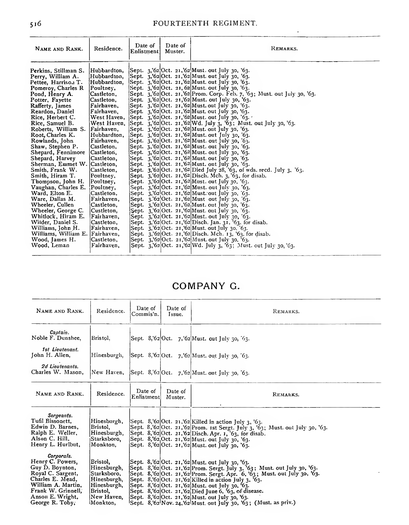$\ddot{\phantom{0}}$ 

| NAME AND RANK.                                                                                                                                 | Residence.                                                                                       | Date of<br> Enlistment            | Date of<br>Muster. | REMARKS.                                                                                                                                                                                                                                                                                                                                                                          |
|------------------------------------------------------------------------------------------------------------------------------------------------|--------------------------------------------------------------------------------------------------|-----------------------------------|--------------------|-----------------------------------------------------------------------------------------------------------------------------------------------------------------------------------------------------------------------------------------------------------------------------------------------------------------------------------------------------------------------------------|
| Perkins. Stillman S.<br>Perry, William A.<br>Pettee, Harrison T.<br>Pomeroy, Charles R<br>Pond, Henry A.<br>Potter, Favette<br>Rafferty, James | Hubbardton,<br>Hubbardton,<br>Hubbardton.<br>Poultney,<br>Castleton,<br>Castleton,<br>Fairhaven, | Sept.<br> Sept.<br>Sept.<br>Sept. |                    | Sept. 3,'62 Oct. 21,'62 Must. out July 30, '63.<br>Sept. 3,'62 Oct. 21,'62 Must. out July 30, '63.<br>$3,'62 Oct. 21,'62  Must. out July 30,'63.$<br>Sept. 3, $62$ Oct. 21, $62$ Must. out July 30, $63$ .<br>$3,62$ Oct. 21, $62$ Prom. Corp. Feb. 7, $63$ ; Must. out July 30, $63$ .<br>3,'62 Oct. 21,'62 Must. out July 30, '63.<br>$3,62$ Oct. 21, 62 Must. out July 30, 63. |
| Reardon, Daniel<br>Rice, Herbert C.<br>Rice, Samuel B.<br>Roberts, William S.<br>Root, Charles K.                                              | Fairhaven,<br>West Haven, Sept.<br>West Haven, Sept.<br> Fairhaven.<br>Hubbardton.               | Sept.                             |                    | $3,62$ Oct. 21, 62 Must. out July 30, 63.<br>$3,762$ Oct. 21, $62$ Must. out July 30, $63.7$<br>$3,3/62$ Oct. 21, $62$ Wd. July 3, $3/63$ ; Must. out July 30, $3/63$ .<br>Sept. 3,'62 Oct. 21,'62 Must. out July 30, '63.<br>Sept. 3,'62 Oct. 21,'62 Must. out July 30, '63.                                                                                                     |
| Rowlands, John<br>Shaw, Stephen P.<br>Shepard, Fennimore<br>Shepard, Harvey                                                                    | Fairhaven,<br>Castleton,<br> Castleton.<br>Castleton,                                            | Sept.                             |                    | Sept. 3,'62 Oct. 21,'62 Must. out July 30, 63.<br>Sept. 3,'62 Oct. 21,'62 Must. out July 30, '63.<br>Sept. 3,'62 Oct. 21,'62 Must. out July 30, '63.<br>$3$ ,'62 Oct. 21,'62 Must. out July 30, 63.                                                                                                                                                                               |
| Sherman, Emmet W. Castleton,<br>Smith, Frank W.<br>Smith, Hiram T.<br>Thompson, John H.                                                        | Castleton,<br>Poultney,<br>Poultney,                                                             |                                   |                    | Sept. 3,'62 Oct. 21,'62 Must. out July 30, '63.<br>Sept. 3,'62 Oct. 21,'62 Died July 28, '63, of wds. recd. July 3, '63.<br>Sept. 3, 62 Oct. 21, 62 Disch. Mch. 3, 63, for disab.<br>Sept. $3,62 Oct. 21,62  Must. out July 30, 763.$                                                                                                                                             |
| Vaughan, Charles E.<br>Ward, Elton E.<br>Ware, Dallas M.<br>Wheeler, Cullen<br>Wheeler, George C.                                              | Poultney,<br>Castleton.<br>Fairhaven.<br>Castleton,<br>Custleton,                                |                                   |                    | Sept. 3,'62 Oct. 21,'62 Must. out July 30, '63.<br>Sept. $3,62$ Oct. 21, $62$ Must out July 30, 63.<br>Sept. 3.'62 Oct. 21,'62 Must out July 30, 63.<br>Sept. $3,62 Oct. 21,62  Must. out July 30, 63.$<br>Sept. $3.62$ Oct. 21, 62 Must. out July 30, 63.                                                                                                                        |
| Whitlock, Hiram E.<br>Wilder, Daniel S.<br>Williams, John H.<br>Williams, William E.                                                           | Fairhaven.<br>Castleton,<br>Fairhaven,<br> Fairhaven,                                            |                                   |                    | Sept. 3,'62 Oct. 21,'62 Must. out July 30, 63.<br>Sept. $3$ , $62 Oct. 21$ , $62 Dist. 7a1. 31$ , $63$ , for disab.<br>Sept. $3,62$ Oct. 21, 62 Must. out July 30, 63.<br>Sept. 3, 62 Oct. 21, 62 Disch. Mch. 13, 63, for disab.                                                                                                                                                  |
| Wood, James H.<br>Wood, Leman                                                                                                                  | Castleton,<br>Fairhaven,                                                                         |                                   |                    | Sept. 3,'62 Oct. 21,'62 Must. out July 30, '63.<br>Sept. 3,'62 Oct. 21,'62 Wd. July 3, '63; Must. out July 30, '63.                                                                                                                                                                                                                                                               |

## COMPANY G.

| NAME AND RANK.                                                                                                                                                                | Residence.                                                                                                 | Date of<br>Commis'n.  | Date of<br>Issue.  | REMARKS.                                                                                                                                                                                                                                                                                                                                                                                                                                                                                                  |  |
|-------------------------------------------------------------------------------------------------------------------------------------------------------------------------------|------------------------------------------------------------------------------------------------------------|-----------------------|--------------------|-----------------------------------------------------------------------------------------------------------------------------------------------------------------------------------------------------------------------------------------------------------------------------------------------------------------------------------------------------------------------------------------------------------------------------------------------------------------------------------------------------------|--|
| Captain.<br>Noble F. Dunshee.                                                                                                                                                 | Bristol.                                                                                                   |                       |                    | Sept. 8, 62 Oct. 7, 62 Must. out July 30, 63.                                                                                                                                                                                                                                                                                                                                                                                                                                                             |  |
| 1st Lieutenant.<br>John H. Allen,                                                                                                                                             | Hinesburgh,                                                                                                |                       |                    | Sept. 8,'62 Oct. 7,'62 Must. out July 30, 63.                                                                                                                                                                                                                                                                                                                                                                                                                                                             |  |
| 2d Lieutenants.<br>Charles W. Mason,                                                                                                                                          |                                                                                                            |                       |                    | New Haven, Sept. 8,62 Oct. 7,62 Must. out July 30, 63.                                                                                                                                                                                                                                                                                                                                                                                                                                                    |  |
| NAME AND RANK.                                                                                                                                                                | Residence.                                                                                                 | Date of<br>Enlistment | Date of<br>Muster. | REMARKS.                                                                                                                                                                                                                                                                                                                                                                                                                                                                                                  |  |
| Sergeants.<br>Tufil Bissonett,<br>Edwin D. Barnes,<br>Ralph E. Weller,<br>Alson C. Hill,<br>Henry L. Hurlbut,                                                                 | Hinesburgh,<br>Bristol.<br>Hinesburgh,<br>Starksboro,<br>Monkton,                                          |                       |                    | Sept. 8,'62 Oct. 21,'62 Killed in action July 3, '63.<br>Sept. 8,'62 Oct. 21,'62 Prom. 1st Sergt. July 3, '63; Must. out July 30, '63.<br>Sept. 8,'62 Oct. 21,'62 Disch. Apr. 1, 63, for disab.<br>Sept. 8,'62 Oct. 21,'62 Must. out July 30, '63.<br>Sept. 8,'62 Oct. 21,'62 Must. out July 30, '63.                                                                                                                                                                                                     |  |
| Corporals.<br>Henry C. Powers,<br>Guy D. Boynton,<br>Roval C. Sargent,<br>Charles E. Mead,<br>William A. Martin,<br>Frank W. Grinnell,<br>Anson E. Wright,<br>George R. Toby. | Bristol,<br>Hinesburgh,<br>Starksboro.<br>Hinesburgh,<br>Hinesburgh,<br>Bristol,<br>New Haven,<br>Monkton. |                       |                    | Sept. 8,'62 Oct. 21,'62 Must. out July 30, '63.<br>Sept. 8,'62 Oct. 21,'62 Prom. Sergt. July 3, '63; Must. out July 30, '63.<br>Sept. 8,'62 Oct. 21,'62 Prom. Sergt. Apr. 6, '63; Must. out July 30, '63.<br>Sept. 8.'62 Oct. 21,'62 Killed in action July 3. '63.<br>Sept. 8,'62 Oct. 21,'62 Must. out July 30, '63.<br>Sept. $8,62$ Oct. 21, $62$ Died June 6, $63$ , of disease.<br>Sept. 8,'62 Oct. 21,'62 Must. out July 30, '63.<br>Sept. $8.62$ Nov. 24. 62 Must out July 30. 63; (Must. as priv.) |  |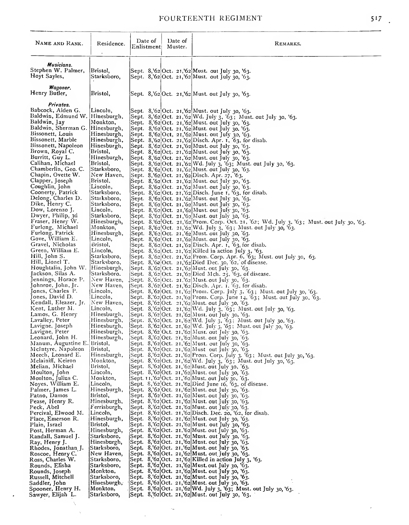| NAME AND RANK.                           | Residence.                 | Date of<br>Enlistment! | Date of<br>Muster. | REMARKS.                                                                                                                                                         |
|------------------------------------------|----------------------------|------------------------|--------------------|------------------------------------------------------------------------------------------------------------------------------------------------------------------|
| Musicians.<br>Stephen W. Palmer,         | Bristol,                   |                        |                    | Sept. 8,'62 Oct. 21,'62 Must. out July 30, '63.                                                                                                                  |
| Hoyt Sayles,                             | Starksboro,                |                        |                    | Sept. 8,'62 Oct. 21,'62 Must. out July 30, '63.                                                                                                                  |
| Wagoner.<br>Henry Butler,                | Bristol,                   |                        |                    | Sept. 8,'62 Oct. 21,'62 Must. out July 30, '63.                                                                                                                  |
| Privates.                                |                            |                        |                    |                                                                                                                                                                  |
| Babcock, Alden G.<br>Baldwin, Edmund W.  | Lincolu,<br> Hinesburgh,   |                        |                    | Sept. 8,'62 Oct. 21,'62 Must. out July 30, '63.<br>Sept. 8,'62 Oct. 21,'62 Wd. July 3, '63; Must. out July 30, '63.                                              |
| Baldwin, Jay                             | Monkton,                   |                        |                    | Sept. 8,'62 Oct. 21,'62 Must. out July 30, '63.                                                                                                                  |
| Baldwin, Sherman G.<br>Bissonett, Louis  | Hinesburgh,<br>Hinesburgh, |                        |                    | Sept. 8,'62 Oct. 21,'62 Must. out July 30. '63.                                                                                                                  |
| Bissonett, Marble                        | Hinesburgh,                |                        |                    | Sept. 8, 62 Oct, 21, 62 Must. out July 30, 63.<br>Sept. 8, 62 Oct. 21, 62 Disch. Apr. 1, 63, for disab.                                                          |
| Bissonett, Napoleon                      | Hinesburgh,                |                        |                    | Sept. 8, 62 Oct. 21, 62 Must. out July 30, 63.                                                                                                                   |
| Brown, Royal C.<br>Burritt, Guy L.       | Bristol,<br>Hinesburgh,    |                        |                    | Sept. 8,'62 Oct. 21,'62 Must. out July 30, '63.<br>Sept. 8,'62 Oct. 21,'62 Must. out July 30, '63.                                                               |
| Calihan, Michael                         | Bristol,                   |                        |                    | Sept. 8,'62 Oct. 21,'62 Wd. July 3, '63; Must. out July 30, '63.                                                                                                 |
| Chamberlin, Geo. C.                      | Starksboro,                |                        |                    | Sept. 8,'62 Oct. 21,'62 Must. out July 30, '63.                                                                                                                  |
| Chapin, Ovette W.<br>Clapper, Joseph     | New Haven,<br>Bristol,     |                        |                    | Sept. 8,'62 Oct. 21,'62 Disch. Apr. 27, '63.<br>Sept. 8,'62 Oct. 21,'62 Must. out July 30, '63.                                                                  |
| Coughlin, John                           | Lincoln,                   |                        |                    | Sept. 8,'62 Oct. 21,'62 Must. out July 30, '63.                                                                                                                  |
| Coonerty, Patrick                        | Starksboro,                |                        |                    | Sept. 8,'62 Oct. 21,'62 Disch. June 1, '63, for disab.                                                                                                           |
| Delong, Charles D.<br>Dike, Henry C.     | Starksboro,<br>Starksboro, |                        |                    | Sept. 8,'62 Oct. 21,'62 Must. out July 30, '63.<br>Sept. 8,'62 Oct. 21,'62 Must. out July 30, '63.                                                               |
| Dow, Lorenzo J.                          | Lincoln,                   |                        |                    | Sept. 8,'62 Oct. 21,'62 Must. out July 30, '63.                                                                                                                  |
| Dwyer, Philip, 3d                        | Starksboro,                |                        |                    | Sept. 8,'62 Oct. 21,'62 Must. out July 30, '63.                                                                                                                  |
| Fraser, Henry W.<br>Furlong, Michael     | Hinesburgh,<br>Monkton,    |                        |                    | Sept. 8.'62.'Oct. 21,'62.'Prom. Corp. Oct. 21, '62; Wd. July 3, '63; Must. out July 30, '63.<br>Sept. 8,'62 Oct. 21,'62 Wd. July 3, '63; Must. out July 30, '63. |
| Furlong, Patrick                         | Hinesburgh,                |                        |                    | Sept. 8,'62 Oct. 21,'62 Must. out July 30, '63.                                                                                                                  |
| Gove, William E.<br>Gravel, Nicholas     | Lincoln,<br>Bristol,       |                        |                    | Sept. 8,'62 Oct. 21,'62 Must. out July 30, '63.<br>Sept. 8, 62 Oct. 21, 62 Disch. Apr. 1, 63, for disab.                                                         |
| Green, William E.                        | Lincoln,                   |                        |                    | Sept. 8, 62 Oct. 21, 62 Killed in action July 3, 63.                                                                                                             |
| Hill, John S.                            | Starksboro,                |                        |                    | Sept. 8,'62 Oct. 21,'62 Prom. Corp. Apr. 6, '63; Must. out July 30, 63.                                                                                          |
| Hill, Lionel T.<br>Houghtalin, John W.   | Starksboro,<br>Hinesburgh, |                        |                    | Sept. $8$ ,'62 Oct. 21,'62 Died Dec. 30, 62, of disease.<br>Sept. 8, 62 Oct. 21, 62 Must. out July 30, 63.                                                       |
| Jackson, Silas A.                        | Starksboro.                |                        |                    | Sept. $8,62 Oct. 21,62 Did Mch. 25, 763, of disease.$                                                                                                            |
| Jennings, Horace P.                      | New Haven,                 |                        |                    | Sept. 8, 62 Oct. 21. 62 Must. out July 30, 63.                                                                                                                   |
| Johnroe, John, Jr.<br>Jones, Charles P.  | New Haven,<br>Lincoln,     |                        |                    | Sept. 8, 62 Oct. 21, 62 Disch. Apr. 1. 63, for disab.<br>Sept. 8, 62 Oct. 21, 62 Prom. Corp. July 3, 63; Must. out July 30, 63.                                  |
| Jones, David D.                          | Lincoln,                   |                        |                    | Sept. 8.'62 Oct. 21,'62 Prom. Corp. June 14, '63; Must. out July 30, '63.                                                                                        |
| Kendall, Eleazer, Jr.<br>Kent, Luther M. | New Haven,<br>Lincoln,     |                        |                    | Sept. 8,'62 Oct. 21,'62 Must. out July 30, '63.                                                                                                                  |
| Lamos, G. Henry                          | Hinesburgh,                |                        |                    | Sept. 8,'62 Oct. 21,'62 Wd. July 3, '63; Must. out July 30, '63.<br> Sept. 8,'62 Oct. 21,'62 Must. out July 30, '63.                                             |
| Lavalley, Peter                          | Hinesburgh,                |                        |                    | Sept. 8,'62 Oct. 21,'62 Wd. July 3, 63; Must. out July 30, '63.                                                                                                  |
| Lavigne, Joseph<br>Lavigne, Peter        | Hinesburgh,<br>Hinesburgh, |                        |                    | [Sept. 8,'62]Oct. 21,'62 Wd. July 3, '63; Must. out July 30, '63.<br>Sept. 8,'62 Oct. 21,'62 Must. out July 30, '63.                                             |
| Leonard, John H.                         | Hinesburgh,                |                        |                    | Sept. 8, 62 Oct. 21, 62 Must. out July 30, 63.                                                                                                                   |
| Manum, Augustine E.                      | Bristol,                   |                        |                    | Sept. 8,'62 Oct. 21,'62 Must. out July 30, '63.                                                                                                                  |
| McIntyre, Napoleon<br>Meech, Leonard E.  | Bristol,<br>Hinesburgh,    |                        |                    | Sept. 8,'62 Oct. 21,'62 Must out July 30, '63.<br>[Sept. 8,'62 Oct. 21,'62 Prom. Corp. July 3. '63; Must. out July 30, '63.                                      |
| Melainiff, Keiron                        | Monkton,                   |                        |                    | Sept. 8, 62 Oct. 21, 62 Wd. July 3, 63; Must. out July 30, 63.                                                                                                   |
| Melian, Michael<br>Moulton, John         | Bristol,<br>Lincoln,       |                        |                    | Sept. 8,'62 Oct. 21,'62 Must. out July 30, 63.<br>Sept. $8,62$ Oct. 21, $62$ Must. out July 30, 63.                                                              |
| Moulton, Julius C.                       | Monkton,                   |                        |                    | Sept. 11,'62 Oct. 21,'62 Must. out July 30, '63.                                                                                                                 |
| Noyes, William E.                        | Lincoln,                   |                        |                    | Sept. 8,'62 Oct. 21,'62 Died June 16, '63, of disease.                                                                                                           |
| Palmer, James L.<br>Patno, Damos         | Hinesburgh,<br>Bristol,    |                        |                    | Sept. 8,'62 Oct. 21,'62 Must. out July 30, '63.<br>Sept. 8,'62 Oct. 21,'62 Must. out July 30, '63.                                                               |
| Pease, Henry R.                          | Hinesburgh,                |                        |                    | Sept. 8,'62 Oct. 21,'62 Must. out July 30, '63.                                                                                                                  |
| Peck, Abel                               | Ferrisburgh,               |                        |                    | Sept. 8,'62 Oct. 21, 62 Must. out July 30, '63.                                                                                                                  |
| Percival, Elwood M.<br>Place, Emerson R. | Lincoln,<br>Hinesburgh,    |                        |                    | Sept. $8,62 Oct. 21,62 Dist. 100. 20, 62, for disab.$<br>Sept. 8,'62 Oct. 21,'62 Must. out July 30, '63.                                                         |
| Plain, Israel                            | Bristol,                   |                        |                    | Sept. 8,'62 Oct. 21,'62 Must. out July 30, '63.                                                                                                                  |
| Post, Herman A.<br>Randall, Samuel J.    | Hinesburgh,<br>Starksboro, |                        |                    | Sept. 8,'62 Oct. 21.'62 Must. out July 30, '63.                                                                                                                  |
| Ray, Henry J.                            | Hinesburgh,                |                        |                    | Sept. 8,'62 Oct. 21,'62 Must. out July 30, '63.<br>Sept. 8,'62 Oct. 21,'62 Must. out July 30, '63.                                                               |
| Rhodes, Jonathan J.                      | Starksboro,                |                        |                    | Sept. 8,'62 Oct. 21,'62 Must. out July 30, '63.                                                                                                                  |
| Roscoe, Henry C.<br>Ross, Charles W.     | New Haven,<br>Starksboro,  |                        |                    | Sept. 8,'62 Oct. 21,'62 Must. out July 30, '63.<br>Sept. 8,'62,Oct. 21,'62 Killed in action July 3, '63.                                                         |
| Rounds, Elisha                           | Starksboro,                |                        |                    | Sept. 8,'62'Oct. 21,'62 Must. out July 30, '63.                                                                                                                  |
| Rounds, Joseph                           | Monkton,                   |                        |                    | Sept. 8,'62 Oct. 21,'62 Must. out July 30, '63.                                                                                                                  |
| Russell, Mitchell<br>Saddler, John       | Starksboro,<br>Hinesburgh, |                        |                    | Sept. 8,'62 Oct. 21,'62 Must. out July 30, '63.<br>Sept. 8, 62 Oct. 21, 62 Must. out July 30, 63.                                                                |
| Spooner, Henry H.                        | Monkton,                   |                        |                    | Sept. 8, 62 Oct. 21, 62 Wd. July 3, 63; Must. out July 30, 63.                                                                                                   |
| Sawyer, Elijah L.                        | Starksboro,                |                        |                    | Sept. 8,'62 Oct. 21,'62 Must. out July 30, '63.                                                                                                                  |

 $\sim$ 

 $\sim 10^{-1}$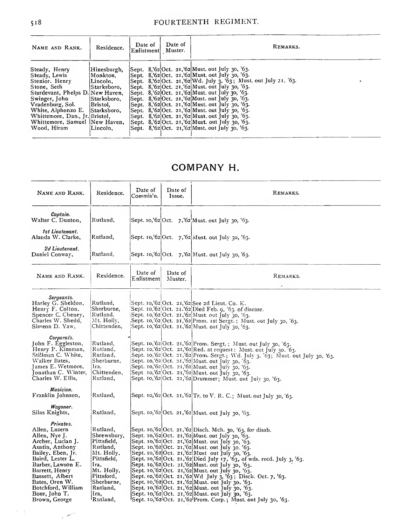| NAME AND RANK.                                                                                                                                                                                                                                   | Residence.                                                                                                              | Date of<br>Enlistment Muster. | Date of | REMARKS.                                                                                                                                                                                                                                                                                                                                                                                                                                                                                                                                                                                                                                 |
|--------------------------------------------------------------------------------------------------------------------------------------------------------------------------------------------------------------------------------------------------|-------------------------------------------------------------------------------------------------------------------------|-------------------------------|---------|------------------------------------------------------------------------------------------------------------------------------------------------------------------------------------------------------------------------------------------------------------------------------------------------------------------------------------------------------------------------------------------------------------------------------------------------------------------------------------------------------------------------------------------------------------------------------------------------------------------------------------------|
| Steady, Henry<br>Steady, Lewis<br>Stenior. Henry<br>Stone, Seth<br>Sturdevant, Phelps D. New Haven,<br>Swinger, John<br>Vradenburg, Sol.<br>White, Alphonzo E.<br>Whittemore, Dan., [r. Bristo],<br>Whittemore, Samuel New Haven,<br>Wood, Hiram | Hinesburgh.<br>Monkton,<br>Lincoln,<br> Starksboro,<br>Starksboro,<br>Bristol.<br><i><b>Starksboro,</b></i><br>Lincoln. |                               |         | Sept. 8,'62 Oct. 21,'62 Must. out July 30, '63.<br>Sept. 8,'62 Oct. 21,'62 Must. out July 30, '63.<br>Sept. 8.'62 Oct. 21.'62 Wd. July 3, '63; Must. out July 21, '63.<br>Sept. 8, 62 Oct. 21, 62 Must. out July 30, 63.<br>Sept. 8,'62 Oct. 21,'62 Must. out July 30, '63.<br>$\left \text{Sept. } 8,762\right \text{Oct. } 21,762\right \text{Must.}$ out July 30, 763.<br>Sept. 8.'62 Oct. 21.'62 Must. out July 30, '63.<br>Sept. $8.62 Oct. 21.62  Must. 001  July 30. 63.$<br>Sept. 8,'62 Oct. 21,'62 Must. out July 30, '63.<br>Sept. 8,'62 Oct. 21,'62 Must. out July 30. '63.<br>Sept. 8, 62 Oct. 21, 62 Must. out July 30, 63. |

### COMPANY H.

| NAME AND RANK.                                                                                                                                                                                                                 | Residence.                                                                                                                                    | Date of<br>Commis'n.  | Date of<br>Issue.  | REMARKS.                                                                                                                                                                                                                                                                                                                                                                                                                                                                                                                                                                                                                         |
|--------------------------------------------------------------------------------------------------------------------------------------------------------------------------------------------------------------------------------|-----------------------------------------------------------------------------------------------------------------------------------------------|-----------------------|--------------------|----------------------------------------------------------------------------------------------------------------------------------------------------------------------------------------------------------------------------------------------------------------------------------------------------------------------------------------------------------------------------------------------------------------------------------------------------------------------------------------------------------------------------------------------------------------------------------------------------------------------------------|
| Captain.<br>Walter C. Dunton,                                                                                                                                                                                                  | Rutland,                                                                                                                                      |                       |                    | Sept. 10,'62 Oct. 7,'62 Must. out July 30, '63.                                                                                                                                                                                                                                                                                                                                                                                                                                                                                                                                                                                  |
| 1st Lieutenant.<br>Alanda W. Clarke,                                                                                                                                                                                           | Rutland,                                                                                                                                      |                       |                    | Sept. 10,'62 Oct. 7,'62 Must. out July 30, '63.                                                                                                                                                                                                                                                                                                                                                                                                                                                                                                                                                                                  |
| 2d Lieutenant.<br>Daniel Conway,                                                                                                                                                                                               | Rutland,                                                                                                                                      |                       |                    | Sept. 10, 62 Oct. 7, 62 Must. out July 30, 63.                                                                                                                                                                                                                                                                                                                                                                                                                                                                                                                                                                                   |
| NAME AND RANK.                                                                                                                                                                                                                 | Residence.                                                                                                                                    | Date of<br>Enlistment | Date of<br>Muster. | REMARKS.                                                                                                                                                                                                                                                                                                                                                                                                                                                                                                                                                                                                                         |
| Sergeants.<br>Harley G. Sheldon,<br>Henry F. Colton,<br>Spencer C. Cheney,<br>Charles W. Shedd,<br>Simeon D. Yaw,                                                                                                              | Rutland,<br>Sherburne,<br>Rutland.<br>Mt. Holly,<br>Chittenden,                                                                               |                       |                    | Sept. 10,'62 Oct. 21,'62 See 2d Lieut. Co. K.<br>Sept. 10, 62 Oct. 21. 62 Died Feb. 9, 63. of disease.<br>Sept. 10, 62 Oct. 21, 62 Must. out July 30, 63.<br>Sept. 10,'62 Oct. 21,'62 Prom. 1st Sergt.; Must. out July 30, 63.<br>Sept. 10,'62 Oct. 21,'62 Must. out July 30, '63.                                                                                                                                                                                                                                                                                                                                               |
| Corporals.<br>John F. Eggleston,<br>Henry P. Kinsman,<br>Stillman C. White,<br>Walker Bates,<br>James E. Wetmore,<br>Jonathan C. Winter,<br>Charles W. Ellis,                                                                  | Rutland,<br>Rutland,<br>Rutland,<br>Sherburne,<br>Ira.<br>Chittenden,<br>Rutland,                                                             |                       |                    | Sept. 10,'62 Oct. 21,'62 Prom. Sergt.; Must. out July 30, '63.<br>Sept. 10,'62 Oct. 21,'62 Red. at request: Must. out July 30. '63.<br>Sept. 10,'62 Oct. 21,'62 Prom. Sergt.; Wd. July 3, 63; Must. out July 30, '63.<br>Sept. 10,'62 Oct. 21,'62 Must. out July 30, '63.<br>Sept. 10,'62 Oct. 21,'62 Must. out July 30, '63.<br>Sept 10,'62 Oct. 21,'62 Must. out July 30, '63.<br>Sept. 10,'62 Oct. 21,'62 Drummer; Must. out July 30, '63.                                                                                                                                                                                    |
| Musician.<br>Franklin Johnson,                                                                                                                                                                                                 | Rutland,                                                                                                                                      |                       |                    | Sept. 10,'62 Oct. 21,'62 Tr. to V. R. C.; Must. out July 30, '63.                                                                                                                                                                                                                                                                                                                                                                                                                                                                                                                                                                |
| Wagoner.<br>Silas Knights,                                                                                                                                                                                                     | Rutland,                                                                                                                                      |                       |                    | Sept. 10,'62 Oct. 21,'62 Must. out July 30, '63.                                                                                                                                                                                                                                                                                                                                                                                                                                                                                                                                                                                 |
| Privates.<br>Allen, Luzern<br>Allen, Nye J.<br>Archer, Lucian J.<br>Austin, Anthony<br>Bailey, Eben, Jr.<br>Baird, Lester L.<br>Barber, Lawson E.<br>Barrett, Henry<br>Bassett, Albert<br>Bates, Oren W.<br>Botchford, William | Rutland,<br>Shrewsbury,<br>Pittsfield,<br>Rutland,<br>Mt. Holly,<br>Pittsfield,<br>Ira,<br>Mt. Holly,<br>Pittsford,<br>Sherburne,<br>Rutland, |                       |                    | Sept. 10,'62 Oct. 21,'62 Disch. Mch. 30, '63, for disab.<br>Sept. 10, 62 Oct. 21, 62 Must. out July 30, 63.<br>Sept. 10,'62 Oct. 21,'62 Must. out July 30, '63.<br>Sept. 10,'62 Oct. 21,'62 Must. out July 30. '63.<br>Sept. 10,'62 Oct. 21,'62 Must out July 30, '63.<br>Sept. 10,'62 Oct. 21,'62 Died July 17, '63, of wds. recd. July 3, '63.<br>Sept. 10,'62 Oct. 21,'62 Must. out July 30, '63.<br>Sept. 10,'62 Oct. 21,'62 Must. out July 30, '63.<br>Sept. 10,'62 Oct. 21,'62 Wd July 3, '63; Disch. Oct. 7, '63.<br>Sept. 10,'62 Oct. 21,'62 Must. out July 30. '63.<br>Sept. 10,'62 Oct. 21,'62 Must. out July 30, '63. |
| Bour, John T.<br>Brown, George                                                                                                                                                                                                 | Ira,<br>Rutland,                                                                                                                              |                       |                    | Sept. 10,'62 Oct. 21,'62 Must. out July 30, '63.<br>Sept. 10,'62 Oct. 21,'62 Prom. Corp.; Must. out July 30, '63.                                                                                                                                                                                                                                                                                                                                                                                                                                                                                                                |

سمار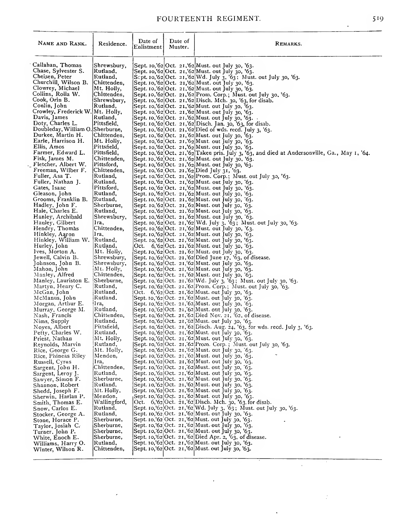| NAME AND RANK.                          | Residence.                | Date of<br>Enlistment | Date of<br>Muster. | Remarks.                                                                                                             |
|-----------------------------------------|---------------------------|-----------------------|--------------------|----------------------------------------------------------------------------------------------------------------------|
| Callahan, Thomas                        | Shrewsbury,               |                       |                    | Sept. 10,'62 Oct. 21,'62 Must. out July 30, '63.                                                                     |
| Chase, Sylvester S.                     | Rutland,                  |                       |                    | Sept. 10,'62 Oct. 21,'62 Must. out July 30, '63.                                                                     |
| Cheisen, Peter                          | Rutland,                  |                       |                    | Scpt. 10,'62 Oct. 21,'62 Wd. July 3, '63; Must. out July 30, '63.                                                    |
| Churchill, Wilson B.                    | Chittenden,               |                       |                    | Sept. 10, 62 Oct. 21, 62 Must. out July 30, 63.                                                                      |
| Clowrey, Michael                        | Mt. Holly,                |                       |                    | Sept. 10,'62 Oct. 21,'62 Must. out July 30, '63.                                                                     |
| Collins, Rolla W.<br>Cook, Orin B.      | Chittenden,               |                       |                    | Sept. 10,'62 Oct. 21,'62 Prom. Corp.; Must. out July 30, '63.                                                        |
| Coulin, John                            | Shrewsbury,<br>Rutland,   |                       |                    | Sept. 10,'62 Oct. 21,'62 Disch. Mch. 30, '63, for disab.<br>Sept. 10,'62 Oct. 21,'62 Must. out July 30, '63.         |
| Crowley, Frederick W. Mt. Holly,        |                           |                       |                    | Sept. 10,'62 Oct. 21,'62 Must. out July 30, '63.                                                                     |
| Davis, James                            | Rutland,                  |                       |                    | Sept. 10,'62 Oct. 21,'62 Must. out July 30, '63.                                                                     |
| Doty, Charles L.                        | Pittsfield,               |                       |                    | Sept. 10,'62 Oct. 21,'62 Disch. Jan. 30, '63, for disab.                                                             |
| Doubleday, William O. Sherburne,        |                           |                       |                    | Sept. 10, '62 Oct. 21, '62 Died of wds. recd. July 3, '63.                                                           |
| Durkee, Martin H.                       | Chittenden,               |                       |                    | Sept. 10, 62 Oct. 21, 62 Must. out July 30, 63.                                                                      |
| Earle, Harrison H.                      | Mt. Holly,                |                       |                    | Sept. 10,'62 Oct. 21,'62 Must. out July 30, '63.                                                                     |
| Ellis, Amos                             | Pittsfield,               |                       |                    | Sept. 10,'62 Oct. 21,'62 Must. out July 30, '63.                                                                     |
| Farmer, Edward L.                       | Pittsfield,               |                       |                    | Sept. 10,'62 Oct. 21,'62 Taken pris. July 3, '63, and died at Andersonville, Ga., May 1, '64.                        |
| Fisk, James M.<br>._Fletcher, Albert W. | Chittenden,<br>Pittsford, |                       |                    | Sept. 10, $62$ Oct. 21, $62$ Must. out July 30, $63$ .<br>Sept. 10,'62 Oct. 21,'62 Must. out July 30, '63.           |
| Freeman, Wilber F.                      | Chittenden,               |                       |                    | Sept. 10, 62 Oct. 21, 62 Died July 31, '63.                                                                          |
| Fuller, Asa T.                          | Rutland,                  |                       |                    | Sept. 10,'62 Oct. 21,'62 Prom. Corp.: Must. out July 30, '63.                                                        |
| Fuller, Nathan J.                       | Rutland,                  |                       |                    | Sept. 10, 62 Oct. 21, 62 Must. out July 30, 63.                                                                      |
| Gates, Isaac                            | Pittsford,                |                       |                    | Sept. 10,'62 Oct. 21, 62 Must. out July 30, '63.                                                                     |
| Gleason, John                           | Rutland,                  |                       |                    | Sept. 10,'62 Oct. 21,'62 Must. out July 30, '63.                                                                     |
| Grooms, Franklin B.                     | ¦Rutland,                 |                       |                    | Sept. 10,'62 Oct. 21, 62 Must. out July 30, 63.                                                                      |
| Hadley, John F.                         | Sherburne,                |                       |                    | Sept. 10,'62 Oct. 21, 62 Must. out July 30, 63.                                                                      |
| Hale, Charles E.                        | Rutland,                  |                       |                    | Sept. 10,'62 Oct. 21,'62 Must. out July 30, '63.                                                                     |
| Hanley, Archibald<br>Hauley, Gilbert    | Shrewsbury,<br>Ira,       |                       |                    | Sept. 10,'62 Oct. 21, 62 Must. out July 30, 63.<br>Sept. 10,'62 Oct. 21,'62 Wd. July 3, '63; Must. out July 30, '63. |
| Hendry, Thomas                          | Chittenden,               |                       |                    | Sept. 10,'62 Oct. 21,'62 Must. out July 30, '63.                                                                     |
| Hinkley, Aaron                          | Ira,                      |                       |                    | Sept. 10,'62 Oct. 21, 62 Must. out July 30, 63.                                                                      |
| Hinkley, William W.                     | Rutland,                  |                       |                    | Sept. 10,'62 Oct. 21,'62 Must. out July 30, '63.                                                                     |
| Hurley, John                            | Rutland,                  |                       |                    | Oct. $6.762$ Oct. 21, $62$ Must. out July 30, $63$ .                                                                 |
| lves, Morton A.                         | Mt. Holly,                |                       |                    | Sept. 10, $62$ Oct. 21, $62$ Must. out July 30, $63$ .                                                               |
| Jewell, Calvin B.                       | Shrewsbury,               |                       |                    | Sept. 10, 62 Oct. 21, 62 Died June 17, '63, of disease.                                                              |
| Johnson, John B.<br>Mahon, John         | Shrewsbury,<br>Mt. Holly, |                       |                    | Sept. 10,'62 Oct. 21.'62 Must. out July 30, '63.<br>Sept. 10,'62 Oct. 21,'62 Must. out July 30, '63.                 |
| Manley, Alfred                          | Chittenden,               |                       |                    | Sept. 10,'62 Oct. 21,'62 Must. out July 30, 63.                                                                      |
| Manley, Lauriston E.                    | Sherburne,                |                       |                    | Sept. 10,'62 Oct. 21, 62 Wd. July 3, '63; Must. out July 30, '63.                                                    |
| Martyn, Henry C.                        | Rutland,                  |                       |                    | Sept. 10,'62 Oct. 21, 62 Prom. Corp.; Must. out July 30. '63.                                                        |
| McGan, John                             | Rutland,                  |                       |                    | Oct. $6,62$ Oct. 21, $62$ Must. out July 30, $63$ .                                                                  |
| McManus, John                           | Rutland.                  |                       |                    | Sept. 10,'62 Oct. 21, 62 Must. out July 30, '63.                                                                     |
| Morgan, Arthur E.                       | lra,                      |                       |                    | Sept. 10,'62 Oct. 21, 62 Must. out July 30, 63.                                                                      |
| Murray, George M.                       | Rutland,                  |                       |                    | Sept. 10,'62 Oct. 21,'62 Must. out July 30, '63.                                                                     |
| Nash, Francis<br>Nims, Supply           | Chittenden,<br>Rutland,   |                       |                    | Sept. 10, 62 Oct. 21, 62 Died Nov. 21, '62, of disease.<br>Sept. 10,'62 Oct. 21, 62 Must. out July 30, '63.          |
| Noves, Albert                           | Pittsfield,               |                       |                    | Sept. 10,'62 Oct. 21, 62 Disch. Aug. 24, '63, for wds. recd. July 3, '63.                                            |
| Petty, Charles W.                       | Rutland,                  |                       |                    | Sept. 10,'62 Oct. 21, 62 Must. out July 30, '63.                                                                     |
| Priest, Nathan                          | Mt. Holly,                |                       |                    | Sept. 10,'62 Oct. 21, 62 Must. out July 30, '63.                                                                     |
| Reynolds, Marvin                        | Rutland,                  |                       |                    | Sept. 10,'62 Oct. 21,'62 Prom. Corp.; Must. out July 30, '63.                                                        |
| Rice, George G.                         | Mt. Holly,                |                       |                    | Sept. 10, 62 Oct. 21, 62 Must. out July 30, 63.                                                                      |
| Rice, Phineas Riley                     | Mendon,                   |                       |                    | Sept. 10,'62 Oct. 21, 62 Must. out July 30, 63.                                                                      |
| Russell, Cyrus                          | l ra,<br>Chittenden.      |                       |                    | Sept. 10,'62 Oct. 21, 62 Must. out July 30, 63.<br>Sept. 10,'62 Oct. 21, 62 Must. out July 30, 63.                   |
| Sargent, John H.<br>Sargent, Leroy J.   | Rutland,                  |                       |                    | Sept. 10, 62 Oct. 21, 62 Must. out July 30, 63.                                                                      |
| Sawyer, Simon F.                        | Sherburne,                |                       |                    | Sept. 10,'62 Oct. 21,'62 Must. out July 30, 63.                                                                      |
| Shannon, Robert                         | Rutland,                  |                       |                    | Sept. 10,'62 Oct. 21,'62 Must. out July 30, '63.                                                                     |
| Shedd, Joseph F.                        | Mt. Holly,                |                       |                    | Sept. 10, $62$ Oct. 21, $62$ Must. out July 30, $63$ .                                                               |
| Sherwin, Harlan P.                      | Mendon,                   |                       |                    | Sept. 10,'62 Oct. 21, 62 Must. out July 30, '63.                                                                     |
| Smith, Thomas E.                        | Wallingford,              |                       |                    | Oct. $6, 62$ Oct. 21, $62$ Disch. Mch. 30, $63$ for disab.                                                           |
| Snow, Carlos E.                         | Rutland,                  |                       |                    | Sept. 10, 62 Oct. 21, 62 Wd. July 3, 63; Must. out July 30, 63.                                                      |
| Stocker, George A.                      | Rutland,                  |                       |                    | Sept. 10, 62 Oct. 21, 62 Must. out July 30, 63.<br>Sept. 10,'62 Oct. 21, 62 Must. out July 30, '63.                  |
| Stone, Horace P.<br>Taylor, Josiah C.   | ¦Sherburne,<br>Sherburne, |                       |                    | Sept. 10,'62 Oct. 21,'62 Must. out July 30, '63.                                                                     |
| Turner, John P.                         | Sherburne,                |                       |                    | Sept. 10, 62 Oct. 21, 62 Must. out July 30, 63.                                                                      |
| White, Enoch E.                         | Sherburne,                |                       |                    | Sept. 10, $62$ Oct. 21, $62$ Died Apr. 2, $63$ , of disease.                                                         |
| Williams, Harry O.                      | Rutland,                  |                       |                    | Sept. 10,'62 Oct. 21,'62 Must. out July 30, '63.                                                                     |
| Winter, Wilson R.                       | Chittenden,               |                       |                    | Sept. 10,'62 Oct.  21,'62 Must. out July 30, '63.                                                                    |
|                                         |                           |                       |                    |                                                                                                                      |

 $\lambda$ 

 $\frac{1}{2}$ 

 $\overline{a}$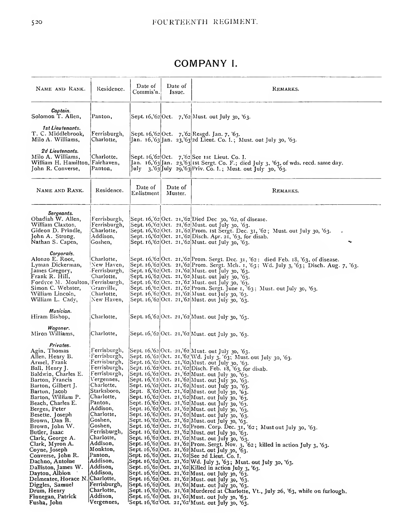## COMPANY I.

| NAME AND RANK.                                                                                                                                                                                                                                                                                                                                                                                                                                                                 | Residence.                                                                                                                                                                                                                                                                                            | Date of<br>Commis'n.  | Date of<br>Issue.  | REMARKS.                                                                                                                                                                                                                                                                                                                                                                                                                                                                                                                                                                                                                                                                                                                                                                                                                                                                                                                                                                                                                                                                                                                                                                                                                                                                                                                                 |
|--------------------------------------------------------------------------------------------------------------------------------------------------------------------------------------------------------------------------------------------------------------------------------------------------------------------------------------------------------------------------------------------------------------------------------------------------------------------------------|-------------------------------------------------------------------------------------------------------------------------------------------------------------------------------------------------------------------------------------------------------------------------------------------------------|-----------------------|--------------------|------------------------------------------------------------------------------------------------------------------------------------------------------------------------------------------------------------------------------------------------------------------------------------------------------------------------------------------------------------------------------------------------------------------------------------------------------------------------------------------------------------------------------------------------------------------------------------------------------------------------------------------------------------------------------------------------------------------------------------------------------------------------------------------------------------------------------------------------------------------------------------------------------------------------------------------------------------------------------------------------------------------------------------------------------------------------------------------------------------------------------------------------------------------------------------------------------------------------------------------------------------------------------------------------------------------------------------------|
| Captain.<br>Solomon T. Allen,                                                                                                                                                                                                                                                                                                                                                                                                                                                  | Panton,                                                                                                                                                                                                                                                                                               |                       |                    | Sept. 16,'62 Oct. 7,'62 Must. out July 30, '63.                                                                                                                                                                                                                                                                                                                                                                                                                                                                                                                                                                                                                                                                                                                                                                                                                                                                                                                                                                                                                                                                                                                                                                                                                                                                                          |
| 1st Lieutenants.<br>T. C. Middlebrook,<br>Milo A. Williams,                                                                                                                                                                                                                                                                                                                                                                                                                    | Ferrisburgh,<br>Charlotte,                                                                                                                                                                                                                                                                            |                       |                    | Sept. 16,'62 Oct. 7, 62 Resgd. Jan. 7, '63.<br>[Jan. 16,'63]Jan. 23,'63 2d Lieut. Co. I.; Must. out July 30, '63.                                                                                                                                                                                                                                                                                                                                                                                                                                                                                                                                                                                                                                                                                                                                                                                                                                                                                                                                                                                                                                                                                                                                                                                                                        |
| 2d Lieutenants.<br>Milo A. Williams,<br>William H. Hamilton, Fairhaven,<br>John R. Converse,                                                                                                                                                                                                                                                                                                                                                                                   | Charlotte,<br>Panton,                                                                                                                                                                                                                                                                                 |                       |                    | Sept. 16, 62 Oct. 7, 62 See 1st Lieut. Co. J.<br>Jan. 16, 63 Jan. 23, 63 Ist Sergt. Co. F.; died July 3, '63, of wds. recd. same day.<br>July 3,'63 July 29,'63 Priv. Co. 1.; Must. out July 30, '63.                                                                                                                                                                                                                                                                                                                                                                                                                                                                                                                                                                                                                                                                                                                                                                                                                                                                                                                                                                                                                                                                                                                                    |
| NAME AND RANK.                                                                                                                                                                                                                                                                                                                                                                                                                                                                 | Residence.                                                                                                                                                                                                                                                                                            | Date of<br>Enlistment | Date of<br>Muster. | REMARKS.                                                                                                                                                                                                                                                                                                                                                                                                                                                                                                                                                                                                                                                                                                                                                                                                                                                                                                                                                                                                                                                                                                                                                                                                                                                                                                                                 |
| Sergeants.<br>Obadiah W. Allen,<br>William Claxton,<br>Gideon D. Prindle,<br>John A. Strong,<br>Nathan S. Capen,                                                                                                                                                                                                                                                                                                                                                               | Ferrisburgh,<br>Ferrisburgh,<br>Charlotte,<br>Addison,<br>Goshen,                                                                                                                                                                                                                                     |                       |                    | Sept. 16, 62 Oct. 21, 62 Died Dec 30, '62, of disease.<br>Sept. 16,'62 Oct. 21,'62 Must. out July 30, '63.<br>Sept. 16,'62 Oct. 21, 62 Prom. 1st Sergt. Dec. 31, '62; Must. out July 30, '63.<br>Sept. 16, 62 Oct. 21, 62 Disch. Apr. 21, 63, for disab.<br>Sept. 16,'62 Oct. 21,'62 Must. out July 30, '63.                                                                                                                                                                                                                                                                                                                                                                                                                                                                                                                                                                                                                                                                                                                                                                                                                                                                                                                                                                                                                             |
| Corporals.<br>Alonzo E. Root,<br>Lyman Dickerman,<br>James Gregory,<br>Frank R. Hill.<br>Fordyce M. Moulton, Ferrisburgh,<br>Simon C. Webster,<br>William Lincoln,<br>William L. Cadv,                                                                                                                                                                                                                                                                                         | Charlotte,<br>New Haven,<br>Ferrisburgh,<br>'Charlotte,<br>'Granville,<br>Charlotte,<br>New Haven,                                                                                                                                                                                                    |                       |                    | Sept. 16,'62 Oct. 21,'62 Prom. Sergt. Dec. 31, '62: died Feb. 18, '63, of disease.<br>Sept. 16,'62 Oct. 21,'62 Prom. Sergt. Mch. 1, '63; Wd. July 3, '63; Disch. Aug. 7, '63.<br>Sept. 16,'62 Oct. 21,'62 Must. out July 30, '63.<br>Sept. $16, 62$ Oct. 21, $62$ Must. out July 30, $63$ .<br>Sept. 16, 62 Oct. 21, 62 Must. out July 30, '63.<br>Sept. 16,'62 Oct. 21, 62 Prom. Sergt. June 1, 63; Must. out July 30, '63.<br>Sept. 16,'62 Oct. 21,'62 Must. out July 30, 63.<br>Sept. 16,'62 Oct. 21,'62 Must. out July 30, '63.                                                                                                                                                                                                                                                                                                                                                                                                                                                                                                                                                                                                                                                                                                                                                                                                      |
| Musician.<br>Hiram Bishop,                                                                                                                                                                                                                                                                                                                                                                                                                                                     | Charlotte,                                                                                                                                                                                                                                                                                            |                       |                    | Sept. 16,'62 Oct. 21,'62 Must. out July 30, '63.                                                                                                                                                                                                                                                                                                                                                                                                                                                                                                                                                                                                                                                                                                                                                                                                                                                                                                                                                                                                                                                                                                                                                                                                                                                                                         |
| Wagoner.<br>Miron Williams,                                                                                                                                                                                                                                                                                                                                                                                                                                                    | Charlotte,                                                                                                                                                                                                                                                                                            |                       |                    | Sept. 16, 62 Oct. 21, '62 Must. out July 30, '63.                                                                                                                                                                                                                                                                                                                                                                                                                                                                                                                                                                                                                                                                                                                                                                                                                                                                                                                                                                                                                                                                                                                                                                                                                                                                                        |
| Privates.<br>Agin, Thomas<br>Allen, Henry B.<br>Armel, Frank<br>Ball, Henry J.<br>Baldwin, Charles E.<br>Barton, Francis<br>Barton, Gilbert J.<br>Barton, Jacob<br>Barton, William P.<br>Beach, Charles E.<br>Berges, Peter<br>Besette, Joseph<br>Brown, Dan B.<br>Brown, John W.<br>Butler, Isaac<br>Clark, George A.<br>Clark, Myron A.<br>Coyne, Joseph<br>Converse, John R.<br>Dachno, Antoine<br>Dalliston, James W.<br>Dayton, Albion<br>Delmeatee, Horace N. Charlotte, | Ferrisburgh,<br>Ferrisburgh,<br>Ferrisburgh,<br>Ferrisburgh,<br>Ferrisburgh,<br>Vergennes,<br>Charlotte,<br>Starksboro,<br>Charlotte,<br>Panton,<br>Addison,<br>Charlotte,<br>Goshen,<br>Goshen,<br>Ferrisburgh,<br>Charlotte,<br>Addison,<br>Monkton,<br>Panton,<br>Addison,<br>Addison,<br>Addison, |                       |                    | Sept. 16,'62 Oct. 21,'62 Must. out July 30, '63.<br>Sept. 16,'62 Oct. 21,'62 Wd. July 3, 63; Must. out July 30, '63.<br>Sept. 16,'62 Oct. 21,'62 Must. out July 30, '63.<br>Sept. 16.'62 Oct. 21,'62 Disch. Feb. 18, 63, for disab.<br>Sept. 16,'62 Oct. 21,'62 Must. out July 30, '63.<br>Sept. 16, '62 Oct. 21, '62 Must. out July 30, '63.<br>Sept. 16,'62 Oct. 21,'62 Must. out July 30, '63.<br>Sept. 8,'62 Oct. 21,'62 Must. out July 30, '63.<br>Sept. 16,'62 Oct. 21,'62 Must. out July 30, '63.<br>Sept. 16, 62 Oct. 21, 62 Must. out July 30, 63.<br>Sept. 16,'62 Oct. 21,'62 Must. out July 30, '63.<br>Sept. 16,'62 Oct. 21,'62 Must. out July 30, '63.<br>Sept. 16,'62 Oct. 21,'62 Must. out July 30, '63.<br>Sept. 16,'62 Oct. 21,'62 Prom. Corp. Dec. 31, '62; Must out July 30, '63.<br>Sept. 16, 62 Oct. 21, 62 Must. out July 30, 63.<br>Sept. 16,'62 Oct. 21,'62 Must. out July 30, '63.<br>Sept. 16,'62 Oct. 21,'62 Prom. Sergt. Nov. 3, 62; killed in action July 3, '63.<br>Sept. 16, 62 Oct. 21, 62 Must. out July 30, 63.<br>Sept. 16, 62 Oct. 21, 62 See 2d Lieut. Co. I.<br>Sept. 16,'62 Oct. 21,'62 Wd. July 3, '63; Must. out July 30, '63.<br>Sept. 16,'62 Oct. 21,'62 Killed in action July 3, '63.<br>Sept. 16, 62 Oct. 21, 62 Must. out July 30, 63.<br>Sept. 16,'62 Oct. 21,'62 Must. out July 30, '63. |
| Diggles, Samuel<br>Drum, Henry<br>Finnegan, Patrick<br>Fusha, John                                                                                                                                                                                                                                                                                                                                                                                                             | Ferrisburgh,<br>Charlotte,<br>Addison,<br>Vergennes,                                                                                                                                                                                                                                                  |                       |                    | Sept. 16,'62 Oct. 21,'62 Must. out July 30, '63.<br>Sept. 16,62 Oct. 21,62 Murdered at Charlotte, Vt., July 26, '63, while ou furlough.<br>Sept. 16.'62 Oct. 21, 62 Must. out July 30, '63.<br>Sept. 16,'62 Oct. 21,'62 Must. out July 30, '63.                                                                                                                                                                                                                                                                                                                                                                                                                                                                                                                                                                                                                                                                                                                                                                                                                                                                                                                                                                                                                                                                                          |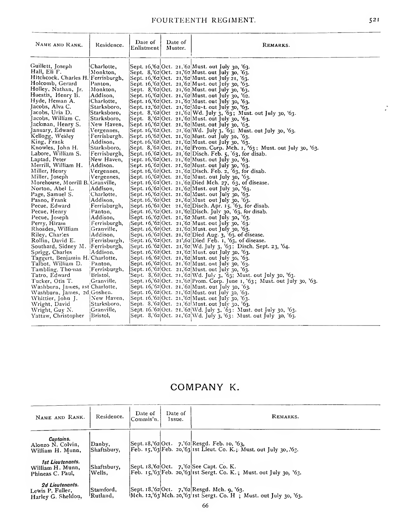| NAME AND RANK.                                                                                                                                                                                                                                                                                                                                                                                                                                                                                                                                                                                                                                                  | Residence.                                                                                                                                                                                                                                                                                                                                                                                                | Date of<br>Enlistment | Date of<br>Muster. | REMARKS.                                                                                                                                                                                                                                                                                                                                                                                                                                                                                                                                                                                                                                                                                                                                                                                                                                                                                                                                                                                                                                                                                                                                                                                                                                                                                                                                                                                                                                                                                                                                                                                                                                                                                                                                                                                 |
|-----------------------------------------------------------------------------------------------------------------------------------------------------------------------------------------------------------------------------------------------------------------------------------------------------------------------------------------------------------------------------------------------------------------------------------------------------------------------------------------------------------------------------------------------------------------------------------------------------------------------------------------------------------------|-----------------------------------------------------------------------------------------------------------------------------------------------------------------------------------------------------------------------------------------------------------------------------------------------------------------------------------------------------------------------------------------------------------|-----------------------|--------------------|------------------------------------------------------------------------------------------------------------------------------------------------------------------------------------------------------------------------------------------------------------------------------------------------------------------------------------------------------------------------------------------------------------------------------------------------------------------------------------------------------------------------------------------------------------------------------------------------------------------------------------------------------------------------------------------------------------------------------------------------------------------------------------------------------------------------------------------------------------------------------------------------------------------------------------------------------------------------------------------------------------------------------------------------------------------------------------------------------------------------------------------------------------------------------------------------------------------------------------------------------------------------------------------------------------------------------------------------------------------------------------------------------------------------------------------------------------------------------------------------------------------------------------------------------------------------------------------------------------------------------------------------------------------------------------------------------------------------------------------------------------------------------------------|
| Guillett, Joseph<br>Hall, Eli F.<br>Hitchcock, Charles H. Ferrisburgh,<br>Holcomb, Gerard<br>Holley, Nathan, Jr.<br>Huestis, Henry B.<br>Hyde, Heman A.<br>Jacobs, Alva C.<br>Jacobs, Uria D.<br>Jacobs, William C.<br>Jackman, Henry S.<br>January, Edward<br>Kellogg, Wesley<br>King, Frank<br>Knowles, John H.<br>Labore, William S.<br>Laptad, Peter<br>Merrill, William H.<br>Miller, Heury<br>Miller, Joseph<br>Morehouse, Morrill B. Granville,<br>Norton, Abel L.<br>Page, Samuel S.<br>Pasno, Frank<br>Pecue, Edward<br>Pecue, Henry<br>Pecue, Joseph<br>Perry, Hiram<br>Rhoades, William<br>Riley, Charles<br>Rollin, David E.<br>Southard, Sidney M. | Charlotte,<br>Monkton,<br>Panton,<br>Monkton,<br>Addison,<br>Charlotte,<br>Starksboro,<br>Starksboro,<br>Starksboro,<br>New Haven,<br>Vergennes,<br>Ferrisburgh.<br>Addison,<br>Starksboro,<br>Ferrisburgh,<br>New Haven,<br>Addison,<br>Vergennes,<br>Vergennes,<br>Addison,<br>Charlotte,<br>Addison,<br>Ferrisburgh,<br>Panton,<br>Addison,<br>r errisburgh,<br>Granville,<br>Addison,<br>Ferrisburgh, |                       |                    | Sept. 16,'62 Oct. 21, 62 Must. out July 30, '63.<br>Sept. $8$ ,'62 Oct. 21,'62 Must. out July 30, '63.<br>Sept. 16,'62 Oct. 21,'62 Must. out July 21, '63.<br>Sept. 16,'62 Oct. 21,'62 Must. out July 30, '63.<br>Sept. 8,'62 Oct. 21,'62 Must. out July 30, '63.<br>Sept. 16,'62 Oct. 21,'62 Must. out July 30, '62.<br>Sept. 16, 62 Oct. 21, 62 Must. out July 30, 63.<br>Sept. 12,'62 Oct. 21,'62 Must. out July 30, '63.<br>Sept. 8, 62 Oct 21, 62 Wd. July 3, 63; Must. out July 30, 63.<br>Sept. 8,'62 Oct. 21, 62 Must. out July 30, '63.<br>Sept. 16,'62 Oct. 21,'62 Must. out July 30, '63.<br>Sept. 16,'62 Oct. 21.62 Wd. July 3. 63: Must. out July 30, '63.<br>Sept. 16,'62 Oct. 21,'62 Must. out July 30, '63.<br>Sept. $16$ , $62$ Oct. $21$ , $62$ Must. out July 30, $63$ .<br>Sept. 8,'62 Oct. 21, 62 Prom. Corp. Mch. 1, '63; Must. out July 30, '63.<br>Sept. 16, 62 Oct. 21, 62 Disch. Feb. 5, 63, for disab.<br>Sept. 16,'62 Oct. 21, 62 Must. out July 30, '63.<br>Sept. 16, 62 Oct. 21, 62 Must. out July 30, 63.<br>Sept. 16, 62 Oct. 21, 62 Disch. Feb. 2, 63, for disab.<br>Sept. $16$ , 62 Oct. 21, 62 Must. out July 30, 63.<br>Sept. $16, 62$ Oct. $21, 62$ Died Mch. 27, 63, of disease.<br>Sept. 16, 62 Oct. 21, 62 Must. out July 30, 63.<br>Sept. $16$ , 62 Oct. 21. 62 Must. out July 30, 63.<br>Sept. 16,'62 Oct 21, 62 Must out July 30, '63.<br>Sept. 16,'62 Oct 21, 62 Disch. Apr. 15, '63, for disab.<br>Sept. 16, 62 Oct. 21, 62 Disch. July 30, 63, for disab.<br>Sept. 16,'62 Oct. 21, 62 Must. out July 30, '63.<br> Sept. 16,'62 Oct. 21,'62 Must. out July 30, '63.<br>Sept. $16$ , 62 Oct. 21, 62 Must. out July 30, 63.<br>Sept. 16, 62 Oct. 21, 62 Died Aug. 3, 63. of disease.<br>Sept. 16, 62 Oct. 21,62 Died Feb. 1, '63, of disease. |
| Sprigg, Charles<br>Taggert, Benjamin H. Charlotte,<br>Talbot, William D.<br>Tambling. Thomas                                                                                                                                                                                                                                                                                                                                                                                                                                                                                                                                                                    | Ferrisburgh,<br>Addison.<br>Panton,<br>Ferrisburgh.                                                                                                                                                                                                                                                                                                                                                       |                       |                    | Sept. 16.'62 Oct. 21, 62 Wd. July 3, '63; Disch. Sept. 23, '64.<br>Sept. 16, 62 Oct. 21, 62 Must. out July 30. '63.<br>Sept. 16, 62 Oct. 21, 62 Must. out July 30, 63.<br>Sept. 16,'62 Oct. 21, 62 Must. out July 30, 63.<br>Sept. 16,'62 Oct. 21,62 Must. out July 30, '63.                                                                                                                                                                                                                                                                                                                                                                                                                                                                                                                                                                                                                                                                                                                                                                                                                                                                                                                                                                                                                                                                                                                                                                                                                                                                                                                                                                                                                                                                                                             |
| Tatro, Edward<br>Tucker, Otis T.<br>Washburn, James, 1st Charlotte,<br>Washburn, James, 2d Goshen.<br>Whittier, John J.<br>Wright, David<br>Wright, Guy N.                                                                                                                                                                                                                                                                                                                                                                                                                                                                                                      | Bristol.<br>Granville,<br>New Haven,<br>Starksboro,<br>Granville,                                                                                                                                                                                                                                                                                                                                         |                       |                    | Sept. 8, 62 Oct. 21, 62 Wd. July 3, '63; Must. out July 30, '63.<br>Sept. $16, 62$ Oct. 21.'62 Prom. Corp. June 1, '63; Must. out July 30, '63.<br>Sept. 16, 62 Oct. 21, 62 Must. out July 30, 63.<br>Sept. $16, 62$ Oct. 21, 62 Must. out July 30, 63.<br>Sept. $16$ ,'62 Oct. 21,'62 Must. out July 30, '63.<br>Sept. 8, 62 Oct. 21, 62 Must. out July 30, 63.<br>Sept. 16.'62 Oct. 21.'62 Wd. July 3, '63: Must. out July 30, '63.                                                                                                                                                                                                                                                                                                                                                                                                                                                                                                                                                                                                                                                                                                                                                                                                                                                                                                                                                                                                                                                                                                                                                                                                                                                                                                                                                    |
| Yattaw, Christopher                                                                                                                                                                                                                                                                                                                                                                                                                                                                                                                                                                                                                                             | Bristol                                                                                                                                                                                                                                                                                                                                                                                                   |                       |                    | Sept. 8, 62 Oct. 21, 62 Wd. July 3, 63: Must. out July 30, 63.                                                                                                                                                                                                                                                                                                                                                                                                                                                                                                                                                                                                                                                                                                                                                                                                                                                                                                                                                                                                                                                                                                                                                                                                                                                                                                                                                                                                                                                                                                                                                                                                                                                                                                                           |

## COMPANY K.

| NAME AND RANK.                                            | Residence.             | Date of<br>Commis'n. | Date of<br>lssue. | REMARKS.                                                                                                             |  |
|-----------------------------------------------------------|------------------------|----------------------|-------------------|----------------------------------------------------------------------------------------------------------------------|--|
| Captains.<br>Alonzo N. Colvin,<br>William H. Munn,        | Danby,<br> Shaftsbury, |                      |                   | Sept. 18, 62 Oct. 7, 62 Resgd. Feb. 10, 63,<br>$[Feb. 15, 63]$ Feb. 20, 63 1st Lieut. Co. K.; Must. out July 30, 63. |  |
| 1st Lieutenants.<br>William H. Munn,<br>Phineas C. Paul,  | Shaftsbury,<br>Wells,  |                      |                   | Sept. 18, 62 Oct. 7, 62 See Capt. Co. K.<br>Feb. 15,'63 Feb. 20,'63 Ist Sergt. Co. K.; Must. out July 30, '63.       |  |
| 2d Lieutenants.<br>Lewis P. Fuller.<br>Harley G. Sheldou, | Stamford,<br>'Rutland, |                      |                   | Sept. $18,62 Oct. 7,62 Resgd. Mch. q. 63.$<br>[Mch. 12,'63 Mch. 20,'63 Ist Sergt. Co. H; Must. out July 30, '63.     |  |

Ž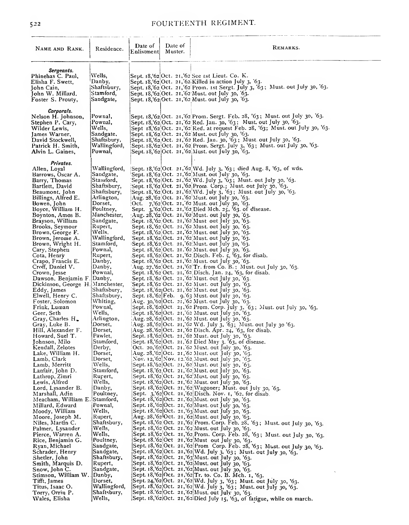| NAME AND RANK.                                                                                                                                                                                                                                                                                                                                                                                                                                                                                                                                                                                       | Residence.                                                                                                                                                                                                                                                                                                                                                  | Date of<br>Enlistment | Date of<br>Muster. | REMARKS.                                                                                                                                                                                                                                                                                                                                                                                                                                                                                                                                                                                                                                                                                                                                                                                                                                                                                                                                                                                                                                                                                                                                                                                                                                                                                                                                                                                                                                                                                                                                                                                                                                                                                                                           |
|------------------------------------------------------------------------------------------------------------------------------------------------------------------------------------------------------------------------------------------------------------------------------------------------------------------------------------------------------------------------------------------------------------------------------------------------------------------------------------------------------------------------------------------------------------------------------------------------------|-------------------------------------------------------------------------------------------------------------------------------------------------------------------------------------------------------------------------------------------------------------------------------------------------------------------------------------------------------------|-----------------------|--------------------|------------------------------------------------------------------------------------------------------------------------------------------------------------------------------------------------------------------------------------------------------------------------------------------------------------------------------------------------------------------------------------------------------------------------------------------------------------------------------------------------------------------------------------------------------------------------------------------------------------------------------------------------------------------------------------------------------------------------------------------------------------------------------------------------------------------------------------------------------------------------------------------------------------------------------------------------------------------------------------------------------------------------------------------------------------------------------------------------------------------------------------------------------------------------------------------------------------------------------------------------------------------------------------------------------------------------------------------------------------------------------------------------------------------------------------------------------------------------------------------------------------------------------------------------------------------------------------------------------------------------------------------------------------------------------------------------------------------------------------|
| Sergeants.<br>Phinehas C. Paul,<br>Elisha F. Swett,<br>John Cain,<br>John W. Millard.<br>Foster S. Prouty,                                                                                                                                                                                                                                                                                                                                                                                                                                                                                           | Wells,<br>Danby,<br> Shaftsbury,<br>Stamford,<br>Sandgate,                                                                                                                                                                                                                                                                                                  |                       |                    | Sept. 18,'62 Oct. 21,'62 See 1st Lieut. Co. K.<br>Sept. 18,'62 Oct. 21, 62 Killed in action July 3, 63.<br>Sept. 18, 62 Oct. 21, 62 Prom. 1st Sergt. July 3, 63; Must. out July 30, 63.<br>Sept. 18,'62,Oct. 21, 62 Must. out July 30, 63.<br>Sept. 18,'62 Oct. 21,'62 Must. out July 30, '63.                                                                                                                                                                                                                                                                                                                                                                                                                                                                                                                                                                                                                                                                                                                                                                                                                                                                                                                                                                                                                                                                                                                                                                                                                                                                                                                                                                                                                                     |
| Corporals.<br>Nelson H. Johnson,<br>Stephen P. Cary,<br>Wilder Lewis,<br>James Warner,<br>David Stockwell,<br>Patrick H. Smith,<br>Alvin L. Gaines,                                                                                                                                                                                                                                                                                                                                                                                                                                                  | Pownal,<br>Pownal,<br>Wells,<br>Sandgate,<br>Shaftsbury,<br>Wallingford,<br>Pownal,                                                                                                                                                                                                                                                                         |                       |                    | Sept. 18,'62 Oct. 21,'62 Prom. Sergt. Feb. 28, '63; Must. out July 30, '63.<br>Sept. 18, 62 Oct. 21, 62 Red. Jau. 30, '63: Must. out July 30, '63.<br>Sept 18,'62 Oct. 21,'62 Red. at request Feb. 28, '63; Must. out July 30, '63.<br>Sept. 18, 62 Oct. 21, 62 Must. out July 30, '63.<br> Sept. 18,'62,Oct. 21, 62 Red. Jan. 30, '63 ; Must. out July 30, '63.<br>Sept. 18,'62 Oct. 21, 62 Prom. Sergt. July 3, '63; Must. out July 30, '63.<br>Sept. 18, 62 Oct. 21, 62 Must. out July 30, '63.                                                                                                                                                                                                                                                                                                                                                                                                                                                                                                                                                                                                                                                                                                                                                                                                                                                                                                                                                                                                                                                                                                                                                                                                                                 |
| Privates.<br>Allen, Loyal<br>Barrows, Oscar A.<br>Barry, Thomas<br>Bartlett, David<br>Beaumont, John<br>Billings, Alfred E.<br>Bowen, John<br>Boyce, William H.<br>Boynton, Amos B.<br>Brayson, William<br>Brooks, Seymour<br>Brown, George F.<br>Brown, Jerome A.<br>Brown, Wright H.<br>Cary, Stephen<br>Cota, Henry<br>Crapo, Francis E.<br>Croff, Daniel V.<br>Crown, Jesse<br>Dawson, Benjamin F.<br>Dickinson, George H. Manchester,<br>Eddy, James<br>Elwell, Henry C.<br>Foster, Solomon<br>Frink, Luman<br>Geer, Seth<br>Gray, Charles $H_{\bullet}$<br>Gray, Luke B.<br>Hill, Alexander F. | Wallingford,<br>Sandgate,<br>Stamford,<br>Shaftsbury,<br>Shaftsbury,<br>Arlington,<br>Dorset,<br>Poultney,<br>Manchester,<br>Sandgate,<br>Rupert,<br>Wells.<br>Wallingford,<br>Stamford,<br>Pownal,<br>Rupert,<br>Danby,<br>Danby,<br>Pownal,<br> Danby,<br>Shaftsbury,<br>Shaftsbury,<br>Whiting,<br>Pownal,<br>Wells,<br>Arlington,<br>Dorset,<br>Dorset, |                       |                    | Sept. 18,'62 Oct. 21, 62  Wd. July 3, '63; died Aug. 8, '63, of wds.<br>Sept. 18,'62 Oct. 21,'62 Must. out July 30, '63.<br>Sept. 18,'62 Oct. 21,'62 Wd. July 3, '63; Must. out July 30, '63.<br>Sept. 18, 62 Oct. 21, 62 Prom. Corp.; Must. out July 30, 63.<br>Sept. 18,'62 Oct. 21,'62 Wd. July 3, '63; Must. out July 30, '63.<br>Aug. 28,'62 Oct. 21,'62 Must. out July 30, '63.<br>Oct. 7,'62'Oct. 21, 62 Must. out July 30, '63.<br>Sept. 3,'62.Oct. 21,'62 Died Mch. 25, '63. of disease.<br>$Au$ g. 28, 62 Oct. 21, 62 Must. out July 30, 63.<br>Sept. 18,'62 Oct. 21,'62 Must out July 30, '63.<br>Sept. 18, '62 Oct. 21, '62 Must. out July 30, 63.<br>Sept. 18,'62 Oct. 21, 62 Must. out July 30, '63.<br>Sept. 18,'62 Oct. 21,'62 Must. out July 30, '63.<br>Sept. 18, 62 Oct. 21, 62 Must. out July 30, '63.<br>Sept. 18,'62 Oct. 21. 62 Must. out July 30, '63.<br>Sept. 18,'62 Oct. 21,'62 Disch. Feb. 5, '63, for disab.<br>Sept. 18, 62 Oct. 21, 62 Must. out July 30, 63.<br>Aug. 27,'62 Oct. 21,'62 Tr. from Co. B.; Must. out July 30, '63.<br>Sept. 18, 62 Oct. 21, 62 Disch. Jan. 24, 63, for disab.<br>Sept. 18,'62 Oct. 21, 62 Must. out July 30, '63.<br>Sept. 18,'62 Oct. 21, 62 Must. out July 30, '63.<br>:Sept. 18, 62 Oct. 21, 62 Must. out July 30, '63.<br>Sept. $18, 62$ Feb. 9, 63 Must. out July 30, '63.<br>Aug. 30,'62 Oct. 21,'62 Must. out July 30, '63.<br>Sept. $18,762$ Oct. $21,762$ Prom. Corp. July 3, 63, Must. out July 30, 763.<br>Sept. 18,'62 Oct. 21, 62 Must. out July 30, '63.<br>Aug. 28, 62 Oct. 21, 62 Must. out July 30, '63.<br>Aug. 28, 62 Oct. 21, 62 Wd. July 3, 63; Must. out July 30 '63.<br>Aug. 28, 62 Oct. 21, 62 Disch. Apr. 24, 63, for disab.                |
| Howard, Suel T.<br>Johnson, Milo<br>Kendall, Zelotes<br>Lake, William H.<br>Lamb, Clark<br>Lamb, Merritt<br>Lanfair, John D.<br>Lathrop, Zimri<br>Lewis, Alfred<br>Lord, Lysander B.<br>Marshall, Adin<br>Meacham, William E. Stamford,<br>Millard, Edward<br>Moody, William<br>Moore, Joseph M.<br>Niles, Martin C.<br>Palmer, Lysander<br>Pierce, Warren A.<br>Rice, Benjamin G.<br>Ryan, Michael<br>Schrader, Henry<br>Shetler, John<br>Smith, Marquis D.<br>Snow, John C.<br>Stimson, William W. .<br>Tifft, James<br>Titus, Isaac O.<br>Torry, Orrin P.<br>Wales, Elisha                        | Pawlet,<br>Stamford,<br>Derby,<br>Dorset,<br>Dorset,<br>Wells,<br>Stamford,<br>Rupert,<br>Wells,<br>Danby,<br>Poultney,<br>Pownal,<br>Wells,<br>Rupert,<br>Shaftsbury,<br>Wells,<br>Wells,<br>Poultney,<br>Sandgate,<br>Sandgate,<br>Shaftsbury,<br>Rupert,<br>Sandgate,<br>Danby,<br>Dorset,<br>Wallingford,<br> Shaftsbury,<br> Wells,                    |                       |                    | Sept. 18,'62 Oct. 21, 62 Must. out July 30, '63.<br>Sept. 18, 62 Oct. 21, 62 Died May 3. 63, of disease.<br>Oct. 20,'62 Oct. 21.'62 Must. out July 30, '63.<br>Aug. 28,'62 Oct. 21, 62 Must. out July 30, '63.<br>Nov. 12,'62 Nov. 12.'62 Must. out July 30, '63.<br>Sept. 18,'62 Oct. 21, 62 Must. out July 30, 63.<br>Sept. 18,'62,Oct. 21, 62 Must. out July 30, '63.<br>Sept. 18,'62,Oct. 21,'62 Must. out July 30, '63.<br>Sept. 18,'62 Oct. 21,'62 Must. out July 30, '63.<br>Sept. 18,'62 Oct. 21,'62 Wagoner; Must. out July 30, 63.<br>Sept. 3,'62 Oct. 21, 62 Disch. Nov. 1, '62, for disab.<br>Sept. 18, 62 Oct. 21. 62 Must. out July 30, '63.<br>Sept. 18,'62 Oct. 21, 62 Must. out July 30, 63.<br>Sept. 18,'62 Oct. 21,'63 Must. out July 30, 63.<br>Aug. 28,'62 Oct. 21, 62 Must. out July 30, '63.<br>Sept. 18,'62 Oct. 21,'62 Prom. Corp. Feb. 28, '63; Must. out July 30, '63.<br>Sept. 18,'62 Oct. 21.'62 Must. out July 30, '63.<br>Sept. 18, 62 Oct. 21, 62 Prom. Corp. Feb. 28, '63; Must. out July 30, '63.<br>Sept. $18.762$ Oct 21,762 Must out July 30, 763.<br>Sept. 18,'62 Oct. 21, 62 Prom Corp. Feb. 28, '63; Must. out July 30, '63.<br>Sept. 18, 62 Oct. 21, 62 Wd. July 3, 63; Must. out July 30, 63.<br>Sept. 18,'62 Oct. 21,'63 Must. out July 30, '63.<br>Sept. 18,'62 Oct. 21,'62 Must. out July 30, '63.<br>Sept. 18,'62 Oct. 21,'62 Must. out July 30, '63.<br>Sept. 18,'62 Oct. 21,'62 Tr. to. Co. B. Mch. 1, '63.<br>Sept. 24,'62 Oct. 21, 62 Wd. July 3, '63; Must. out July 30, '63.<br>Sept. 18, 62 Oct. 21, 62 Wd. July 3, 63; Must. out July 30, 63.<br>Sept. 18.'62 Oct. 21, 62 Must. out July 30, '63.<br>Sept. 18,'62 Oct. 21, 62 Died July 15, '63, of fatigue, while on march. |